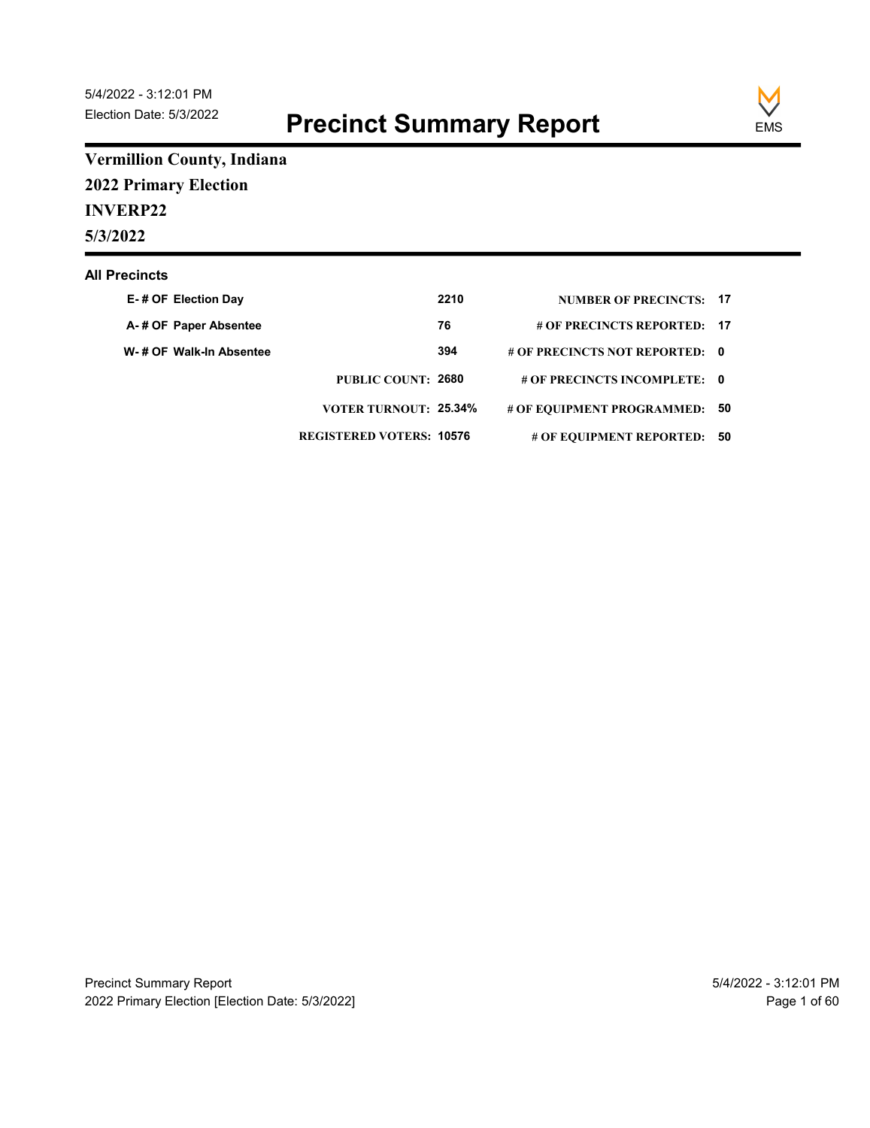

**Vermillion County, Indiana 2022 Primary Election INVERP22**

**5/3/2022**

#### **All Precincts**

| E-# OF Election Day     |                                 | 2210 | NUMBER OF PRECINCTS: 17        |  |
|-------------------------|---------------------------------|------|--------------------------------|--|
| A-# OF Paper Absentee   |                                 | 76   | $#$ OF PRECINCTS REPORTED: 17  |  |
| W-# OF Walk-In Absentee |                                 | 394  | # OF PRECINCTS NOT REPORTED: 0 |  |
|                         | PUBLIC COUNT: 2680              |      | # OF PRECINCTS INCOMPLETE: 0   |  |
|                         | <b>VOTER TURNOUT: 25.34%</b>    |      | # OF EQUIPMENT PROGRAMMED: 50  |  |
|                         | <b>REGISTERED VOTERS: 10576</b> |      | # OF EQUIPMENT REPORTED: 50    |  |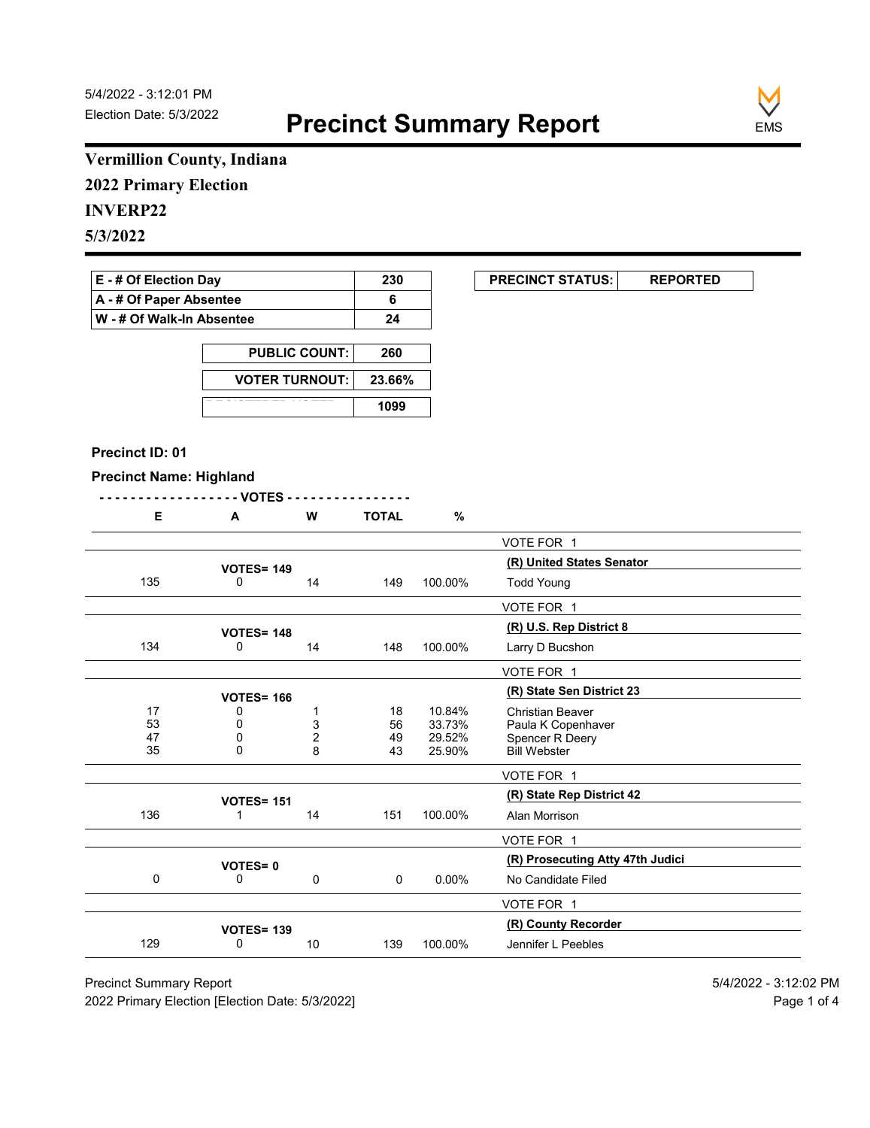

# **Vermillion County, Indiana**

**2022 Primary Election**

## **INVERP22**

**5/3/2022**

| <b>E</b> - # Of Election Day     | 230 |
|----------------------------------|-----|
| A - # Of Paper Absentee          |     |
| <b>W</b> - # Of Walk-In Absentee | 24  |

| <b>PUBLIC COUNT:</b>  | 260    |
|-----------------------|--------|
| <b>VOTER TURNOUT:</b> | 23.66% |
|                       | 1099   |

### **Precinct ID: 01**

#### **Precinct Name: Highland**

**- - - - - - - - - - - - - - - - - - VOTES - - - - - - - - - - - - - - - -**

**E A W TOTAL %**

|                      |                   |                               |                      |                                      | VOTE FOR 1                                                                       |
|----------------------|-------------------|-------------------------------|----------------------|--------------------------------------|----------------------------------------------------------------------------------|
|                      | <b>VOTES= 149</b> |                               |                      |                                      | (R) United States Senator                                                        |
| 135                  | 0                 | 14                            | 149                  | 100.00%                              | <b>Todd Young</b>                                                                |
|                      |                   |                               |                      |                                      | VOTE FOR 1                                                                       |
|                      | <b>VOTES= 148</b> |                               |                      |                                      | (R) U.S. Rep District 8                                                          |
| 134                  | 0                 | 14                            | 148                  | 100.00%                              | Larry D Bucshon                                                                  |
|                      |                   |                               |                      |                                      | VOTE FOR 1                                                                       |
|                      | <b>VOTES= 166</b> |                               |                      |                                      | (R) State Sen District 23                                                        |
| 17<br>53<br>47<br>35 | 0<br>0<br>0<br>0  | 1<br>3<br>$\overline{c}$<br>8 | 18<br>56<br>49<br>43 | 10.84%<br>33.73%<br>29.52%<br>25.90% | Christian Beaver<br>Paula K Copenhaver<br>Spencer R Deery<br><b>Bill Webster</b> |
|                      |                   |                               |                      |                                      | VOTE FOR 1                                                                       |
|                      | <b>VOTES= 151</b> |                               |                      |                                      | (R) State Rep District 42                                                        |
| 136                  | 1                 | 14                            | 151                  | 100.00%                              | Alan Morrison                                                                    |
|                      |                   |                               |                      |                                      | VOTE FOR 1                                                                       |
|                      | <b>VOTES=0</b>    |                               |                      |                                      | (R) Prosecuting Atty 47th Judici                                                 |
| 0                    | 0                 | 0                             | $\mathbf 0$          | 0.00%                                | No Candidate Filed                                                               |
|                      |                   |                               |                      |                                      | VOTE FOR 1                                                                       |
|                      | <b>VOTES= 139</b> |                               |                      |                                      | (R) County Recorder                                                              |
| 129                  | 0                 | 10                            | 139                  | 100.00%                              | Jennifer L Peebles                                                               |
|                      |                   |                               |                      |                                      |                                                                                  |

Precinct Summary Report 61 November 2012 12:02 PM

2022 Primary Election [Election Date: 5/3/2022] **Page 1 of 4** and 2022 Primary Election 1 of 4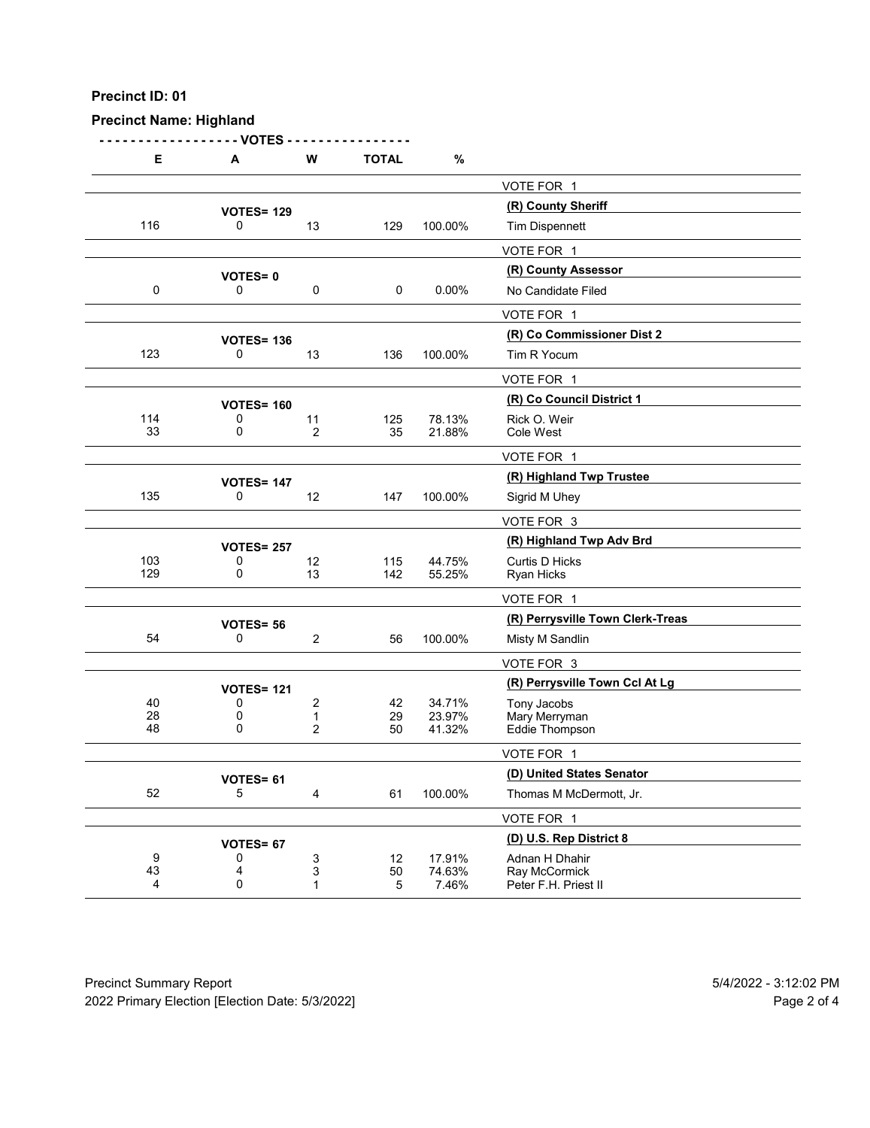## **Precinct Name: Highland**

**- - - - - - - - - - - - - - - - - - VOTES - - - - - - - - - - - - - - - -**

| Е         | Α                 | W                 | <b>TOTAL</b> | $\%$             |                                       |
|-----------|-------------------|-------------------|--------------|------------------|---------------------------------------|
|           |                   |                   |              |                  | VOTE FOR 1                            |
|           | <b>VOTES= 129</b> |                   |              |                  | (R) County Sheriff                    |
| 116       | 0                 | 13                | 129          | 100.00%          | <b>Tim Dispennett</b>                 |
|           |                   |                   |              |                  | VOTE FOR 1                            |
|           | <b>VOTES=0</b>    |                   |              |                  | (R) County Assessor                   |
| 0         | 0                 | 0                 | $\mathbf 0$  | 0.00%            | No Candidate Filed                    |
|           |                   |                   |              |                  | VOTE FOR 1                            |
|           | <b>VOTES= 136</b> |                   |              |                  | (R) Co Commissioner Dist 2            |
| 123       | 0                 | 13                | 136          | 100.00%          | Tim R Yocum                           |
|           |                   |                   |              |                  | VOTE FOR 1                            |
|           | <b>VOTES= 160</b> |                   |              |                  | (R) Co Council District 1             |
| 114<br>33 | 0<br>0            | 11<br>2           | 125<br>35    | 78.13%<br>21.88% | Rick O. Weir<br>Cole West             |
|           |                   |                   |              |                  | VOTE FOR 1                            |
|           | <b>VOTES= 147</b> |                   |              |                  | (R) Highland Twp Trustee              |
| 135       | 0                 | 12                | 147          | 100.00%          | Sigrid M Uhey                         |
|           |                   |                   |              |                  | VOTE FOR 3                            |
|           | <b>VOTES= 257</b> |                   |              |                  | (R) Highland Twp Adv Brd              |
| 103       | 0                 | 12                | 115          | 44.75%           | Curtis D Hicks                        |
| 129       | 0                 | 13                | 142          | 55.25%           | <b>Ryan Hicks</b>                     |
|           |                   |                   |              |                  | VOTE FOR 1                            |
|           | <b>VOTES=56</b>   |                   |              |                  | (R) Perrysville Town Clerk-Treas      |
| 54        | 0                 | $\overline{2}$    | 56           | 100.00%          | Misty M Sandlin                       |
|           |                   |                   |              |                  | VOTE FOR 3                            |
|           | <b>VOTES= 121</b> |                   |              |                  | (R) Perrysville Town Ccl At Lg        |
| 40<br>28  | 0                 | 2                 | 42           | 34.71%           | Tony Jacobs                           |
| 48        | 0<br>0            | 1<br>2            | 29<br>50     | 23.97%<br>41.32% | Mary Merryman<br>Eddie Thompson       |
|           |                   |                   |              |                  | VOTE FOR 1                            |
|           | <b>VOTES= 61</b>  |                   |              |                  | (D) United States Senator             |
| 52        | 5                 | 4                 | 61           | 100.00%          | Thomas M McDermott, Jr.               |
|           |                   |                   |              |                  | VOTE FOR 1                            |
|           | VOTES= 67         |                   |              |                  | (D) U.S. Rep District 8               |
| 9         | 0                 | 3                 | 12           | 17.91%           | Adnan H Dhahir                        |
| 43<br>4   | 4<br>0            | 3<br>$\mathbf{1}$ | 50<br>5      | 74.63%<br>7.46%  | Ray McCormick<br>Peter F.H. Priest II |
|           |                   |                   |              |                  |                                       |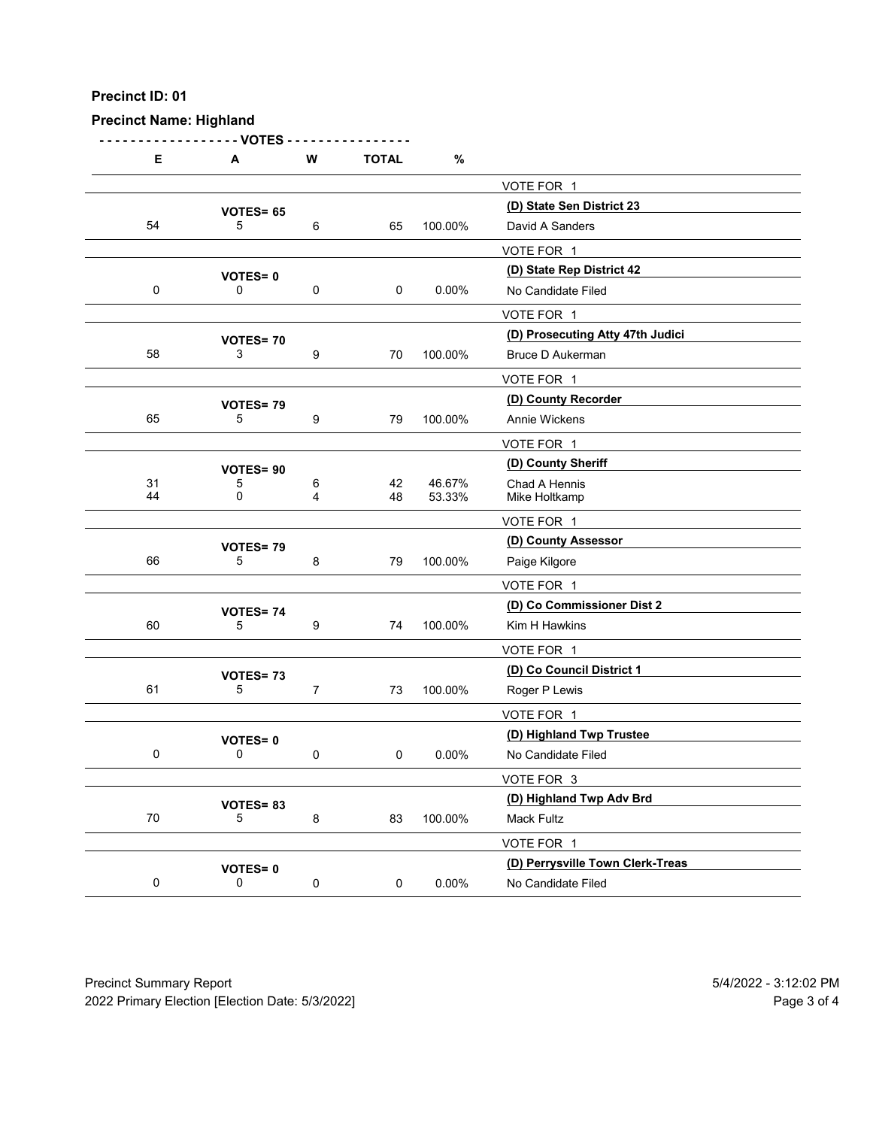**Precinct Name: Highland**

**- - - - - - - - - - - - - - - - - - VOTES - - - - - - - - - - - - - - - -**

| Е  | Α                | W | <b>TOTAL</b> | %       |                                  |
|----|------------------|---|--------------|---------|----------------------------------|
|    |                  |   |              |         | VOTE FOR 1                       |
|    | <b>VOTES= 65</b> |   |              |         | (D) State Sen District 23        |
| 54 | 5                | 6 | 65           | 100.00% | David A Sanders                  |
|    |                  |   |              |         | VOTE FOR 1                       |
|    | <b>VOTES=0</b>   |   |              |         | (D) State Rep District 42        |
| 0  | 0                | 0 | 0            | 0.00%   | No Candidate Filed               |
|    |                  |   |              |         | VOTE FOR 1                       |
|    | <b>VOTES=70</b>  |   |              |         | (D) Prosecuting Atty 47th Judici |
| 58 | 3                | 9 | 70           | 100.00% | Bruce D Aukerman                 |
|    |                  |   |              |         | VOTE FOR 1                       |
|    | <b>VOTES=79</b>  |   |              |         | (D) County Recorder              |
| 65 | 5                | 9 | 79           | 100.00% | Annie Wickens                    |
|    |                  |   |              |         | VOTE FOR 1                       |
|    | <b>VOTES=90</b>  |   |              |         | (D) County Sheriff               |
| 31 | 5                | 6 | 42           | 46.67%  | Chad A Hennis                    |
| 44 | 0                | 4 | 48           | 53.33%  | Mike Holtkamp                    |
|    |                  |   |              |         | VOTE FOR 1                       |
|    | <b>VOTES=79</b>  |   |              |         | (D) County Assessor              |
| 66 | 5                | 8 | 79           | 100.00% | Paige Kilgore                    |
|    |                  |   |              |         | VOTE FOR 1                       |
|    | <b>VOTES=74</b>  |   |              |         | (D) Co Commissioner Dist 2       |
| 60 | 5                | 9 | 74           | 100.00% | Kim H Hawkins                    |
|    |                  |   |              |         | VOTE FOR 1                       |
|    | <b>VOTES=73</b>  |   |              |         | (D) Co Council District 1        |
| 61 | 5                | 7 | 73           | 100.00% | Roger P Lewis                    |
|    |                  |   |              |         | VOTE FOR 1                       |
|    | <b>VOTES=0</b>   |   |              |         | (D) Highland Twp Trustee         |
| 0  | 0                | 0 | 0            | 0.00%   | No Candidate Filed               |
|    |                  |   |              |         | VOTE FOR 3                       |
|    | <b>VOTES=83</b>  |   |              |         | (D) Highland Twp Adv Brd         |
| 70 | 5                | 8 | 83           | 100.00% | <b>Mack Fultz</b>                |
|    |                  |   |              |         | VOTE FOR 1                       |
|    | <b>VOTES=0</b>   |   |              |         | (D) Perrysville Town Clerk-Treas |
| 0  | 0                | 0 | 0            | 0.00%   | No Candidate Filed               |

Precinct Summary Report 61 November 2012 12:02 PM 2022 Primary Election [Election Date: 5/3/2022] **Page 3 of 4** and 2022 Primary Election [Election Date: 5/3/2022]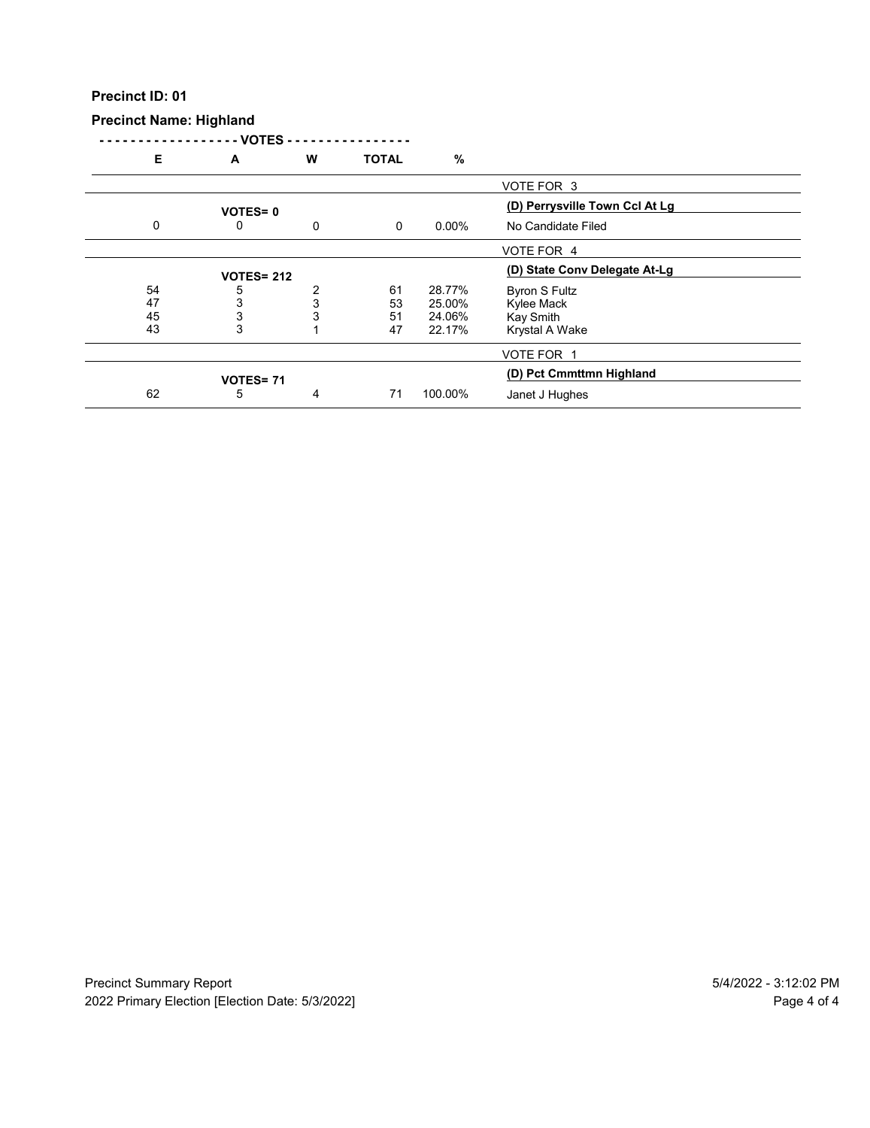**Precinct Name: Highland**

|    | <b>VOTES</b>      |   |              |          |                                |
|----|-------------------|---|--------------|----------|--------------------------------|
| Е  | A                 | W | <b>TOTAL</b> | $\%$     |                                |
|    |                   |   |              |          | VOTE FOR 3                     |
|    | <b>VOTES=0</b>    |   |              |          | (D) Perrysville Town Ccl At Lg |
| 0  | 0                 | 0 | $\mathbf 0$  | $0.00\%$ | No Candidate Filed             |
|    |                   |   |              |          | VOTE FOR 4                     |
|    | <b>VOTES= 212</b> |   |              |          | (D) State Conv Delegate At-Lg  |
| 54 | 5                 | 2 | 61           | 28.77%   | <b>Byron S Fultz</b>           |
| 47 | 3                 | 3 | 53           | 25.00%   | Kylee Mack                     |
| 45 | 3                 | 3 | 51           | 24.06%   | Kay Smith                      |
| 43 | 3                 |   | 47           | 22.17%   | Krystal A Wake                 |
|    |                   |   |              |          | VOTE FOR 1                     |
|    | <b>VOTES=71</b>   |   |              |          | (D) Pct Cmmttmn Highland       |
| 62 | 5                 | 4 | 71           | 100.00%  | Janet J Hughes                 |
|    |                   |   |              |          |                                |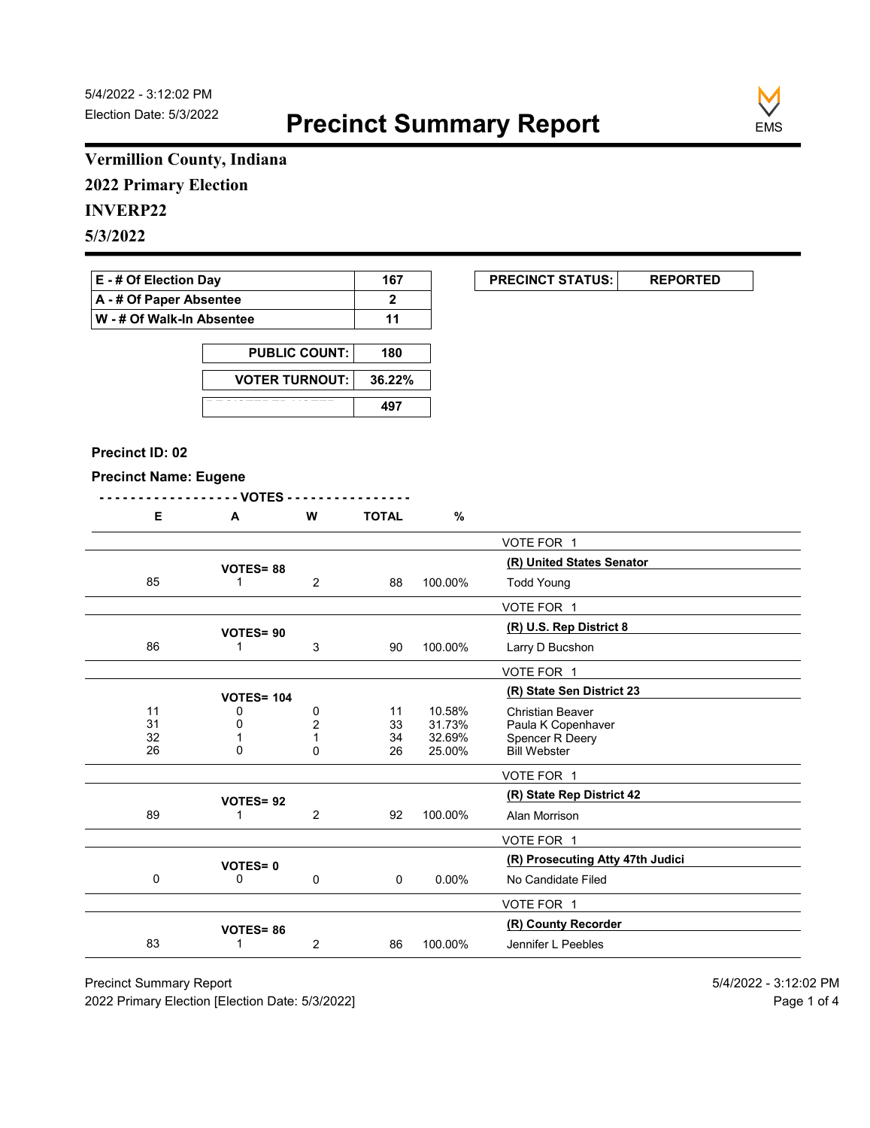

# **Vermillion County, Indiana**

**2022 Primary Election**

# **INVERP22**

**5/3/2022**

| $E - #$ Of Election Day          | 167 |
|----------------------------------|-----|
| A - # Of Paper Absentee          |     |
| <b>W</b> - # Of Walk-In Absentee | 11  |

| <b>PUBLIC COUNT:</b>  | 180    |
|-----------------------|--------|
| <b>VOTER TURNOUT:</b> | 36.22% |
|                       | 497    |

### **Precinct ID: 02**

#### **Precinct Name: Eugene**

**- - - - - - - - - - - - - - - - - - VOTES - - - - - - - - - - - - - - - -**

**E A W TOTAL %**

|                      |                   |                               |                      |                                      | VOTE FOR 1                                                                              |
|----------------------|-------------------|-------------------------------|----------------------|--------------------------------------|-----------------------------------------------------------------------------------------|
|                      | <b>VOTES=88</b>   |                               |                      |                                      | (R) United States Senator                                                               |
| 85                   |                   | $\overline{2}$                | 88                   | 100.00%                              | <b>Todd Young</b>                                                                       |
|                      |                   |                               |                      |                                      | VOTE FOR 1                                                                              |
|                      | <b>VOTES=90</b>   |                               |                      |                                      | (R) U.S. Rep District 8                                                                 |
| 86                   |                   | 3                             | 90                   | 100.00%                              | Larry D Bucshon                                                                         |
|                      |                   |                               |                      |                                      | VOTE FOR 1                                                                              |
|                      | <b>VOTES= 104</b> |                               |                      |                                      | (R) State Sen District 23                                                               |
| 11<br>31<br>32<br>26 | 0<br>n<br>0       | 0<br>$\overline{c}$<br>1<br>0 | 11<br>33<br>34<br>26 | 10.58%<br>31.73%<br>32.69%<br>25.00% | <b>Christian Beaver</b><br>Paula K Copenhaver<br>Spencer R Deery<br><b>Bill Webster</b> |
|                      |                   |                               |                      |                                      | VOTE FOR 1                                                                              |
|                      | <b>VOTES=92</b>   |                               |                      |                                      | (R) State Rep District 42                                                               |
| 89                   |                   | 2                             | 92                   | 100.00%                              | Alan Morrison                                                                           |
|                      |                   |                               |                      |                                      | VOTE FOR 1                                                                              |
|                      | <b>VOTES=0</b>    |                               |                      |                                      | (R) Prosecuting Atty 47th Judici                                                        |
| 0                    | 0                 | 0                             | $\Omega$             | $0.00\%$                             | No Candidate Filed                                                                      |
|                      |                   |                               |                      |                                      | VOTE FOR 1                                                                              |
|                      | <b>VOTES=86</b>   |                               |                      |                                      | (R) County Recorder                                                                     |
| 83                   |                   | 2                             | 86                   | 100.00%                              | Jennifer L Peebles                                                                      |

Precinct Summary Report 61 November 2012 12:02 PM

2022 Primary Election [Election Date: 5/3/2022] **Page 1 of 4** and 2022 Primary Election 1 of 4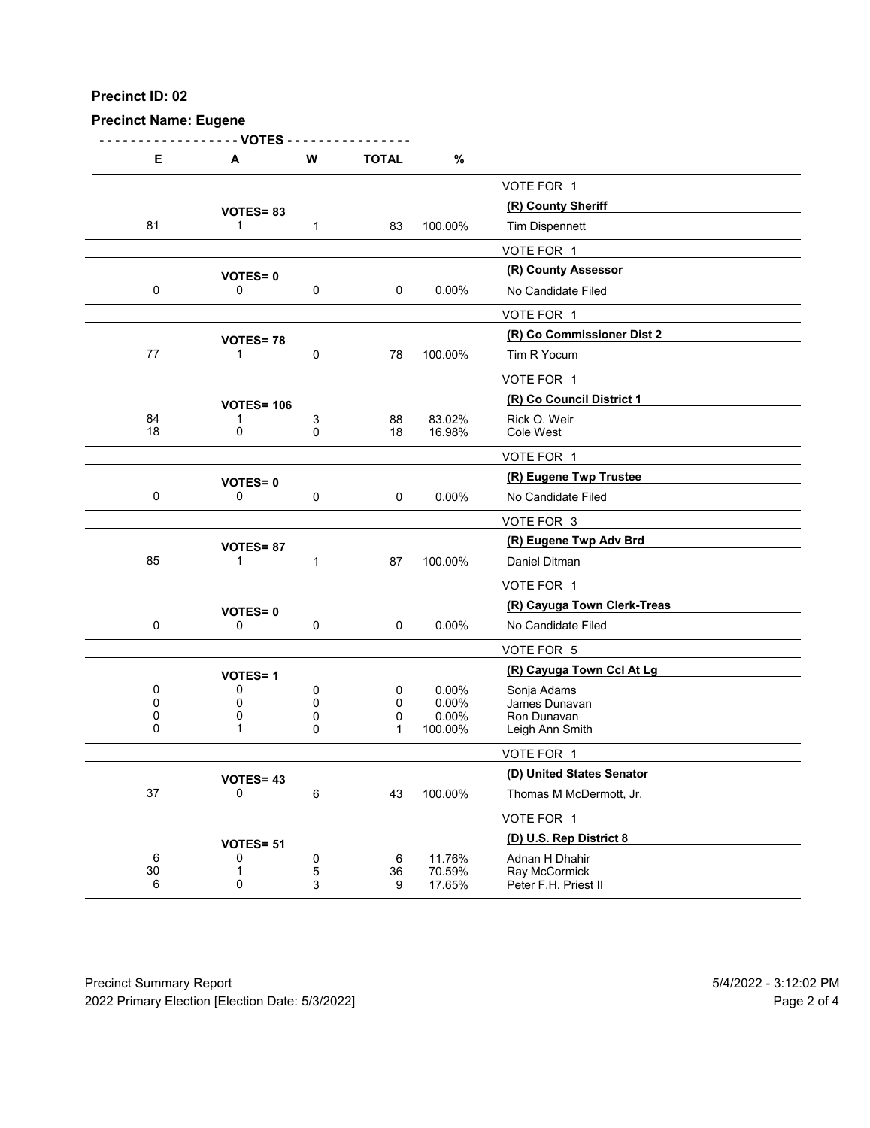**Precinct Name: Eugene**

**- - - - - - - - - - - - - - - - - - VOTES - - - - - - - - - - - - - - - -**

| Е           | A                 | W      | <b>TOTAL</b> | $\%$             |                                       |
|-------------|-------------------|--------|--------------|------------------|---------------------------------------|
|             |                   |        |              |                  | VOTE FOR 1                            |
|             | <b>VOTES=83</b>   |        |              |                  | (R) County Sheriff                    |
| 81          | 1                 | 1      | 83           | 100.00%          | <b>Tim Dispennett</b>                 |
|             |                   |        |              |                  | VOTE FOR 1                            |
|             | <b>VOTES=0</b>    |        |              |                  | (R) County Assessor                   |
| 0           | 0                 | 0      | $\mathbf 0$  | 0.00%            | No Candidate Filed                    |
|             |                   |        |              |                  | VOTE FOR 1                            |
|             | <b>VOTES=78</b>   |        |              |                  | (R) Co Commissioner Dist 2            |
| 77          | 1                 | 0      | 78           | 100.00%          | Tim R Yocum                           |
|             |                   |        |              |                  | VOTE FOR 1                            |
|             | <b>VOTES= 106</b> |        |              |                  | (R) Co Council District 1             |
| 84          |                   | 3      | 88           | 83.02%           | Rick O. Weir                          |
| 18          | 0                 | 0      | 18           | 16.98%           | Cole West                             |
|             |                   |        |              |                  | VOTE FOR 1                            |
|             | <b>VOTES=0</b>    |        |              |                  | (R) Eugene Twp Trustee                |
| 0           | 0                 | 0      | $\mathbf 0$  | 0.00%            | No Candidate Filed                    |
|             |                   |        |              |                  | VOTE FOR 3                            |
|             | <b>VOTES=87</b>   |        |              |                  | (R) Eugene Twp Adv Brd                |
| 85          | 1                 | 1      | 87           | 100.00%          | Daniel Ditman                         |
|             |                   |        |              |                  | VOTE FOR 1                            |
|             | <b>VOTES=0</b>    |        |              |                  | (R) Cayuga Town Clerk-Treas           |
| 0           | 0                 | 0      | $\mathbf 0$  | 0.00%            | No Candidate Filed                    |
|             |                   |        |              |                  | VOTE FOR 5                            |
|             | <b>VOTES=1</b>    |        |              |                  | (R) Cayuga Town Ccl At Lg             |
| 0           | 0                 | 0      | 0            | 0.00%            | Sonja Adams                           |
| 0<br>0      | 0<br>0            | 0<br>0 | 0<br>0       | 0.00%<br>0.00%   | James Dunavan<br>Ron Dunavan          |
| 0           | 1                 | 0      | 1            | 100.00%          | Leigh Ann Smith                       |
|             |                   |        |              |                  | VOTE FOR 1                            |
|             | <b>VOTES=43</b>   |        |              |                  | (D) United States Senator             |
| 37          | U                 | 6      | 43           | 100.00%          | Thomas M McDermott, Jr.               |
|             |                   |        |              |                  | VOTE FOR 1                            |
|             | <b>VOTES= 51</b>  |        |              |                  | (D) U.S. Rep District 8               |
| 6           | 0                 | 0      | 6            | 11.76%           | Adnan H Dhahir                        |
| $30\,$<br>6 | 1<br>0            | 5<br>3 | 36<br>9      | 70.59%<br>17.65% | Ray McCormick<br>Peter F.H. Priest II |
|             |                   |        |              |                  |                                       |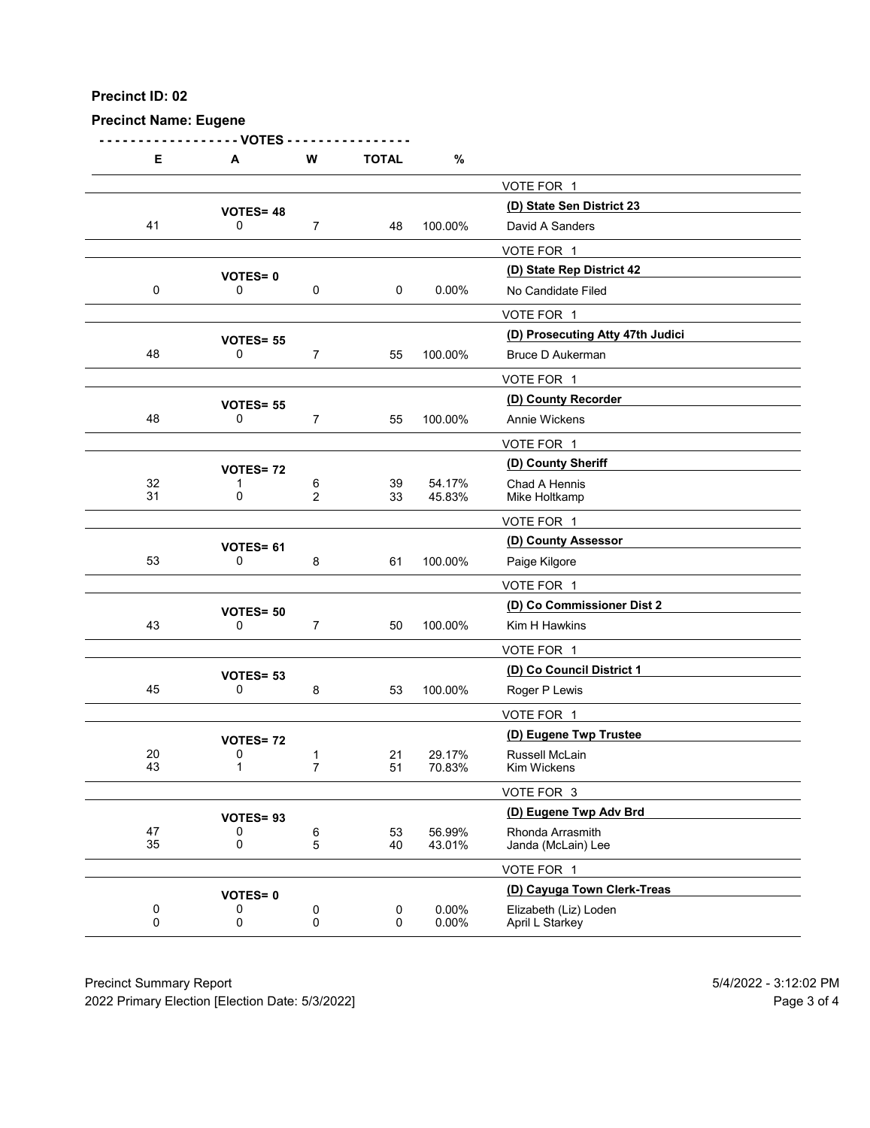### **Precinct Name: Eugene**

**- - - - - - - - - - - - - - - - - - VOTES - - - - - - - - - - - - - - - -**

| Е        | A                | W                   | <b>TOTAL</b> | $\%$             |                                      |
|----------|------------------|---------------------|--------------|------------------|--------------------------------------|
|          |                  |                     |              |                  | VOTE FOR 1                           |
|          | <b>VOTES=48</b>  |                     |              |                  | (D) State Sen District 23            |
| 41       | 0                | 7                   | 48           | 100.00%          | David A Sanders                      |
|          |                  |                     |              |                  | VOTE FOR 1                           |
|          | <b>VOTES=0</b>   |                     |              |                  | (D) State Rep District 42            |
| 0        | 0                | 0                   | 0            | 0.00%            | No Candidate Filed                   |
|          |                  |                     |              |                  | VOTE FOR 1                           |
|          | <b>VOTES= 55</b> |                     |              |                  | (D) Prosecuting Atty 47th Judici     |
| 48       | 0                | 7                   | 55           | 100.00%          | <b>Bruce D Aukerman</b>              |
|          |                  |                     |              |                  | VOTE FOR 1                           |
|          | <b>VOTES= 55</b> |                     |              |                  | (D) County Recorder                  |
| 48       | 0                | 7                   | 55           | 100.00%          | Annie Wickens                        |
|          |                  |                     |              |                  | VOTE FOR 1                           |
|          | <b>VOTES=72</b>  |                     |              |                  | (D) County Sheriff                   |
| 32<br>31 | 1<br>0           | 6                   | 39           | 54.17%           | Chad A Hennis                        |
|          |                  | $\overline{2}$      | 33           | 45.83%           | Mike Holtkamp                        |
|          |                  |                     |              |                  | VOTE FOR 1                           |
|          | VOTES= 61        |                     |              |                  | (D) County Assessor                  |
| 53       | 0                | 8                   | 61           | 100.00%          | Paige Kilgore                        |
|          |                  |                     |              |                  | VOTE FOR 1                           |
|          | <b>VOTES=50</b>  |                     |              |                  | (D) Co Commissioner Dist 2           |
| 43       | 0                | 7                   | 50           | 100.00%          | Kim H Hawkins                        |
|          |                  |                     |              |                  | VOTE FOR 1                           |
|          | VOTES= 53        |                     |              |                  | (D) Co Council District 1            |
| 45       | 0                | 8                   | 53           | 100.00%          | Roger P Lewis                        |
|          |                  |                     |              |                  | VOTE FOR 1                           |
|          | <b>VOTES=72</b>  |                     |              |                  | (D) Eugene Twp Trustee               |
| 20<br>43 | 0<br>1           | 1<br>$\overline{7}$ | 21<br>51     | 29.17%<br>70.83% | <b>Russell McLain</b><br>Kim Wickens |
|          |                  |                     |              |                  |                                      |
|          |                  |                     |              |                  | VOTE FOR 3<br>(D) Eugene Twp Adv Brd |
| 47       | VOTES=93<br>0    | 6                   | 53           | 56.99%           | Rhonda Arrasmith                     |
| 35       | 0                | 5                   | 40           | 43.01%           | Janda (McLain) Lee                   |
|          |                  |                     |              |                  | VOTE FOR 1                           |
|          | <b>VOTES=0</b>   |                     |              |                  | (D) Cayuga Town Clerk-Treas          |
| 0        | 0                | 0                   | 0            | 0.00%            | Elizabeth (Liz) Loden                |
| 0        | 0                | 0                   | 0            | 0.00%            | April L Starkey                      |

Precinct Summary Report 61 November 2012 12:02 PM 2022 Primary Election [Election Date: 5/3/2022] **Page 3 of 4** and 2022 Primary Election [Election Date: 5/3/2022]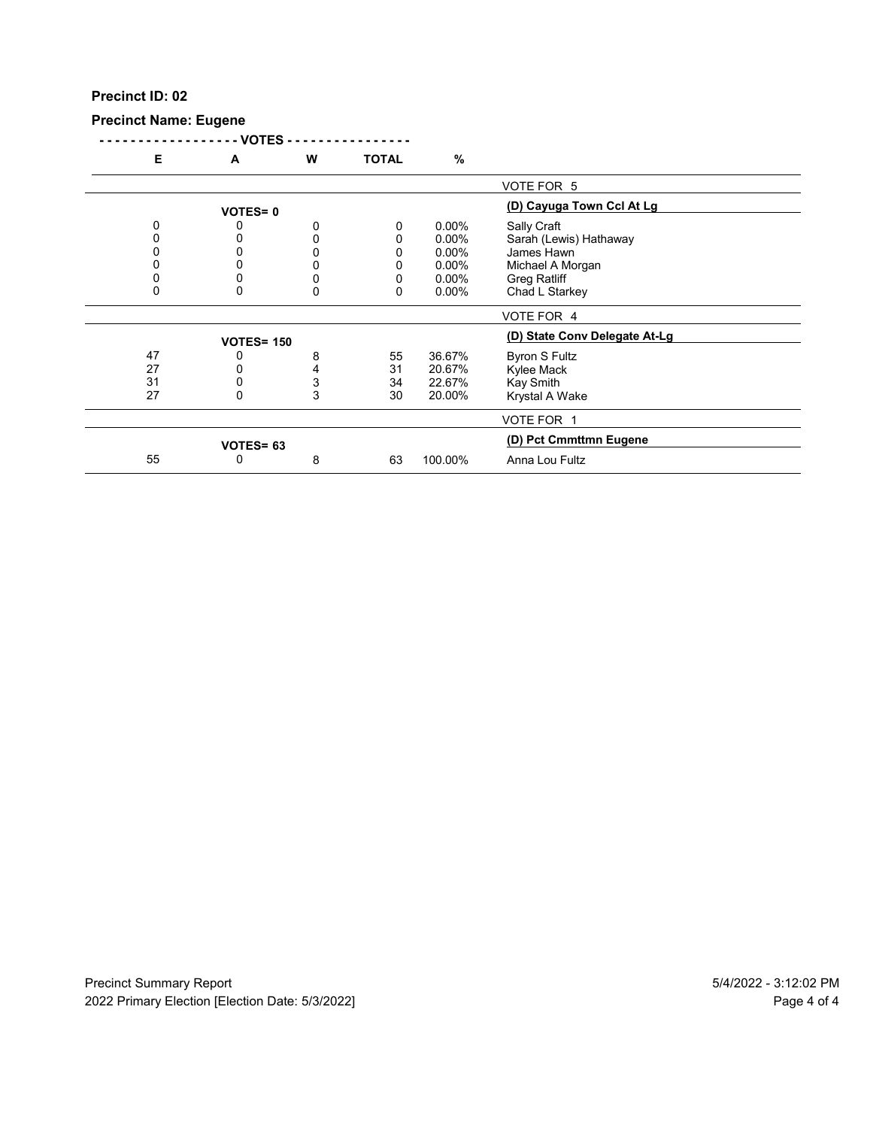**Precinct Name: Eugene**

### **- - - - - - - - - - - - - - - - - - VOTES - - - - - - - - - - - - - - - - E A W TOTAL %** VOTE FOR 5 **VOTES= 0**<br>0 0 0 0 0 0 0.00% Sally Craft 0 0 0 0 0.00% Sally Craft 0 0 0 0 0.00% Sarah (Lewis) Hathaway 0 0 0 0 0 0.00% James Hawn<br>0 0 0 0 0.00% Michael A Mo 0 0 0 0 0 0.00% Michael A Morgan<br>0 0 0 0 0.00% Greg Ratliff 0 0 0 0 0 0.00% Greg Ratliff<br>0 0 0 0 0 0.00% Chad L Star Chad L Starkey VOTE FOR 4 **VOTES= 150**<br>0 8 55 36.67% Byron S Fultz<br>0 8 55 36.67% Byron S Fultz 47 0 8 55 36.67% Byron S Fultz<br>27 0 4 31 20.67% Kylee Mack<br>31 0 3 34 22.67% Kay Smith 27 0 4 31 20.67% Kylee Mack 31 0 3 34 22.67% Kay Smith<br>27 0 3 30 20.00% Krystal A V Krystal A Wake VOTE FOR 1 **(D) Pct Cmmttmn Eugene VOTES= <sup>63</sup>** 55 0 8 63 100.00% Anna Lou Fultz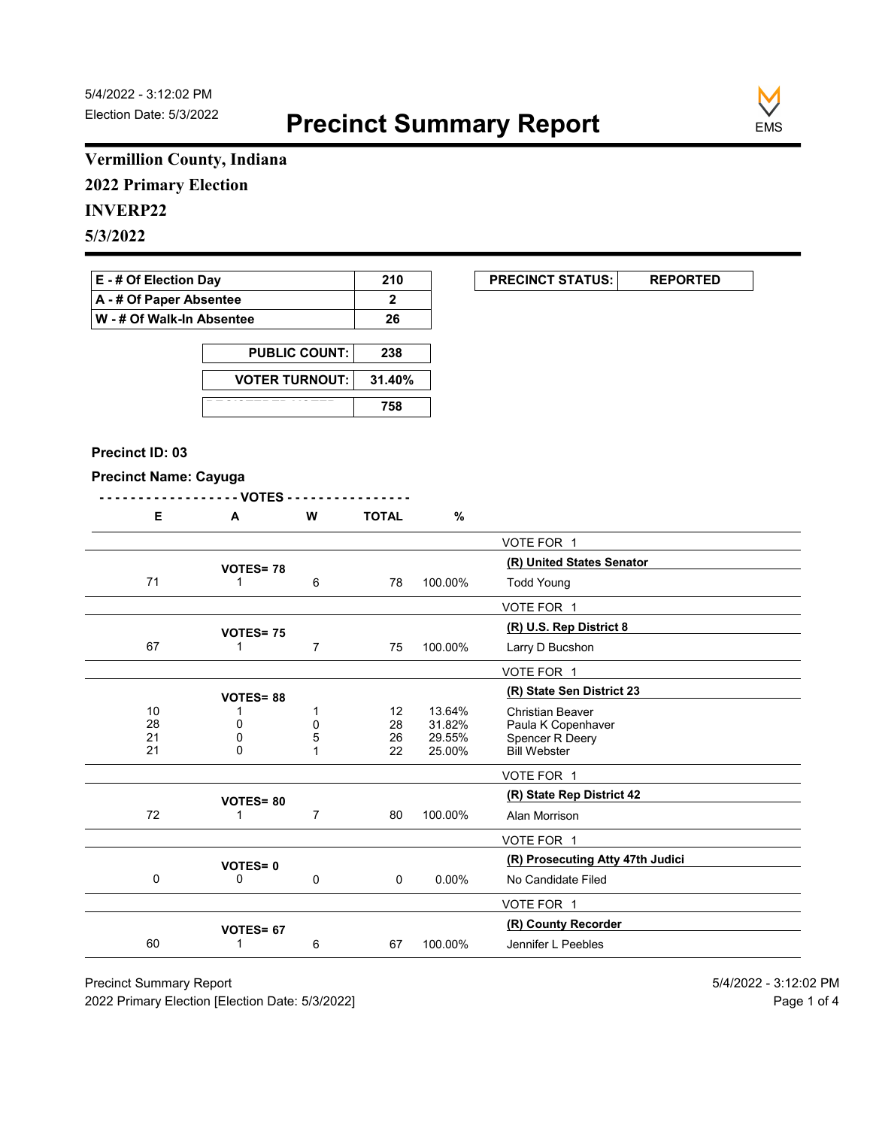

# **Vermillion County, Indiana**

**2022 Primary Election**

## **INVERP22**

**5/3/2022**

| <b>E</b> - # Of Election Day     | 210 |
|----------------------------------|-----|
| A - # Of Paper Absentee          |     |
| <b>W</b> - # Of Walk-In Absentee | 26  |

| <b>PUBLIC COUNT:</b>  | 238    |
|-----------------------|--------|
| <b>VOTER TURNOUT:</b> | 31.40% |
|                       | 758    |

### **Precinct ID: 03**

**Precinct Name: Cayuga**

**- - - - - - - - - - - - - - - - - - VOTES - - - - - - - - - - - - - - - -**

**E A W TOTAL %**

|                      |                  |        |                      |                                      | VOTE FOR 1                                                                              |
|----------------------|------------------|--------|----------------------|--------------------------------------|-----------------------------------------------------------------------------------------|
|                      | <b>VOTES=78</b>  |        |                      |                                      | (R) United States Senator                                                               |
| 71                   | 1                | 6      | 78                   | 100.00%                              | <b>Todd Young</b>                                                                       |
|                      |                  |        |                      |                                      | VOTE FOR 1                                                                              |
|                      | <b>VOTES=75</b>  |        |                      |                                      | (R) U.S. Rep District 8                                                                 |
| 67                   |                  | 7      | 75                   | 100.00%                              | Larry D Bucshon                                                                         |
|                      |                  |        |                      |                                      | VOTE FOR 1                                                                              |
|                      | <b>VOTES=88</b>  |        |                      |                                      | (R) State Sen District 23                                                               |
| 10<br>28<br>21<br>21 | 0<br>0<br>0      | 0<br>5 | 12<br>28<br>26<br>22 | 13.64%<br>31.82%<br>29.55%<br>25.00% | <b>Christian Beaver</b><br>Paula K Copenhaver<br>Spencer R Deery<br><b>Bill Webster</b> |
|                      |                  |        |                      |                                      | VOTE FOR 1                                                                              |
|                      | <b>VOTES=80</b>  |        |                      |                                      | (R) State Rep District 42                                                               |
| 72                   | 1                | 7      | 80                   | 100.00%                              | Alan Morrison                                                                           |
|                      |                  |        |                      |                                      | VOTE FOR 1                                                                              |
|                      | <b>VOTES=0</b>   |        |                      |                                      | (R) Prosecuting Atty 47th Judici                                                        |
| 0                    | 0                | 0      | $\mathbf{0}$         | $0.00\%$                             | No Candidate Filed                                                                      |
|                      |                  |        |                      |                                      | VOTE FOR 1                                                                              |
|                      | <b>VOTES= 67</b> |        |                      |                                      | (R) County Recorder                                                                     |
| 60                   |                  | 6      | 67                   | 100.00%                              | Jennifer L Peebles                                                                      |

Precinct Summary Report 61 November 2012 12:02 PM

2022 Primary Election [Election Date: 5/3/2022] **Page 1 of 4** and 2022 Primary Election 1 of 4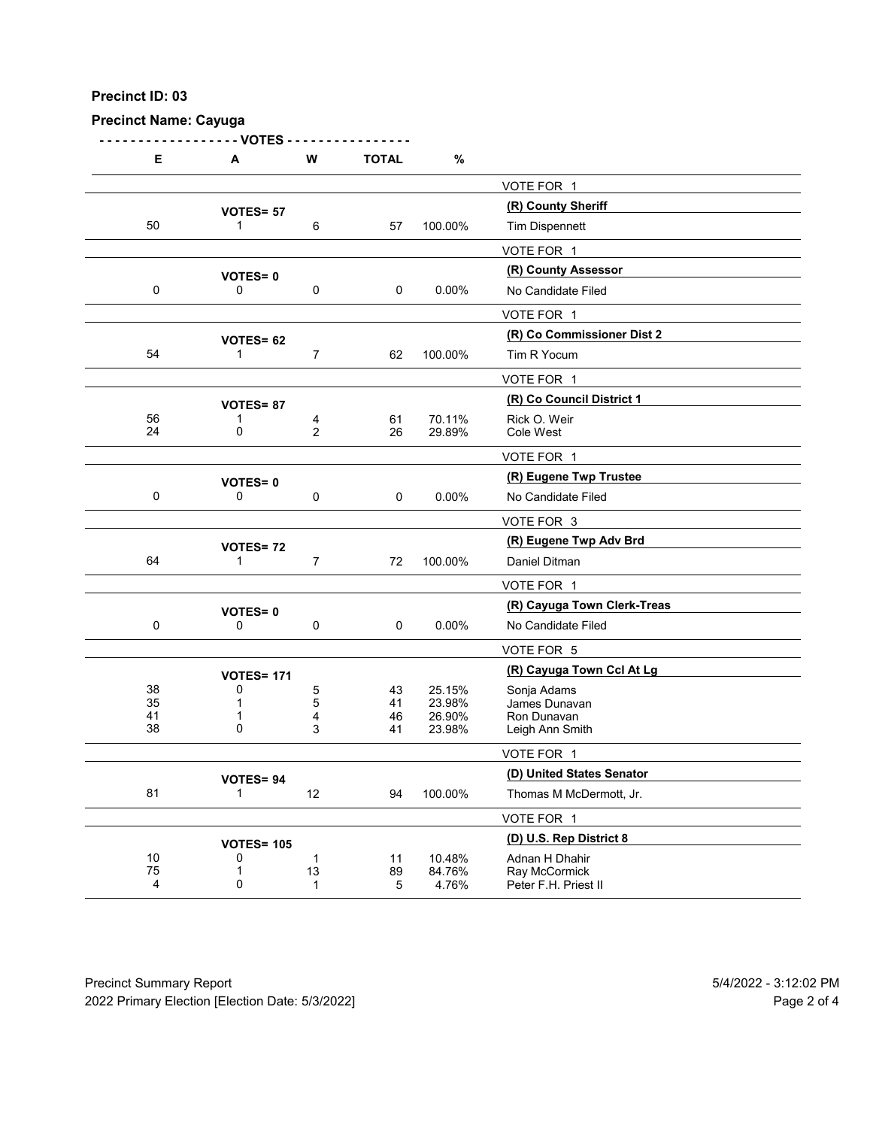**Precinct Name: Cayuga**

**- - - - - - - - - - - - - - - - - - VOTES - - - - - - - - - - - - - - - -**

| Е        | A                 | W       | <b>TOTAL</b> | $\%$             |                                       |
|----------|-------------------|---------|--------------|------------------|---------------------------------------|
|          |                   |         |              |                  | VOTE FOR 1                            |
|          | <b>VOTES= 57</b>  |         |              |                  | (R) County Sheriff                    |
| 50       | 1                 | 6       | 57           | 100.00%          | <b>Tim Dispennett</b>                 |
|          |                   |         |              |                  | VOTE FOR 1                            |
|          | <b>VOTES=0</b>    |         |              |                  | (R) County Assessor                   |
| 0        | 0                 | 0       | 0            | 0.00%            | No Candidate Filed                    |
|          |                   |         |              |                  | VOTE FOR 1                            |
|          | <b>VOTES= 62</b>  |         |              |                  | (R) Co Commissioner Dist 2            |
| 54       | 1                 | 7       | 62           | 100.00%          | Tim R Yocum                           |
|          |                   |         |              |                  | VOTE FOR 1                            |
|          | <b>VOTES=87</b>   |         |              |                  | (R) Co Council District 1             |
| 56       | 1                 | 4       | 61           | 70.11%           | Rick O. Weir                          |
| 24       | 0                 | 2       | 26           | 29.89%           | Cole West                             |
|          |                   |         |              |                  | VOTE FOR 1                            |
|          | <b>VOTES=0</b>    |         |              |                  | (R) Eugene Twp Trustee                |
| 0        | 0                 | 0       | 0            | 0.00%            | No Candidate Filed                    |
|          |                   |         |              |                  | VOTE FOR 3                            |
|          | <b>VOTES=72</b>   |         |              |                  | (R) Eugene Twp Adv Brd                |
| 64       | 1                 | 7       | 72           | 100.00%          | Daniel Ditman                         |
|          |                   |         |              |                  | VOTE FOR 1                            |
|          | <b>VOTES=0</b>    |         |              |                  | (R) Cayuga Town Clerk-Treas           |
| 0        | 0                 | 0       | 0            | 0.00%            | No Candidate Filed                    |
|          |                   |         |              |                  | VOTE FOR 5                            |
|          | <b>VOTES= 171</b> |         |              |                  | (R) Cayuga Town Ccl At Lg             |
| 38       | 0                 | 5       | 43           | 25.15%           | Sonja Adams                           |
| 35<br>41 | 1                 | 5<br>4  | 41<br>46     | 23.98%<br>26.90% | James Dunavan<br>Ron Dunavan          |
| 38       | 0                 | 3       | 41           | 23.98%           | Leigh Ann Smith                       |
|          |                   |         |              |                  | VOTE FOR 1                            |
|          | <b>VOTES=94</b>   |         |              |                  | (D) United States Senator             |
| 81       |                   | 12      | 94           | 100.00%          | Thomas M McDermott, Jr.               |
|          |                   |         |              |                  | VOTE FOR 1                            |
|          | <b>VOTES= 105</b> |         |              |                  | (D) U.S. Rep District 8               |
| $10$     | 0                 | 1       | 11           | 10.48%           | Adnan H Dhahir                        |
| 75<br>4  | 1<br>0            | 13<br>1 | 89<br>5      | 84.76%<br>4.76%  | Ray McCormick<br>Peter F.H. Priest II |
|          |                   |         |              |                  |                                       |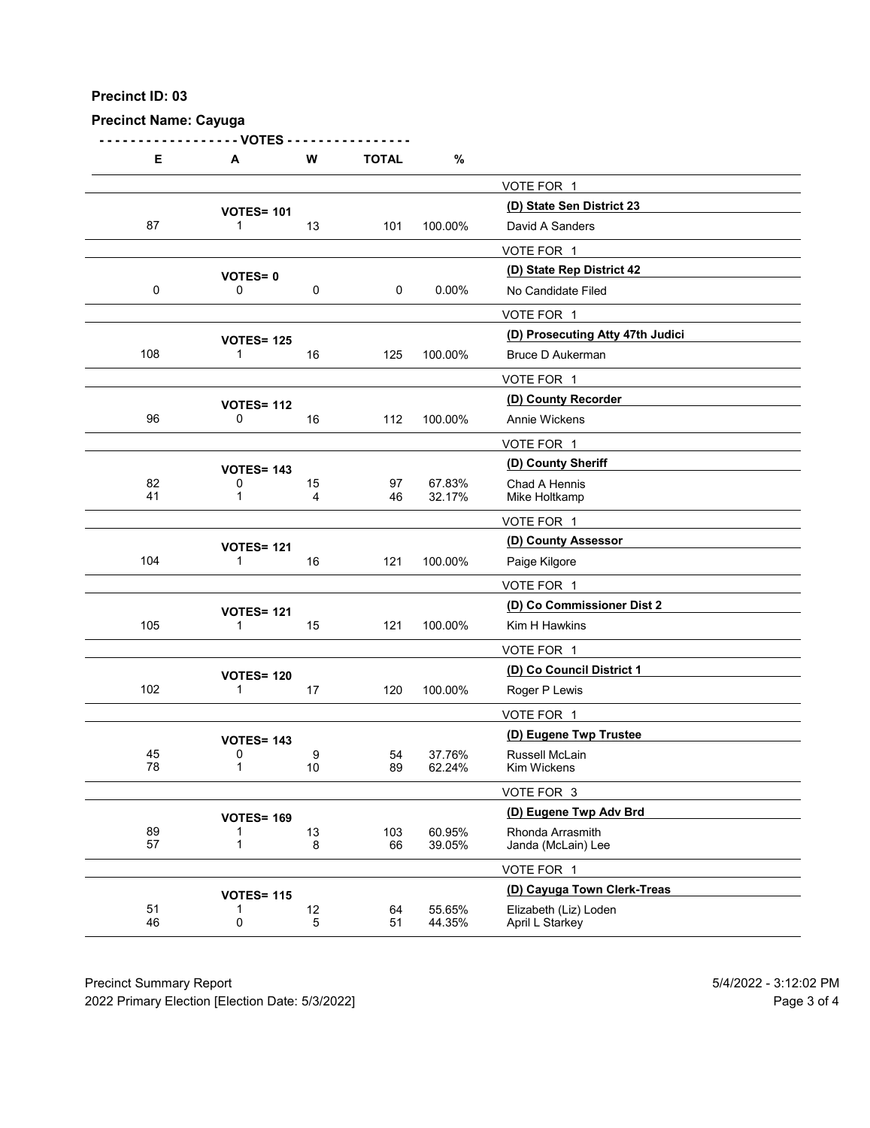**Precinct Name: Cayuga**

**- - - - - - - - - - - - - - - - - - VOTES - - - - - - - - - - - - - - - -**

| Е        | A                 | W       | TOTAL       | %                |                                        |
|----------|-------------------|---------|-------------|------------------|----------------------------------------|
|          |                   |         |             |                  | VOTE FOR 1                             |
|          | <b>VOTES= 101</b> |         |             |                  | (D) State Sen District 23              |
| 87       | 1                 | 13      | 101         | 100.00%          | David A Sanders                        |
|          |                   |         |             |                  | VOTE FOR 1                             |
|          | <b>VOTES=0</b>    |         |             |                  | (D) State Rep District 42              |
| 0        | 0                 | 0       | $\mathbf 0$ | 0.00%            | No Candidate Filed                     |
|          |                   |         |             |                  | VOTE FOR 1                             |
|          | <b>VOTES= 125</b> |         |             |                  | (D) Prosecuting Atty 47th Judici       |
| 108      | 1                 | 16      | 125         | 100.00%          | Bruce D Aukerman                       |
|          |                   |         |             |                  | VOTE FOR 1                             |
|          | <b>VOTES= 112</b> |         |             |                  | (D) County Recorder                    |
| 96       | 0                 | 16      | 112         | 100.00%          | Annie Wickens                          |
|          |                   |         |             |                  | VOTE FOR 1                             |
|          | <b>VOTES= 143</b> |         |             |                  | (D) County Sheriff                     |
| 82       | 0                 | 15      | 97          | 67.83%           | Chad A Hennis                          |
| 41       | 1                 | 4       | 46          | 32.17%           | Mike Holtkamp                          |
|          |                   |         |             |                  | VOTE FOR 1                             |
|          | <b>VOTES= 121</b> |         |             |                  | (D) County Assessor                    |
| 104      | 1                 | 16      | 121         | 100.00%          | Paige Kilgore                          |
|          |                   |         |             |                  | VOTE FOR 1                             |
|          | <b>VOTES= 121</b> |         |             |                  | (D) Co Commissioner Dist 2             |
| 105      | 1                 | 15      | 121         | 100.00%          | Kim H Hawkins                          |
|          |                   |         |             |                  | VOTE FOR 1                             |
|          | <b>VOTES= 120</b> |         |             |                  | (D) Co Council District 1              |
| 102      | 1                 | 17      | 120         | 100.00%          | Roger P Lewis                          |
|          |                   |         |             |                  | VOTE FOR 1                             |
|          | <b>VOTES= 143</b> |         |             |                  | (D) Eugene Twp Trustee                 |
| 45       | 0                 | 9       | 54          | 37.76%           | Russell McLain                         |
| 78       | 1                 | 10      | 89          | 62.24%           | Kim Wickens                            |
|          |                   |         |             |                  | VOTE FOR 3                             |
|          | <b>VOTES= 169</b> |         |             |                  | (D) Eugene Twp Adv Brd                 |
| 89<br>57 | 1<br>1            | 13<br>8 | 103<br>66   | 60.95%<br>39.05% | Rhonda Arrasmith<br>Janda (McLain) Lee |
|          |                   |         |             |                  | VOTE FOR 1                             |
|          | <b>VOTES= 115</b> |         |             |                  | (D) Cayuga Town Clerk-Treas            |
| 51       |                   | 12      | 64          | 55.65%           | Elizabeth (Liz) Loden                  |
| 46       | 0                 | 5       | 51          | 44.35%           | April L Starkey                        |

Precinct Summary Report 61 November 2012 12:02 PM 2022 Primary Election [Election Date: 5/3/2022] **Page 3 of 4** and 2022 Primary Election [Election Date: 5/3/2022]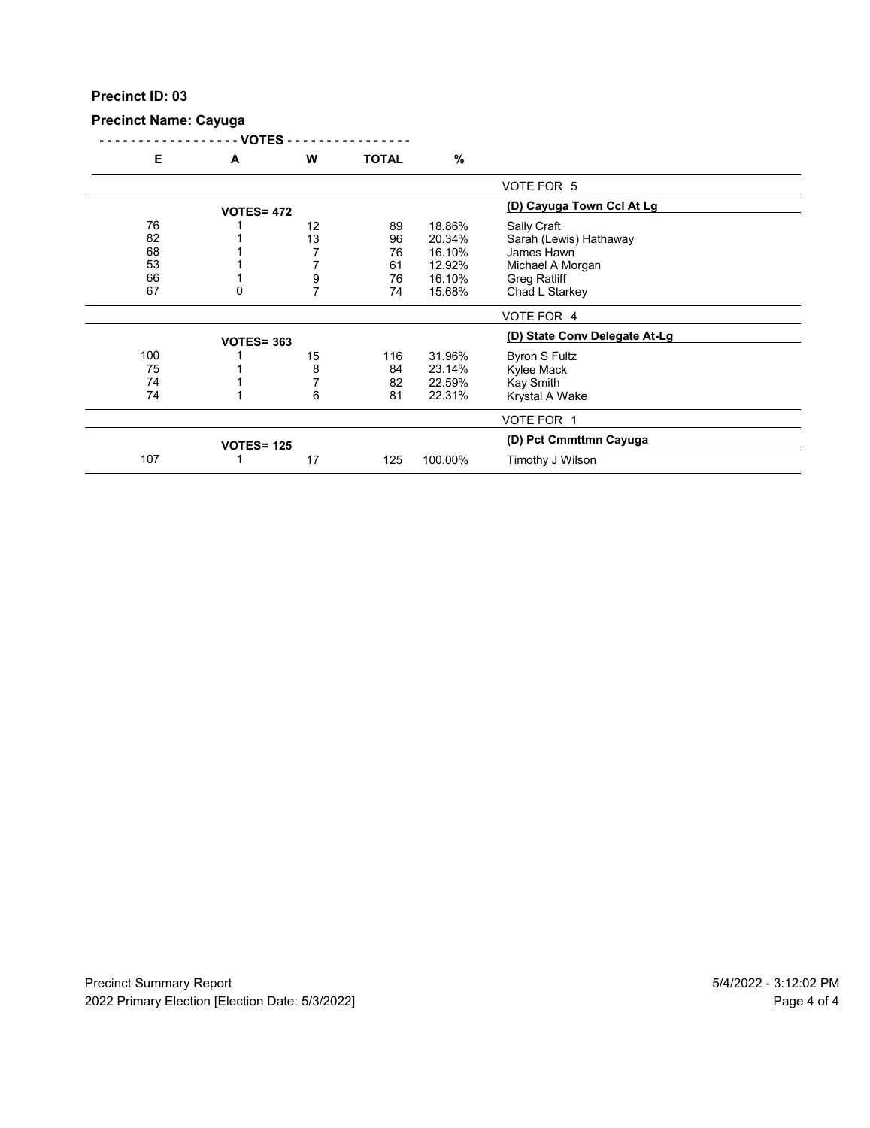| Е   | A         | W                            | <b>TOTAL</b>                                                                        | %               |                               |
|-----|-----------|------------------------------|-------------------------------------------------------------------------------------|-----------------|-------------------------------|
|     |           |                              |                                                                                     |                 | VOTE FOR 5                    |
|     |           |                              |                                                                                     |                 | (D) Cayuga Town Ccl At Lg     |
| 76  |           | 12                           | 89                                                                                  | 18.86%          | Sally Craft                   |
| 82  |           | 13                           | 96                                                                                  | 20.34%          | Sarah (Lewis) Hathaway        |
| 68  |           |                              | 76                                                                                  | 16.10%          | James Hawn                    |
| 53  |           |                              | 61                                                                                  | 12.92%          | Michael A Morgan              |
| 66  |           | 9                            | 76                                                                                  | 16.10%          | <b>Greg Ratliff</b>           |
| 67  | 0         |                              | 74                                                                                  | 15.68%          | Chad L Starkey                |
|     |           |                              |                                                                                     |                 | VOTE FOR 4                    |
|     |           |                              |                                                                                     |                 | (D) State Conv Delegate At-Lg |
|     |           |                              |                                                                                     |                 | <b>Byron S Fultz</b>          |
| 75  |           |                              |                                                                                     |                 | Kylee Mack                    |
|     |           |                              |                                                                                     |                 | Kay Smith                     |
| 74  |           | 6                            | 81                                                                                  | 22.31%          | Krystal A Wake                |
|     |           |                              |                                                                                     |                 | VOTE FOR 1                    |
|     |           |                              |                                                                                     |                 | (D) Pct Cmmttmn Cayuga        |
| 107 |           | 17                           | 125                                                                                 | 100.00%         | Timothy J Wilson              |
|     | 100<br>74 | <b>Precinct Name: Cayuga</b> | - VOTES -<br><b>VOTES= 472</b><br><b>VOTES= 363</b><br>15<br>8<br><b>VOTES= 125</b> | 116<br>84<br>82 | 31.96%<br>23.14%<br>22.59%    |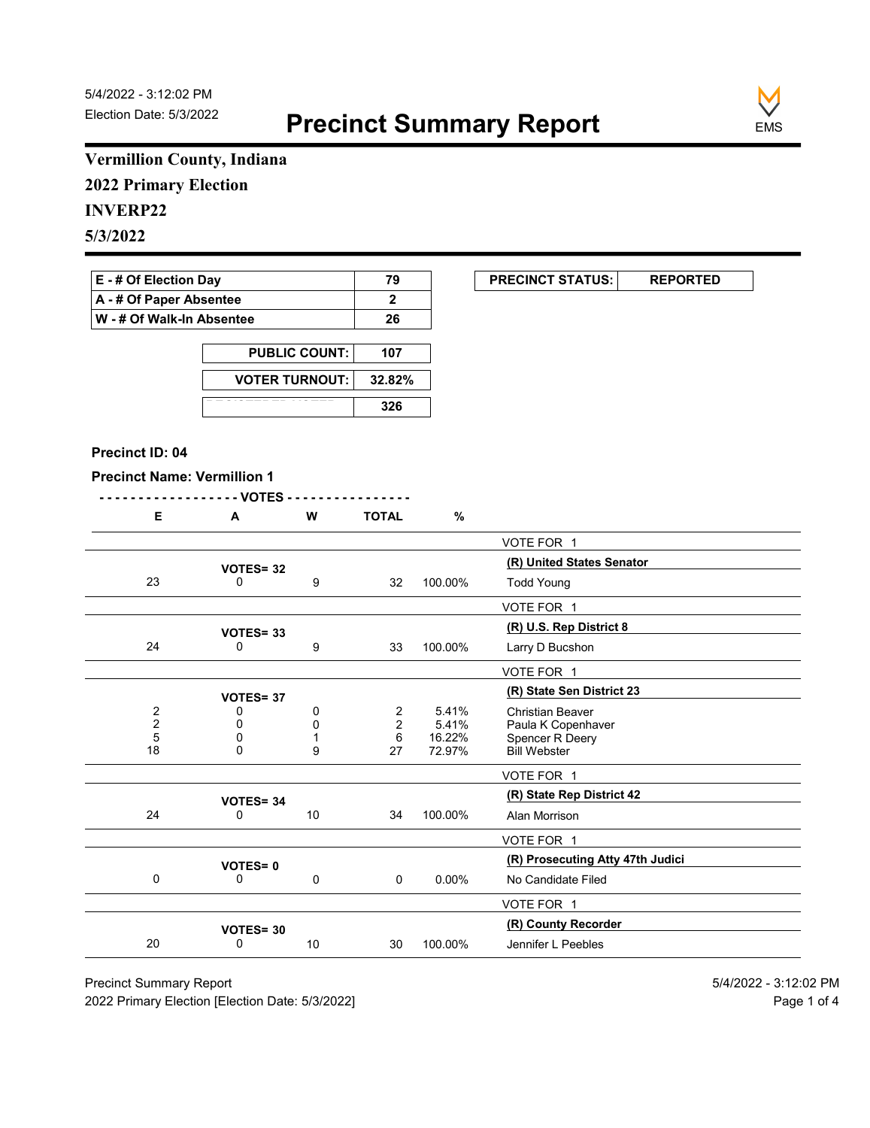

# **Vermillion County, Indiana**

**2022 Primary Election**

# **INVERP22**

**5/3/2022**

| $E - #$ Of Election Day              | 79 |
|--------------------------------------|----|
| $\mathsf{A}$ - # Of Paper Absentee   |    |
| $\mathsf{W}$ - # Of Walk-In Absentee | 26 |

| <b>PUBLIC COUNT:</b>  | 107    |
|-----------------------|--------|
| <b>VOTER TURNOUT:</b> | 32.82% |
|                       | 326    |

### **Precinct ID: 04**

**Precinct Name: Vermillion 1**

**- - - - - - - - - - - - - - - - - - VOTES - - - - - - - - - - - - - - - -**

**E A W TOTAL %**

|                                                   |                  |             |                                |                                    | VOTE FOR 1                                                                              |
|---------------------------------------------------|------------------|-------------|--------------------------------|------------------------------------|-----------------------------------------------------------------------------------------|
|                                                   | <b>VOTES=32</b>  |             |                                |                                    | (R) United States Senator                                                               |
| 23                                                | 0                | 9           | 32                             | 100.00%                            | <b>Todd Young</b>                                                                       |
|                                                   |                  |             |                                |                                    | VOTE FOR 1                                                                              |
|                                                   | <b>VOTES=33</b>  |             |                                |                                    | (R) U.S. Rep District 8                                                                 |
| 24                                                | 0                | 9           | 33                             | 100.00%                            | Larry D Bucshon                                                                         |
|                                                   |                  |             |                                |                                    | VOTE FOR 1                                                                              |
|                                                   | <b>VOTES=37</b>  |             |                                |                                    | (R) State Sen District 23                                                               |
| 2<br>$\overline{\mathbf{c}}$<br>$\mathbf 5$<br>18 | 0<br>0<br>0<br>0 | 0<br>0<br>9 | 2<br>$\overline{c}$<br>6<br>27 | 5.41%<br>5.41%<br>16.22%<br>72.97% | <b>Christian Beaver</b><br>Paula K Copenhaver<br>Spencer R Deery<br><b>Bill Webster</b> |
|                                                   |                  |             |                                |                                    | VOTE FOR 1                                                                              |
|                                                   | <b>VOTES=34</b>  |             |                                |                                    | (R) State Rep District 42                                                               |
| 24                                                | 0                | 10          | 34                             | 100.00%                            | Alan Morrison                                                                           |
|                                                   |                  |             |                                |                                    | VOTE FOR 1                                                                              |
|                                                   | <b>VOTES=0</b>   |             |                                |                                    | (R) Prosecuting Atty 47th Judici                                                        |
| 0                                                 | 0                | 0           | $\mathbf 0$                    | $0.00\%$                           | No Candidate Filed                                                                      |
|                                                   |                  |             |                                |                                    | VOTE FOR 1                                                                              |
|                                                   | <b>VOTES=30</b>  |             |                                |                                    | (R) County Recorder                                                                     |
| 20                                                | 0                | 10          | 30                             | 100.00%                            | Jennifer L Peebles                                                                      |
|                                                   |                  |             |                                |                                    |                                                                                         |

Precinct Summary Report 61 November 2012 12:02 PM

2022 Primary Election [Election Date: 5/3/2022] **Page 1 of 4** and 2022 Primary Election 1 of 4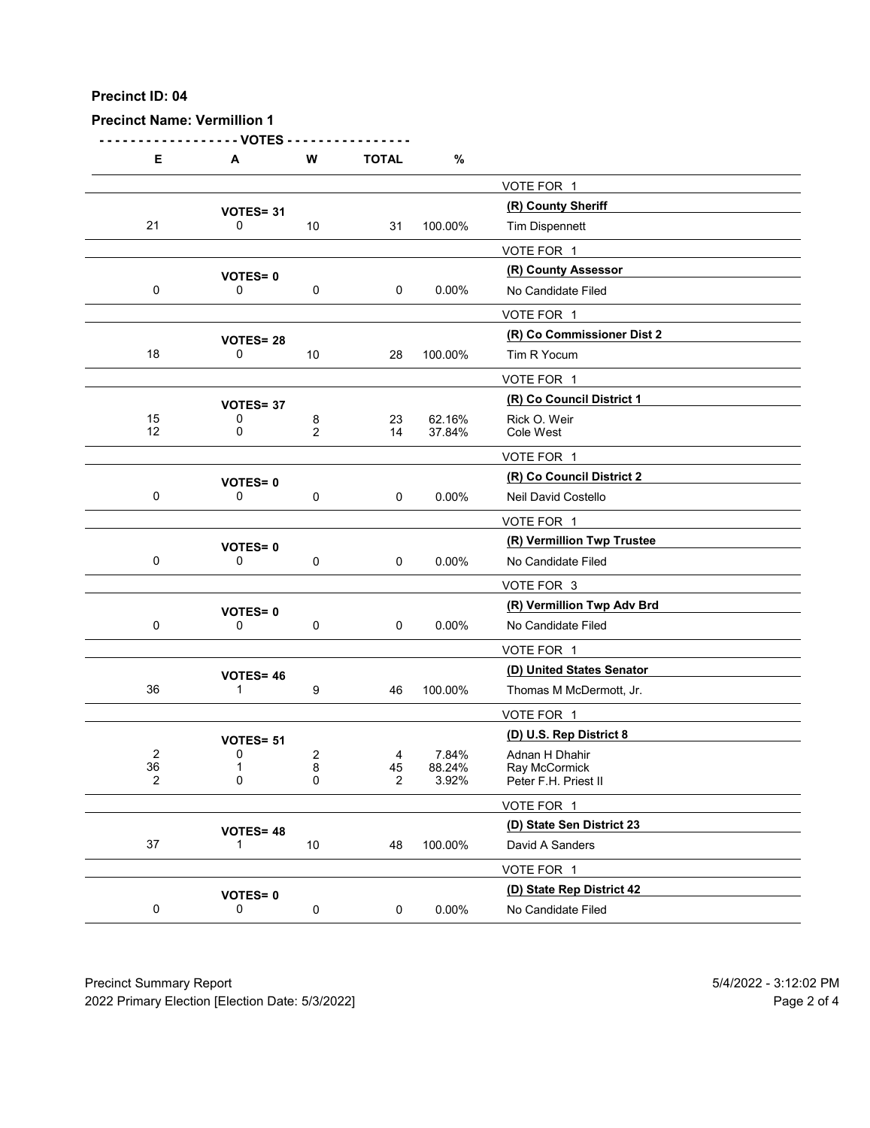### **Precinct Name: Vermillion 1**

**- - - - - - - - - - - - - - - - - - VOTES - - - - - - - - - - - - - - - -**

| VOTE FOR 1                                                                                         |  |
|----------------------------------------------------------------------------------------------------|--|
|                                                                                                    |  |
| (R) County Sheriff<br><b>VOTES=31</b>                                                              |  |
| 21<br>0<br>10<br>31<br>100.00%<br><b>Tim Dispennett</b>                                            |  |
| VOTE FOR 1                                                                                         |  |
| (R) County Assessor<br><b>VOTES=0</b>                                                              |  |
| $\mathbf 0$<br>0<br>0.00%<br>0<br>$\mathbf 0$<br>No Candidate Filed                                |  |
| VOTE FOR 1                                                                                         |  |
| (R) Co Commissioner Dist 2<br><b>VOTES=28</b>                                                      |  |
| 18<br>0<br>10<br>28<br>100.00%<br>Tim R Yocum                                                      |  |
| VOTE FOR 1                                                                                         |  |
| (R) Co Council District 1<br><b>VOTES=37</b>                                                       |  |
| 15<br>62.16%<br>0<br>8<br>23<br>Rick O. Weir<br>12<br>0<br>2<br>14<br>37.84%<br>Cole West          |  |
| VOTE FOR 1                                                                                         |  |
| (R) Co Council District 2<br><b>VOTES=0</b>                                                        |  |
| 0<br>0<br>0<br>$\mathbf 0$<br>0.00%<br><b>Neil David Costello</b>                                  |  |
| VOTE FOR 1                                                                                         |  |
| (R) Vermillion Twp Trustee<br><b>VOTES=0</b>                                                       |  |
| $\pmb{0}$<br>0<br>0<br>$\mathbf 0$<br>0.00%<br>No Candidate Filed                                  |  |
| VOTE FOR 3                                                                                         |  |
| (R) Vermillion Twp Adv Brd<br><b>VOTES=0</b>                                                       |  |
| 0<br>0<br>$\mathbf 0$<br>0.00%<br>No Candidate Filed<br>0                                          |  |
| VOTE FOR 1                                                                                         |  |
| (D) United States Senator<br><b>VOTES=46</b>                                                       |  |
| 36<br>1<br>9<br>46<br>100.00%<br>Thomas M McDermott, Jr.                                           |  |
| VOTE FOR 1                                                                                         |  |
| (D) U.S. Rep District 8<br><b>VOTES= 51</b>                                                        |  |
| 2<br>2<br>7.84%<br>0<br>Adnan H Dhahir<br>4                                                        |  |
| 36<br>8<br>88.24%<br>45<br>Ray McCormick<br>1<br>2<br>0<br>0<br>3.92%<br>2<br>Peter F.H. Priest II |  |
| VOTE FOR 1                                                                                         |  |
| (D) State Sen District 23<br><b>VOTES=48</b>                                                       |  |
| 37<br>10<br>48<br>100.00%<br>David A Sanders<br>1                                                  |  |
| VOTE FOR 1                                                                                         |  |
| (D) State Rep District 42<br><b>VOTES=0</b>                                                        |  |
| $\pmb{0}$<br>0.00%<br>No Candidate Filed<br>$\pmb{0}$<br>0<br>0                                    |  |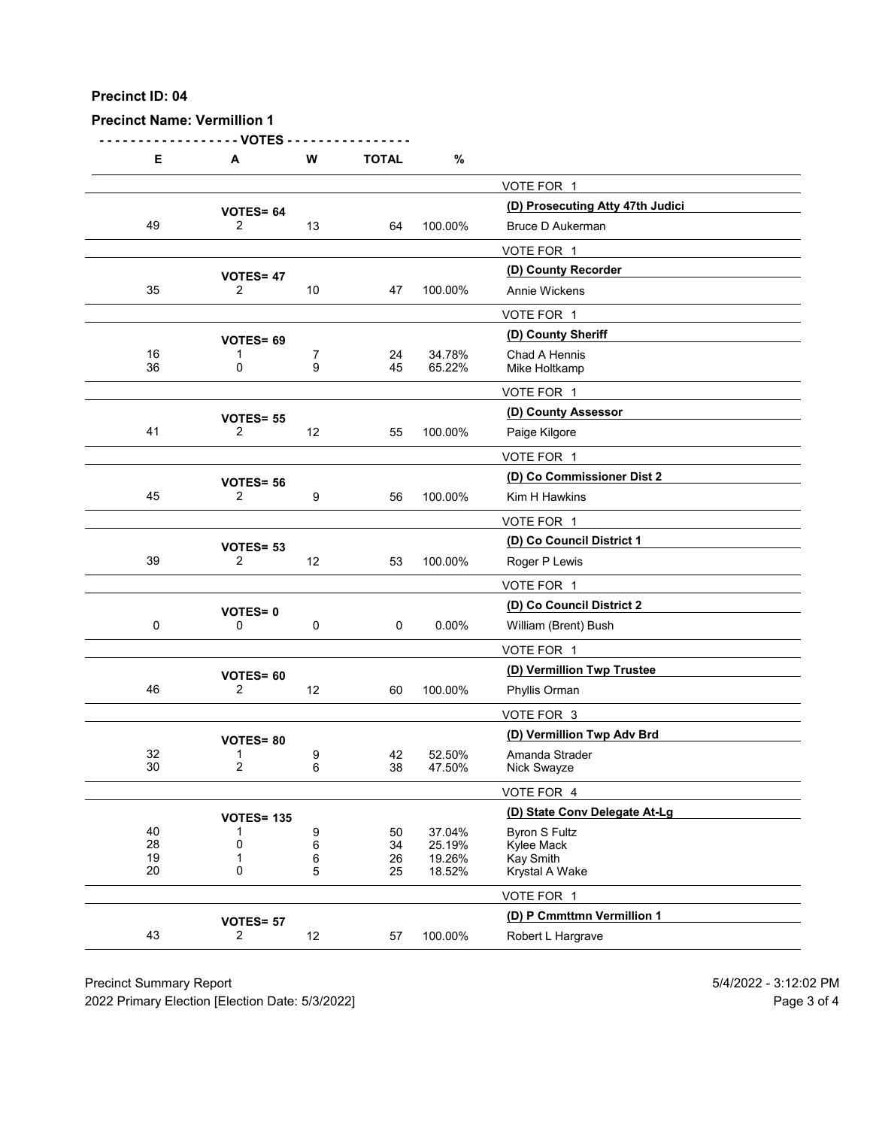**Precinct Name: Vermillion 1**

**- - - - - - - - - - - - - - - - - - VOTES - - - - - - - - - - - - - - - -**

| Е        | A                     | W          | <b>TOTAL</b> | $\%$             |                                  |
|----------|-----------------------|------------|--------------|------------------|----------------------------------|
|          |                       |            |              |                  | VOTE FOR 1                       |
|          | <b>VOTES= 64</b>      |            |              |                  | (D) Prosecuting Atty 47th Judici |
| 49       | 2                     | 13         | 64           | 100.00%          | Bruce D Aukerman                 |
|          |                       |            |              |                  | VOTE FOR 1                       |
|          | <b>VOTES=47</b>       |            |              |                  | (D) County Recorder              |
| 35       | 2                     | 10         | 47           | 100.00%          | Annie Wickens                    |
|          |                       |            |              |                  | VOTE FOR 1                       |
|          | <b>VOTES=69</b>       |            |              |                  | (D) County Sheriff               |
| 16       | 1                     | 7          | 24           | 34.78%           | Chad A Hennis                    |
| 36       | 0                     | 9          | 45           | 65.22%           | Mike Holtkamp                    |
|          |                       |            |              |                  | VOTE FOR 1                       |
|          | <b>VOTES= 55</b>      |            |              |                  | (D) County Assessor              |
| 41       | 2                     | 12         | 55           | 100.00%          | Paige Kilgore                    |
|          |                       |            |              |                  | VOTE FOR 1                       |
|          | <b>VOTES=56</b>       |            |              |                  | (D) Co Commissioner Dist 2       |
| 45       | 2                     | 9          | 56           | 100.00%          | Kim H Hawkins                    |
|          |                       |            |              |                  | VOTE FOR 1                       |
|          | <b>VOTES= 53</b>      |            |              |                  | (D) Co Council District 1        |
| 39       | 2                     | 12         | 53           | 100.00%          | Roger P Lewis                    |
|          |                       |            |              |                  | VOTE FOR 1                       |
|          | <b>VOTES=0</b>        |            |              |                  | (D) Co Council District 2        |
| 0        | 0                     | 0          | $\pmb{0}$    | 0.00%            | William (Brent) Bush             |
|          |                       |            |              |                  | VOTE FOR 1                       |
|          | <b>VOTES=60</b>       |            |              |                  | (D) Vermillion Twp Trustee       |
| 46       | 2                     | 12         | 60           | 100.00%          | Phyllis Orman                    |
|          |                       |            |              |                  | VOTE FOR 3                       |
|          | <b>VOTES=80</b>       |            |              |                  | (D) Vermillion Twp Adv Brd       |
| 32       | 1                     | 9          | 42           | 52.50%           | Amanda Strader                   |
| 30       | 2                     | 6          | 38           | 47.50%           | Nick Swayze                      |
|          |                       |            |              |                  | VOTE FOR 4                       |
|          | <b>VOTES= 135</b>     |            |              |                  | (D) State Conv Delegate At-Lg    |
| 40       | 1                     | 9          | 50           | 37.04%           | Byron S Fultz                    |
| 28<br>19 | 0<br>1                | $\,6$<br>6 | 34<br>26     | 25.19%<br>19.26% | Kylee Mack<br>Kay Smith          |
| 20       | 0                     | 5          | 25           | 18.52%           | Krystal A Wake                   |
|          |                       |            |              |                  | VOTE FOR 1                       |
|          |                       |            |              |                  | (D) P Cmmttmn Vermillion 1       |
| 43       | <b>VOTES= 57</b><br>2 | 12         | 57           | 100.00%          | Robert L Hargrave                |
|          |                       |            |              |                  |                                  |

Precinct Summary Report 61 November 2012 12:02 PM 2022 Primary Election [Election Date: 5/3/2022] **Page 3 of 4** and 2022 Primary Election [Election Date: 5/3/2022]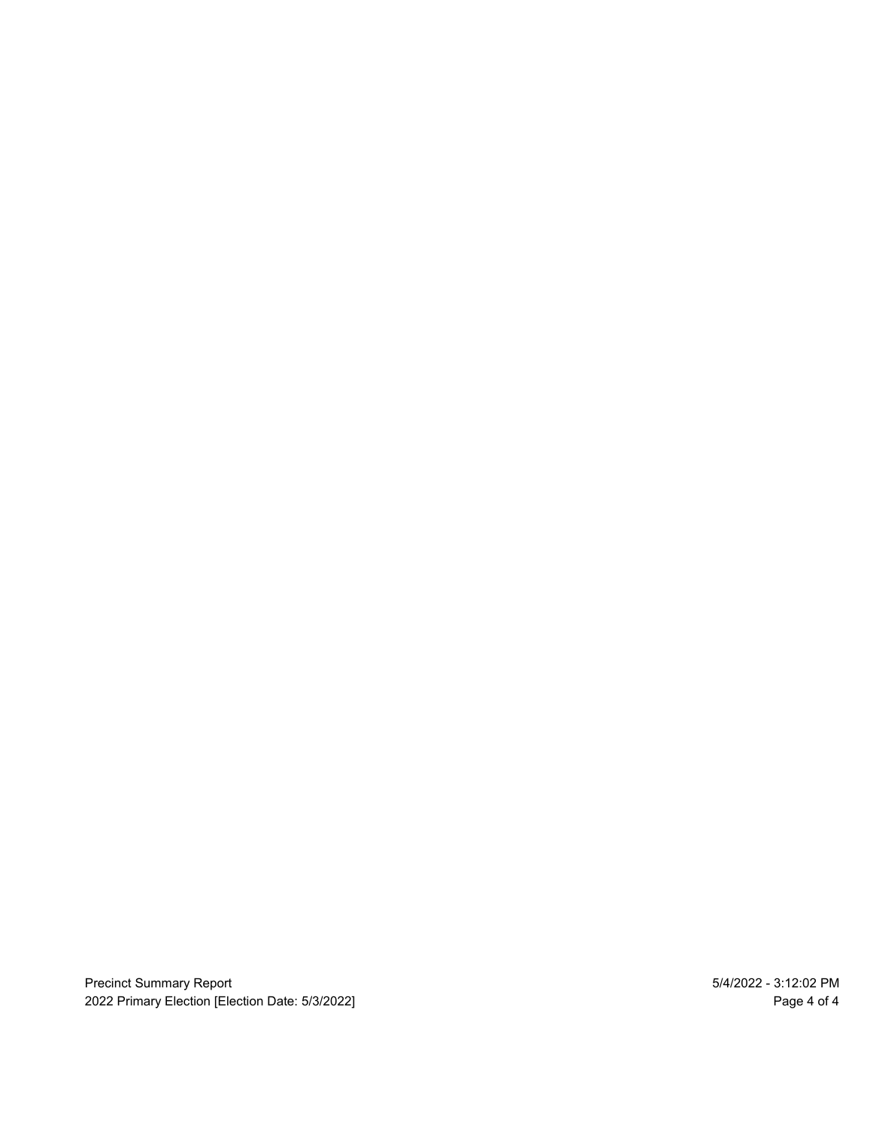Precinct Summary Report 5/4/2022 - 3:12:02 PM 2022 Primary Election [Election Date: 5/3/2022] 2022 Primary Election 10 and 2022 Primary Election 1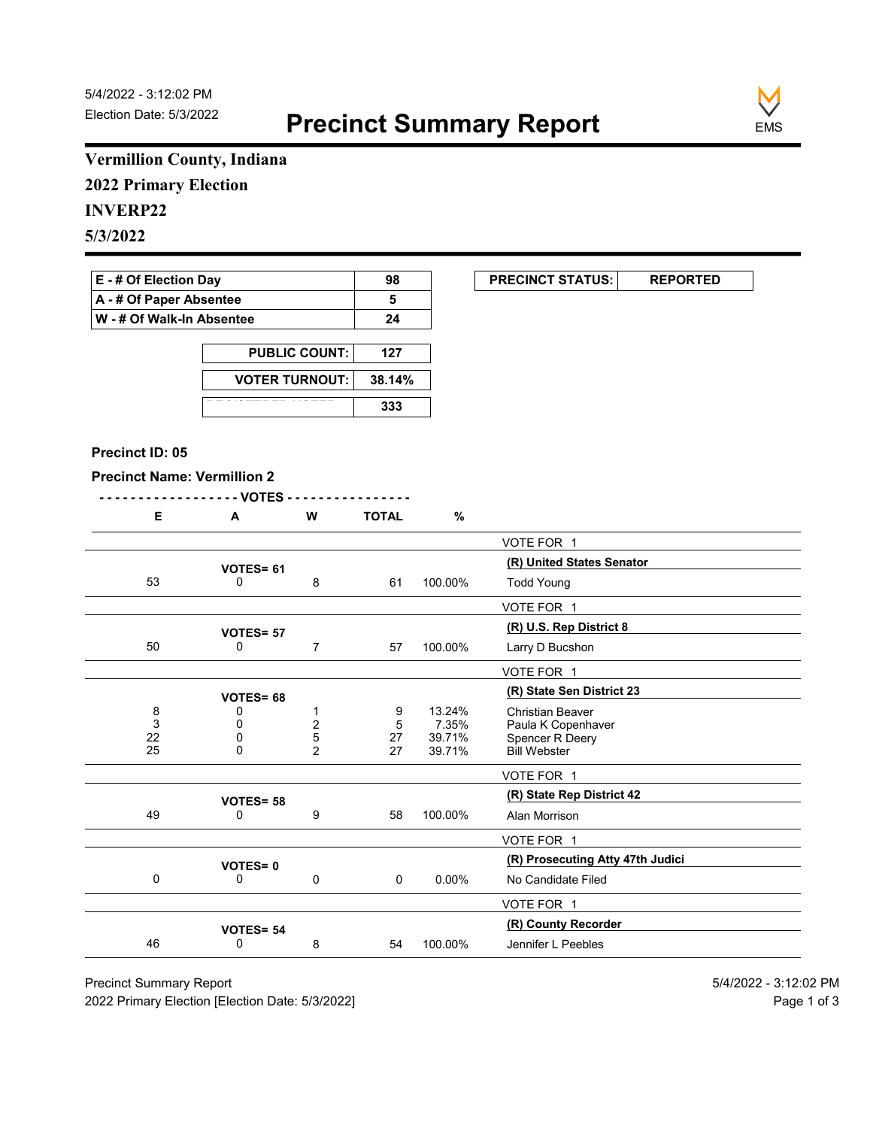

# **Vermillion County, Indiana**

**2022 Primary Election**

# **INVERP22**

**5/3/2022**

| $E - #$ Of Election Day          | 98 |
|----------------------------------|----|
| A - # Of Paper Absentee          |    |
| <b>W</b> - # Of Walk-In Absentee | 24 |

| <b>PUBLIC COUNT:</b>  | 127    |
|-----------------------|--------|
| <b>VOTER TURNOUT:</b> | 38.14% |
|                       | 333    |

### **Precinct ID: 05**

**Precinct Name: Vermillion 2**

**- - - - - - - - - - - - - - - - - - VOTES - - - - - - - - - - - - - - - -**

**E A W TOTAL %**

|    |                  |                         |             |          | VOTE FOR 1                       |
|----|------------------|-------------------------|-------------|----------|----------------------------------|
|    | <b>VOTES=61</b>  |                         |             |          | (R) United States Senator        |
| 53 | 0                | 8                       | 61          | 100.00%  | <b>Todd Young</b>                |
|    |                  |                         |             |          | VOTE FOR 1                       |
|    | <b>VOTES= 57</b> |                         |             |          | (R) U.S. Rep District 8          |
| 50 | 0                | 7                       | 57          | 100.00%  | Larry D Bucshon                  |
|    |                  |                         |             |          | VOTE FOR 1                       |
|    | <b>VOTES=68</b>  |                         |             |          | (R) State Sen District 23        |
| 8  | 0                |                         | 9           | 13.24%   | <b>Christian Beaver</b>          |
| 3  | 0                | $\overline{\mathbf{c}}$ | 5           | 7.35%    | Paula K Copenhaver               |
| 22 | 0                | 5                       | 27          | 39.71%   | Spencer R Deery                  |
| 25 | $\mathbf{0}$     | $\overline{2}$          | 27          | 39.71%   | <b>Bill Webster</b>              |
|    |                  |                         |             |          | VOTE FOR 1                       |
|    | <b>VOTES=58</b>  |                         |             |          | (R) State Rep District 42        |
| 49 | 0                | 9                       | 58          | 100.00%  | Alan Morrison                    |
|    |                  |                         |             |          | VOTE FOR 1                       |
|    | <b>VOTES=0</b>   |                         |             |          | (R) Prosecuting Atty 47th Judici |
| 0  | 0                | 0                       | $\mathbf 0$ | $0.00\%$ | No Candidate Filed               |
|    |                  |                         |             |          | VOTE FOR 1                       |
|    | <b>VOTES= 54</b> |                         |             |          | (R) County Recorder              |
| 46 | 0                | 8                       | 54          | 100.00%  | Jennifer L Peebles               |
|    |                  |                         |             |          |                                  |

Precinct Summary Report 61 November 2012 12:02 PM

2022 Primary Election [Election Date: 5/3/2022] **Page 1 of 3** and 2022 Primary Election Date: 5/3/2022]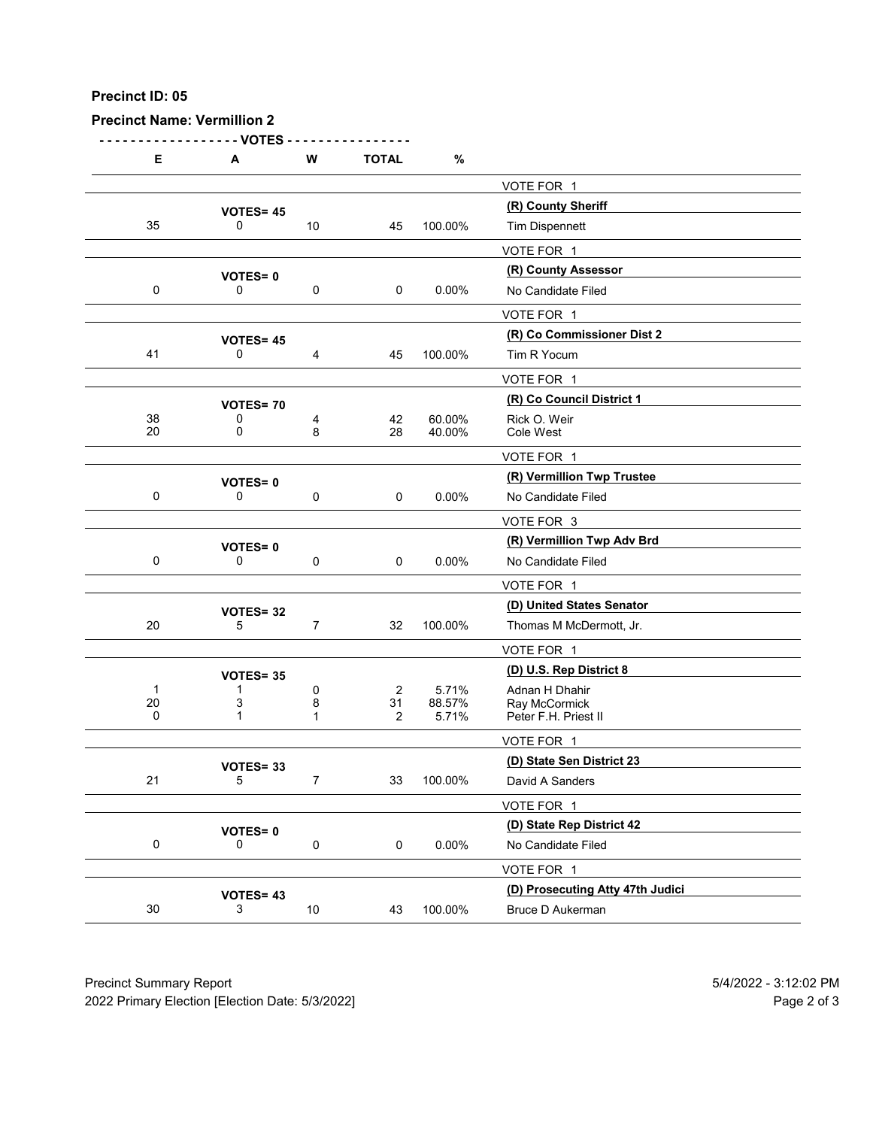### **Precinct Name: Vermillion 2**

**- - - - - - - - - - - - - - - - - - VOTES - - - - - - - - - - - - - - - -**

| Е        | A                    | W         | <b>TOTAL</b>   | $\%$            |                                       |
|----------|----------------------|-----------|----------------|-----------------|---------------------------------------|
|          |                      |           |                |                 | VOTE FOR 1                            |
|          | <b>VOTES=45</b>      |           |                |                 | (R) County Sheriff                    |
| 35       | 0                    | 10        | 45             | 100.00%         | <b>Tim Dispennett</b>                 |
|          |                      |           |                |                 | VOTE FOR 1                            |
|          | <b>VOTES=0</b>       |           |                |                 | (R) County Assessor                   |
| 0        | 0                    | 0         | 0              | 0.00%           | No Candidate Filed                    |
|          |                      |           |                |                 | VOTE FOR 1                            |
|          | <b>VOTES=45</b>      |           |                |                 | (R) Co Commissioner Dist 2            |
| 41       | 0                    | 4         | 45             | 100.00%         | Tim R Yocum                           |
|          |                      |           |                |                 | VOTE FOR 1                            |
|          | VOTES=70             |           |                |                 | (R) Co Council District 1             |
| 38<br>20 | 0<br>0               | 4<br>8    | 42<br>28       | 60.00%          | Rick O. Weir                          |
|          |                      |           |                | 40.00%          | Cole West                             |
|          |                      |           |                |                 | VOTE FOR 1                            |
|          | <b>VOTES=0</b>       |           |                |                 | (R) Vermillion Twp Trustee            |
| 0        | 0                    | 0         | 0              | 0.00%           | No Candidate Filed                    |
|          |                      |           |                |                 | VOTE FOR 3                            |
|          | <b>VOTES=0</b>       |           |                |                 | (R) Vermillion Twp Adv Brd            |
| 0        | 0                    | 0         | 0              | 0.00%           | No Candidate Filed                    |
|          |                      |           |                |                 | VOTE FOR 1                            |
|          | <b>VOTES=32</b>      |           |                |                 | (D) United States Senator             |
| 20       | 5                    | 7         | 32             | 100.00%         | Thomas M McDermott, Jr.               |
|          |                      |           |                |                 | VOTE FOR 1                            |
|          | <b>VOTES=35</b>      |           |                |                 | (D) U.S. Rep District 8               |
| 1        | 1                    | 0         | $\overline{2}$ | 5.71%           | Adnan H Dhahir                        |
| 20<br>0  | 3<br>1               | 8<br>1    | 31<br>2        | 88.57%<br>5.71% | Ray McCormick<br>Peter F.H. Priest II |
|          |                      |           |                |                 | VOTE FOR 1                            |
|          |                      |           |                |                 | (D) State Sen District 23             |
| 21       | VOTES=33<br>5        | 7         | 33             | 100.00%         | David A Sanders                       |
|          |                      |           |                |                 | VOTE FOR 1                            |
|          |                      |           |                |                 | (D) State Rep District 42             |
| 0        | <b>VOTES=0</b><br>0  | $\pmb{0}$ | $\pmb{0}$      | $0.00\%$        | No Candidate Filed                    |
|          |                      |           |                |                 | VOTE FOR 1                            |
|          |                      |           |                |                 | (D) Prosecuting Atty 47th Judici      |
| $30\,$   | <b>VOTES=43</b><br>3 | $10$      | 43             | 100.00%         | <b>Bruce D Aukerman</b>               |
|          |                      |           |                |                 |                                       |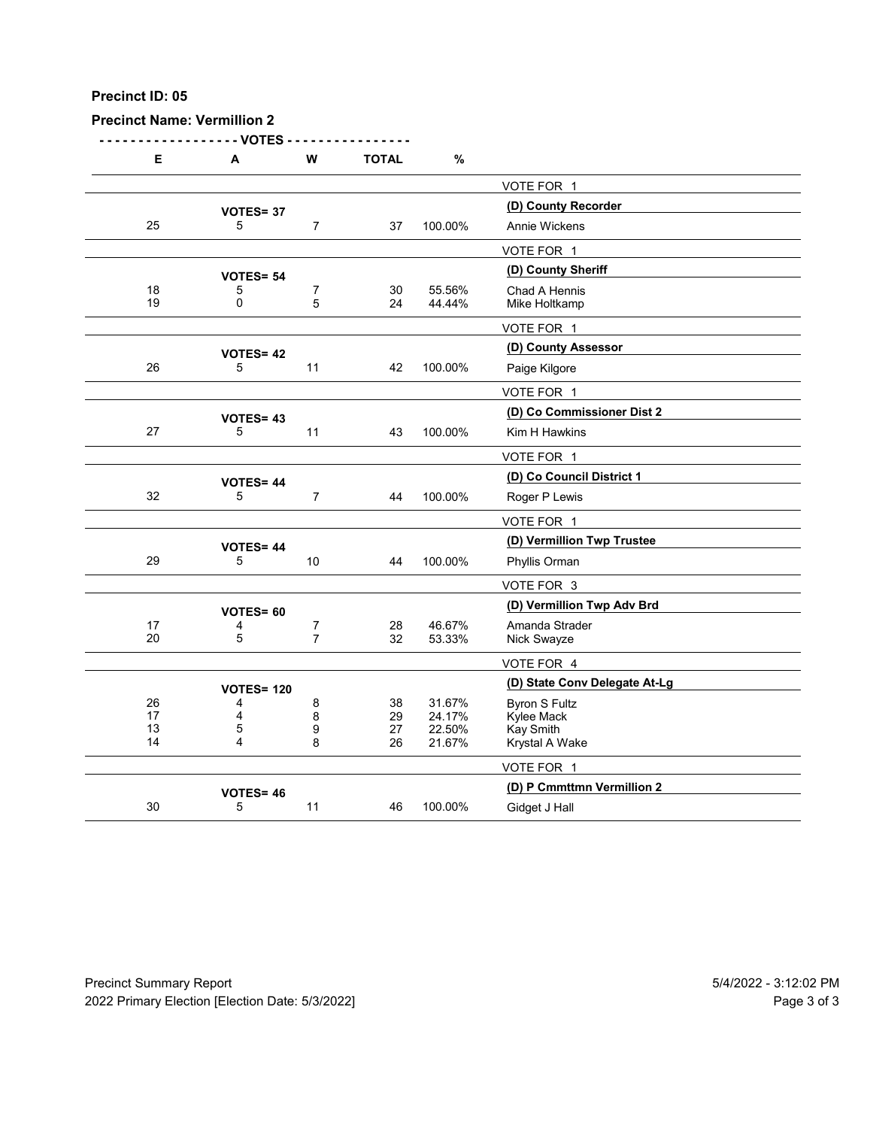**Precinct Name: Vermillion 2**

**- - - - - - - - - - - - - - - - - - VOTES - - - - - - - - - - - - - - - -**

| E        | A                 | W              | <b>TOTAL</b> | %                |                               |
|----------|-------------------|----------------|--------------|------------------|-------------------------------|
|          |                   |                |              |                  | VOTE FOR 1                    |
|          | <b>VOTES=37</b>   |                |              |                  | (D) County Recorder           |
| 25       | 5                 | $\overline{7}$ | 37           | 100.00%          | Annie Wickens                 |
|          |                   |                |              |                  | VOTE FOR 1                    |
|          | <b>VOTES= 54</b>  |                |              |                  | (D) County Sheriff            |
| 18       | 5                 | 7              | 30           | 55.56%           | Chad A Hennis                 |
| 19       | 0                 | 5              | 24           | 44.44%           | Mike Holtkamp                 |
|          |                   |                |              |                  | VOTE FOR 1                    |
|          | <b>VOTES=42</b>   |                |              |                  | (D) County Assessor           |
| 26       | 5                 | 11             | 42           | 100.00%          | Paige Kilgore                 |
|          |                   |                |              |                  | VOTE FOR 1                    |
|          | VOTES= 43         |                |              |                  | (D) Co Commissioner Dist 2    |
| 27       | 5                 | 11             | 43           | 100.00%          | Kim H Hawkins                 |
|          |                   |                |              |                  | VOTE FOR 1                    |
|          | <b>VOTES=44</b>   |                |              |                  | (D) Co Council District 1     |
| 32       | 5                 | $\overline{7}$ | 44           | 100.00%          | Roger P Lewis                 |
|          |                   |                |              |                  | VOTE FOR 1                    |
|          | <b>VOTES=44</b>   |                |              |                  | (D) Vermillion Twp Trustee    |
| 29       | 5                 | 10             | 44           | 100.00%          | Phyllis Orman                 |
|          |                   |                |              |                  | VOTE FOR 3                    |
|          | <b>VOTES=60</b>   |                |              |                  | (D) Vermillion Twp Adv Brd    |
| 17       | 4                 | 7              | 28           | 46.67%           | Amanda Strader                |
| 20       | 5                 | $\overline{7}$ | 32           | 53.33%           | Nick Swayze                   |
|          |                   |                |              |                  | VOTE FOR 4                    |
|          | <b>VOTES= 120</b> |                |              |                  | (D) State Conv Delegate At-Lg |
| 26       | 4                 | 8              | 38           | 31.67%           | <b>Byron S Fultz</b>          |
| 17<br>13 | 4<br>5            | 8<br>9         | 29<br>27     | 24.17%<br>22.50% | Kylee Mack<br>Kay Smith       |
| 14       | 4                 | 8              | 26           | 21.67%           | Krystal A Wake                |
|          |                   |                |              |                  | VOTE FOR 1                    |
|          | <b>VOTES=46</b>   |                |              |                  | (D) P Cmmttmn Vermillion 2    |
| 30       | 5                 | 11             | 46           | 100.00%          | Gidget J Hall                 |
|          |                   |                |              |                  |                               |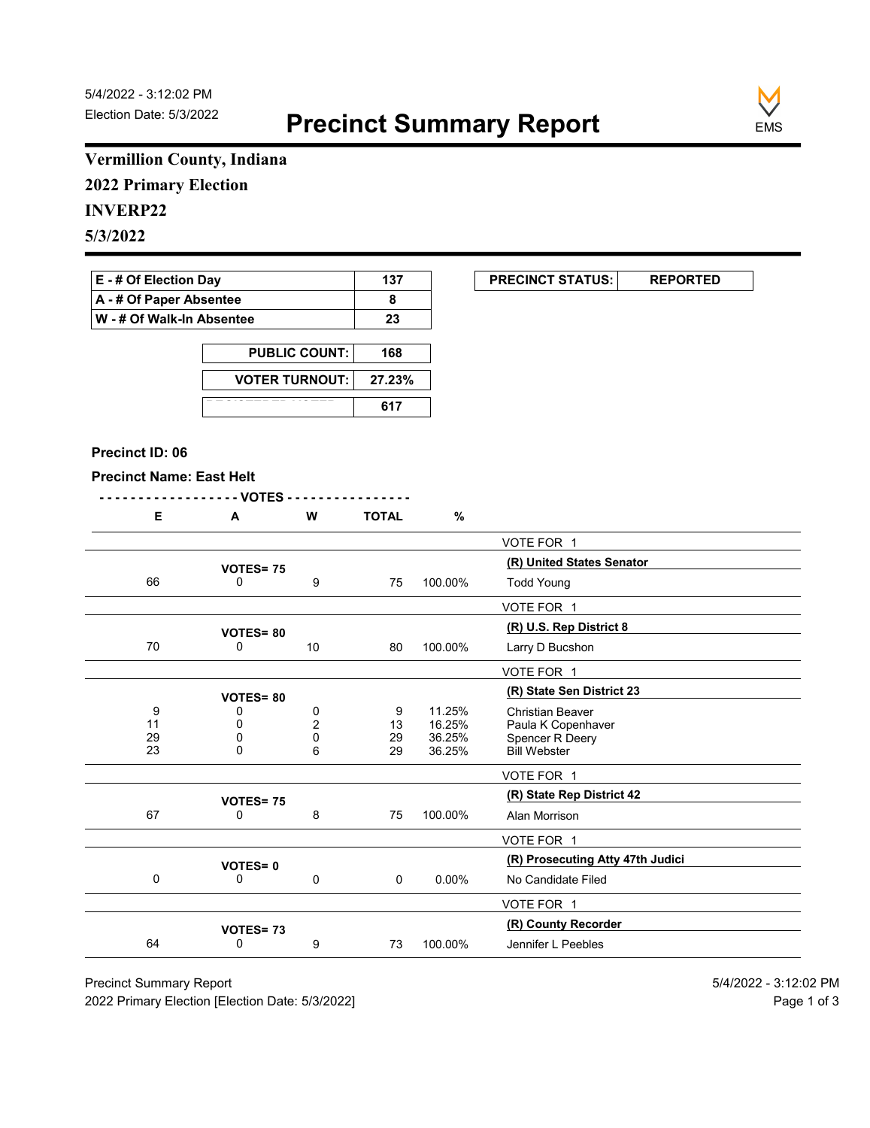

# **Vermillion County, Indiana**

**2022 Primary Election**

# **INVERP22**

**5/3/2022**

| E - # Of Election Day            | 137 |
|----------------------------------|-----|
| A - # Of Paper Absentee          |     |
| <b>W</b> - # Of Walk-In Absentee | 23  |

| <b>PUBLIC COUNT:</b>  | 168    |
|-----------------------|--------|
| <b>VOTER TURNOUT:</b> | 27.23% |
|                       | 617    |

### **Precinct ID: 06**

**Precinct Name: East Helt**

**- - - - - - - - - - - - - - - - - - VOTES - - - - - - - - - - - - - - - -**

**E A W TOTAL %**

|                     |                  |                               |                     |                                      | VOTE FOR 1                                                                              |
|---------------------|------------------|-------------------------------|---------------------|--------------------------------------|-----------------------------------------------------------------------------------------|
|                     | <b>VOTES=75</b>  |                               |                     |                                      | (R) United States Senator                                                               |
| 66                  | 0                | 9                             | 75                  | 100.00%                              | <b>Todd Young</b>                                                                       |
|                     |                  |                               |                     |                                      | VOTE FOR 1                                                                              |
|                     | <b>VOTES=80</b>  |                               |                     |                                      | (R) U.S. Rep District 8                                                                 |
| 70                  | 0                | 10                            | 80                  | 100.00%                              | Larry D Bucshon                                                                         |
|                     |                  |                               |                     |                                      | VOTE FOR 1                                                                              |
|                     | <b>VOTES=80</b>  |                               |                     |                                      | (R) State Sen District 23                                                               |
| 9<br>11<br>29<br>23 | 0<br>0<br>0<br>0 | 0<br>$\overline{c}$<br>0<br>6 | 9<br>13<br>29<br>29 | 11.25%<br>16.25%<br>36.25%<br>36.25% | <b>Christian Beaver</b><br>Paula K Copenhaver<br>Spencer R Deery<br><b>Bill Webster</b> |
|                     |                  |                               |                     |                                      | VOTE FOR 1                                                                              |
|                     | <b>VOTES=75</b>  |                               |                     |                                      | (R) State Rep District 42                                                               |
| 67                  | 0                | 8                             | 75                  | 100.00%                              | Alan Morrison                                                                           |
|                     |                  |                               |                     |                                      | VOTE FOR 1                                                                              |
|                     | <b>VOTES=0</b>   |                               |                     |                                      | (R) Prosecuting Atty 47th Judici                                                        |
| 0                   | 0                | 0                             | $\Omega$            | $0.00\%$                             | No Candidate Filed                                                                      |
|                     |                  |                               |                     |                                      | VOTE FOR 1                                                                              |
|                     | VOTES=73         |                               |                     |                                      | (R) County Recorder                                                                     |
| 64                  | 0                | 9                             | 73                  | 100.00%                              | Jennifer L Peebles                                                                      |

Precinct Summary Report 61 November 2012 12:02 PM

2022 Primary Election [Election Date: 5/3/2022] **Page 1 of 3** and 2022 Primary Election Date: 5/3/2022]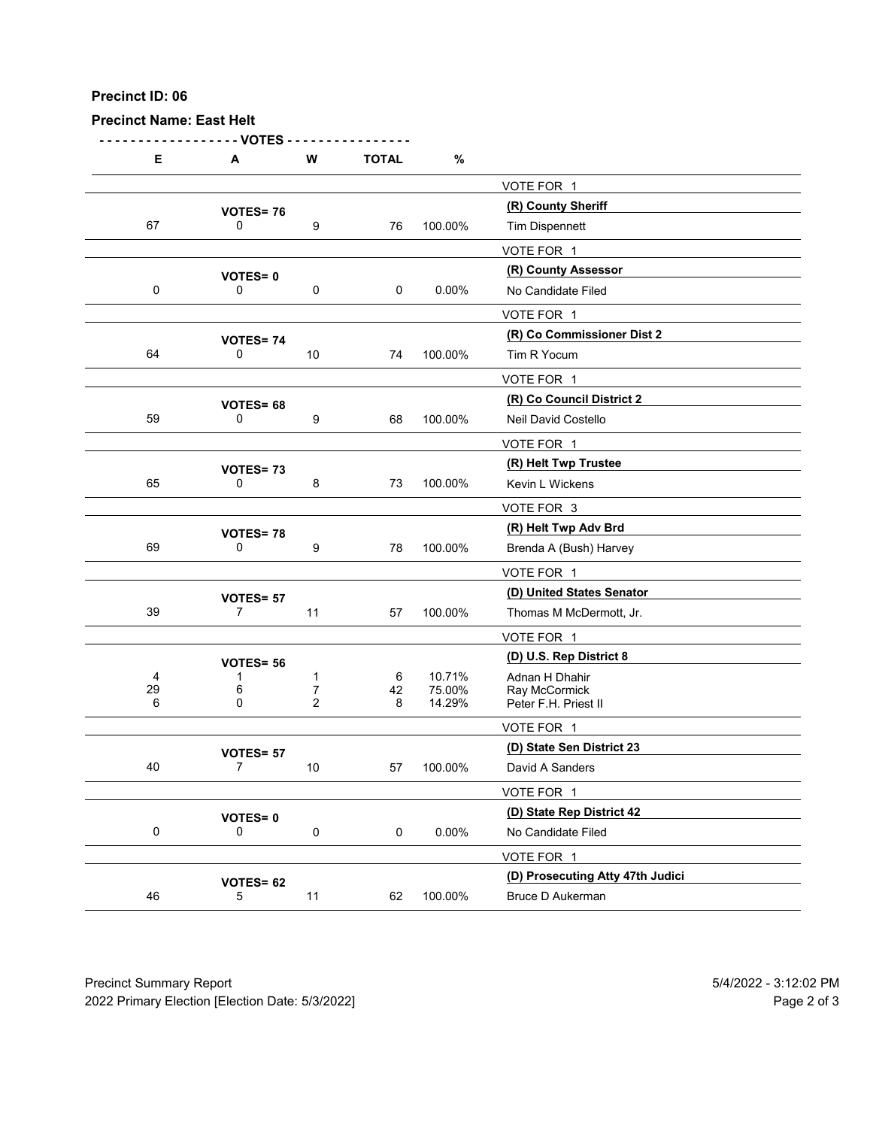**Precinct Name: East Helt**

**- - - - - - - - - - - - - - - - - - VOTES - - - - - - - - - - - - - - - -**

| Е       | A                     | W      | <b>TOTAL</b> | $\%$             |                                       |
|---------|-----------------------|--------|--------------|------------------|---------------------------------------|
|         |                       |        |              |                  | VOTE FOR 1                            |
|         | <b>VOTES=76</b>       |        |              |                  | (R) County Sheriff                    |
| 67      | 0                     | 9      | 76           | 100.00%          | <b>Tim Dispennett</b>                 |
|         |                       |        |              |                  | VOTE FOR 1                            |
|         | <b>VOTES=0</b>        |        |              |                  | (R) County Assessor                   |
| 0       | 0                     | 0      | 0            | 0.00%            | No Candidate Filed                    |
|         |                       |        |              |                  | VOTE FOR 1                            |
|         | <b>VOTES=74</b>       |        |              |                  | (R) Co Commissioner Dist 2            |
| 64      | 0                     | 10     | 74           | 100.00%          | Tim R Yocum                           |
|         |                       |        |              |                  | VOTE FOR 1                            |
|         | <b>VOTES=68</b>       |        |              |                  | (R) Co Council District 2             |
| 59      | 0                     | 9      | 68           | 100.00%          | Neil David Costello                   |
|         |                       |        |              |                  | VOTE FOR 1                            |
|         | VOTES=73              |        |              |                  | (R) Helt Twp Trustee                  |
| 65      | 0                     | 8      | 73           | 100.00%          | Kevin L Wickens                       |
|         |                       |        |              |                  | VOTE FOR 3                            |
|         | <b>VOTES=78</b>       |        |              |                  | (R) Helt Twp Adv Brd                  |
| 69      | 0                     | 9      | 78           | 100.00%          | Brenda A (Bush) Harvey                |
|         |                       |        |              |                  | VOTE FOR 1                            |
|         | <b>VOTES= 57</b>      |        |              |                  | (D) United States Senator             |
| 39      | 7                     | 11     | 57           | 100.00%          | Thomas M McDermott, Jr.               |
|         |                       |        |              |                  | VOTE FOR 1                            |
|         | <b>VOTES=56</b>       |        |              |                  | (D) U.S. Rep District 8               |
| 4       | 1                     | 1      | 6            | 10.71%           | Adnan H Dhahir                        |
| 29<br>6 | 6<br>0                | 7<br>2 | 42<br>8      | 75.00%<br>14.29% | Ray McCormick<br>Peter F.H. Priest II |
|         |                       |        |              |                  | VOTE FOR 1                            |
|         |                       |        |              |                  | (D) State Sen District 23             |
| 40      | <b>VOTES= 57</b><br>7 | 10     | 57           | 100.00%          | David A Sanders                       |
|         |                       |        |              |                  | VOTE FOR 1                            |
|         |                       |        |              |                  | (D) State Rep District 42             |
| 0       | <b>VOTES=0</b><br>0   | 0      | 0            | 0.00%            | No Candidate Filed                    |
|         |                       |        |              |                  | VOTE FOR 1                            |
|         |                       |        |              |                  | (D) Prosecuting Atty 47th Judici      |
| 46      | <b>VOTES= 62</b><br>5 | 11     | 62           | 100.00%          | Bruce D Aukerman                      |
|         |                       |        |              |                  |                                       |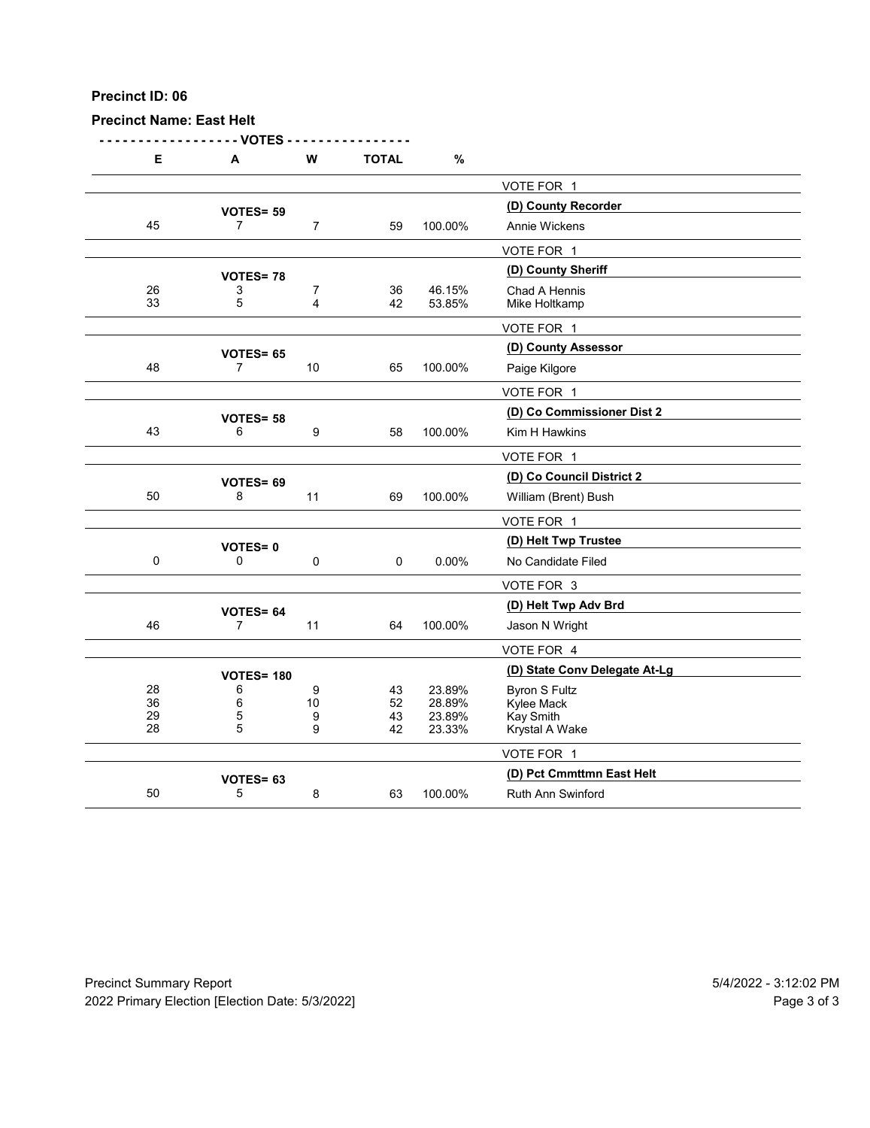### **Precinct Name: East Helt**

**- - - - - - - - - - - - - - - - - - VOTES - - - - - - - - - - - - - - - -**

| Е           | A                    | W              | <b>TOTAL</b> | %                |                               |
|-------------|----------------------|----------------|--------------|------------------|-------------------------------|
|             |                      |                |              |                  | VOTE FOR 1                    |
|             | <b>VOTES= 59</b>     |                |              |                  | (D) County Recorder           |
| 45          | 7                    | $\overline{7}$ | 59           | 100.00%          | Annie Wickens                 |
|             |                      |                |              |                  | VOTE FOR 1                    |
|             | <b>VOTES=78</b>      |                |              |                  | (D) County Sheriff            |
| 26          | 3                    | 7              | 36           | 46.15%           | Chad A Hennis                 |
| 33          | 5                    | 4              | 42           | 53.85%           | Mike Holtkamp                 |
|             |                      |                |              |                  | VOTE FOR 1                    |
|             | <b>VOTES= 65</b>     |                |              |                  | (D) County Assessor           |
| 48          | 7                    | 10             | 65           | 100.00%          | Paige Kilgore                 |
|             |                      |                |              |                  | VOTE FOR 1                    |
|             | <b>VOTES=58</b>      |                |              |                  | (D) Co Commissioner Dist 2    |
| 43          | 6                    | 9              | 58           | 100.00%          | Kim H Hawkins                 |
|             |                      |                |              |                  | VOTE FOR 1                    |
|             | <b>VOTES=69</b>      |                |              |                  | (D) Co Council District 2     |
| 50          | 8                    | 11             | 69           | 100.00%          | William (Brent) Bush          |
|             |                      |                |              |                  | VOTE FOR 1                    |
|             | <b>VOTES=0</b>       |                |              |                  | (D) Helt Twp Trustee          |
| $\mathbf 0$ | 0                    | 0              | $\mathbf 0$  | 0.00%            | No Candidate Filed            |
|             |                      |                |              |                  | VOTE FOR 3                    |
|             | <b>VOTES= 64</b>     |                |              |                  | (D) Helt Twp Adv Brd          |
| 46          | 7                    | 11             | 64           | 100.00%          | Jason N Wright                |
|             |                      |                |              |                  | VOTE FOR 4                    |
|             | <b>VOTES= 180</b>    |                |              |                  | (D) State Conv Delegate At-Lg |
| 28          | 6                    | 9              | 43           | 23.89%           | <b>Byron S Fultz</b>          |
| 36<br>29    | 6<br>5               | 10             | 52           | 28.89%<br>23.89% | Kylee Mack<br>Kay Smith       |
| 28          | 5                    | 9<br>9         | 43<br>42     | 23.33%           | Krystal A Wake                |
|             |                      |                |              |                  | VOTE FOR 1                    |
|             |                      |                |              |                  | (D) Pct Cmmttmn East Helt     |
| 50          | <b>VOTES=63</b><br>5 | 8              | 63           | 100.00%          | Ruth Ann Swinford             |
|             |                      |                |              |                  |                               |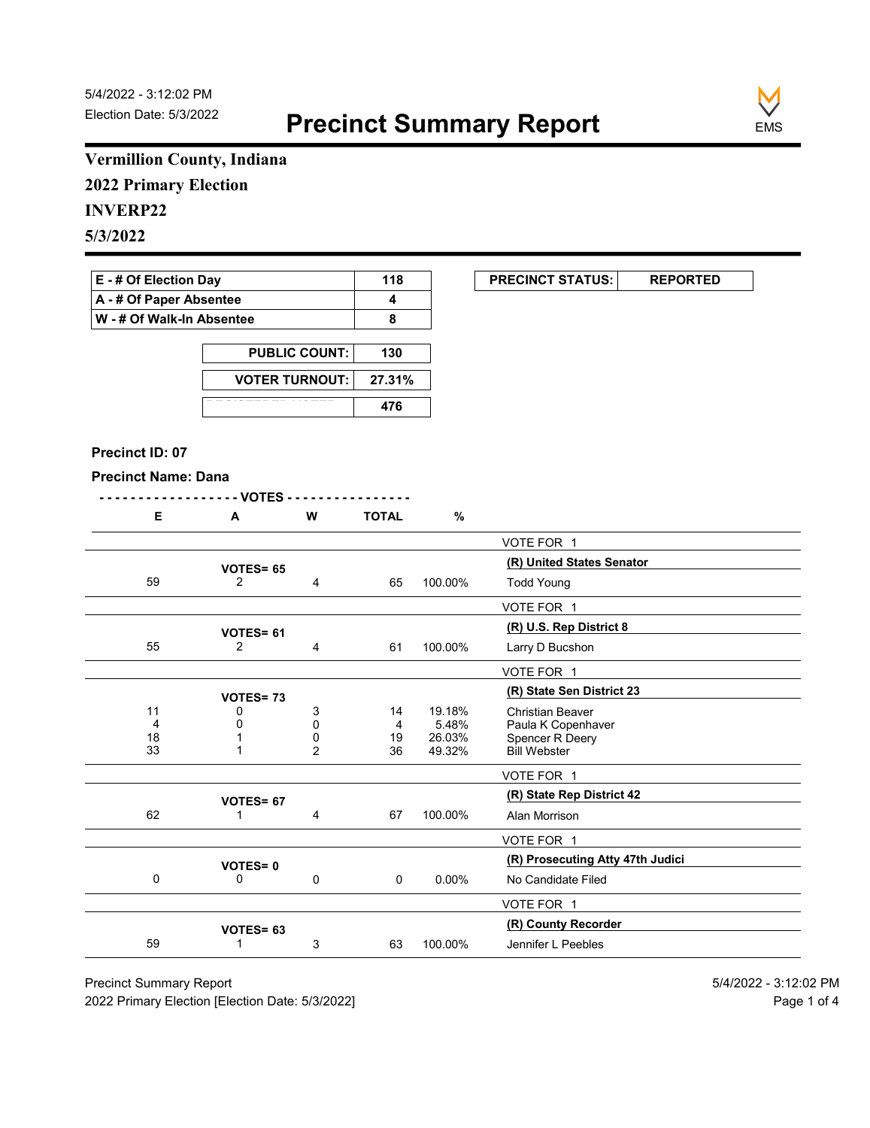

# **Vermillion County, Indiana**

**2022 Primary Election**

# **INVERP22**

**5/3/2022**

| $E - #$ Of Election Day          | 118 |
|----------------------------------|-----|
| A - # Of Paper Absentee          |     |
| <b>W</b> - # Of Walk-In Absentee |     |

| <b>PUBLIC COUNT:</b>    | 130    |
|-------------------------|--------|
| <b>VOTER TURNOUT: I</b> | 27.31% |
|                         | 476    |

### **Precinct ID: 07**

#### **Precinct Name: Dana**

**- - - - - - - - - - - - - - - - - - VOTES - - - - - - - - - - - - - - - -**

**E A W TOTAL %**

|                     |                  |                               |                     |                                     | VOTE FOR 1                                                                              |
|---------------------|------------------|-------------------------------|---------------------|-------------------------------------|-----------------------------------------------------------------------------------------|
|                     | <b>VOTES= 65</b> |                               |                     |                                     | (R) United States Senator                                                               |
| 59                  | 2                | 4                             | 65                  | 100.00%                             | <b>Todd Young</b>                                                                       |
|                     |                  |                               |                     |                                     | VOTE FOR 1                                                                              |
|                     | <b>VOTES=61</b>  |                               |                     |                                     | (R) U.S. Rep District 8                                                                 |
| 55                  | 2                | 4                             | 61                  | 100.00%                             | Larry D Bucshon                                                                         |
|                     |                  |                               |                     |                                     | VOTE FOR 1                                                                              |
|                     | <b>VOTES=73</b>  |                               |                     |                                     | (R) State Sen District 23                                                               |
| 11<br>4<br>18<br>33 | 0                | 3<br>0<br>0<br>$\overline{2}$ | 14<br>4<br>19<br>36 | 19.18%<br>5.48%<br>26.03%<br>49.32% | <b>Christian Beaver</b><br>Paula K Copenhaver<br>Spencer R Deery<br><b>Bill Webster</b> |
|                     |                  |                               |                     |                                     | VOTE FOR 1                                                                              |
|                     | <b>VOTES= 67</b> |                               |                     |                                     | (R) State Rep District 42                                                               |
| 62                  |                  | 4                             | 67                  | 100.00%                             | Alan Morrison                                                                           |
|                     |                  |                               |                     |                                     | VOTE FOR 1                                                                              |
|                     | <b>VOTES=0</b>   |                               |                     |                                     | (R) Prosecuting Atty 47th Judici                                                        |
| 0                   | 0                | 0                             | $\mathbf 0$         | $0.00\%$                            | No Candidate Filed                                                                      |
|                     |                  |                               |                     |                                     | VOTE FOR 1                                                                              |
|                     | <b>VOTES= 63</b> |                               |                     |                                     | (R) County Recorder                                                                     |
| 59                  |                  | 3                             | 63                  | 100.00%                             | Jennifer L Peebles                                                                      |

Precinct Summary Report 61 November 2012 12:02 PM

2022 Primary Election [Election Date: 5/3/2022] **Page 1 of 4** and 2022 Primary Election 1 of 4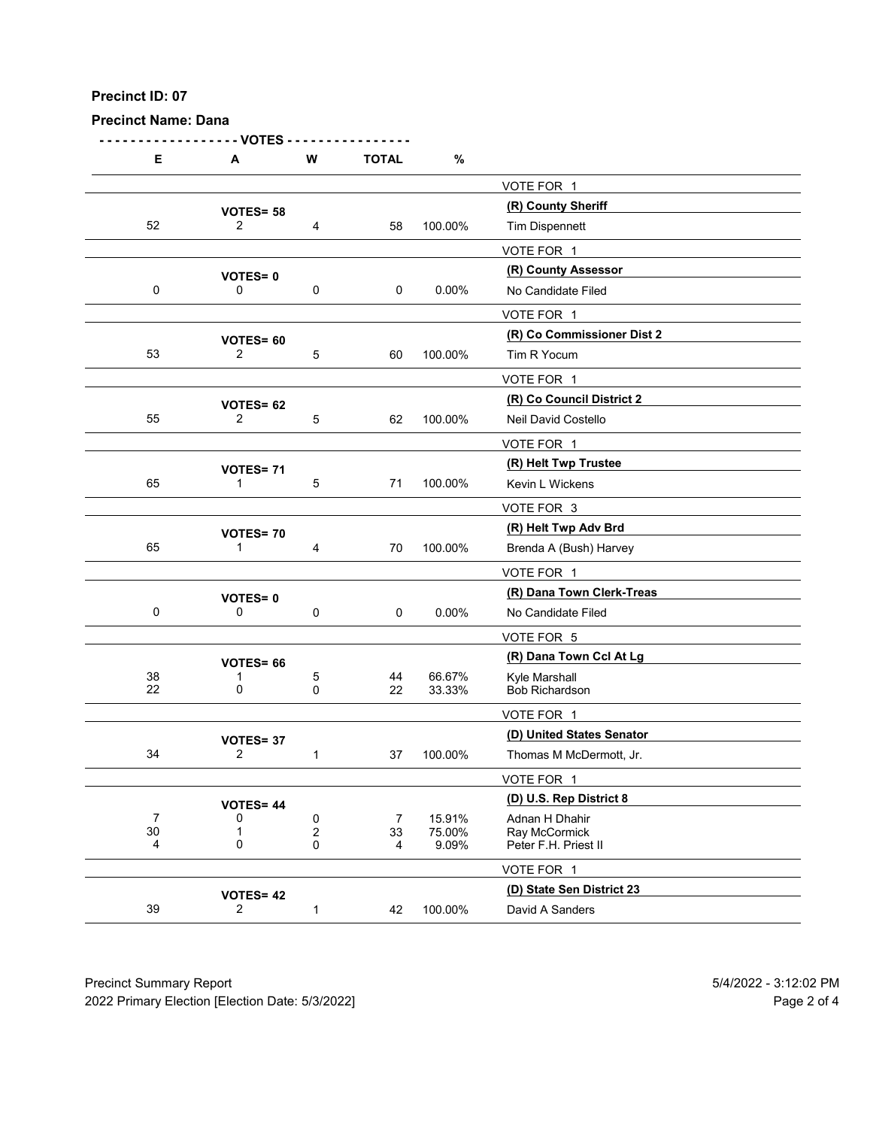### **Precinct Name: Dana**

**- - - - - - - - - - - - - - - - - - VOTES - - - - - - - - - - - - - - - -**

| E                        | A                | W                            | <b>TOTAL</b> | $\%$             |                                        |
|--------------------------|------------------|------------------------------|--------------|------------------|----------------------------------------|
|                          |                  |                              |              |                  | VOTE FOR 1                             |
|                          | <b>VOTES=58</b>  |                              |              |                  | (R) County Sheriff                     |
| 52                       | $\overline{2}$   | 4                            | 58           | 100.00%          | <b>Tim Dispennett</b>                  |
|                          |                  |                              |              |                  | VOTE FOR 1                             |
|                          | <b>VOTES=0</b>   |                              |              |                  | (R) County Assessor                    |
| 0                        | 0                | 0                            | $\mathbf 0$  | 0.00%            | No Candidate Filed                     |
|                          |                  |                              |              |                  | VOTE FOR 1                             |
|                          | <b>VOTES=60</b>  |                              |              |                  | (R) Co Commissioner Dist 2             |
| 53                       | 2                | 5                            | 60           | 100.00%          | Tim R Yocum                            |
|                          |                  |                              |              |                  | VOTE FOR 1                             |
|                          | <b>VOTES= 62</b> |                              |              |                  | (R) Co Council District 2              |
| 55                       | 2                | 5                            | 62           | 100.00%          | Neil David Costello                    |
|                          |                  |                              |              |                  | VOTE FOR 1                             |
|                          | <b>VOTES=71</b>  |                              |              |                  | (R) Helt Twp Trustee                   |
| 65                       | 1                | 5                            | 71           | 100.00%          | Kevin L Wickens                        |
|                          |                  |                              |              |                  | VOTE FOR 3                             |
|                          | <b>VOTES=70</b>  |                              |              |                  | (R) Helt Twp Adv Brd                   |
| 65                       | 1                | 4                            | 70           | 100.00%          | Brenda A (Bush) Harvey                 |
|                          |                  |                              |              |                  | VOTE FOR 1                             |
|                          | <b>VOTES=0</b>   |                              |              |                  | (R) Dana Town Clerk-Treas              |
| 0                        | 0                | 0                            | $\mathbf 0$  | 0.00%            | No Candidate Filed                     |
|                          |                  |                              |              |                  | VOTE FOR 5                             |
|                          | <b>VOTES=66</b>  |                              |              |                  | (R) Dana Town Ccl At Lg                |
| 38<br>22                 | 1<br>0           | 5<br>0                       | 44<br>22     | 66.67%           | Kyle Marshall<br><b>Bob Richardson</b> |
|                          |                  |                              |              | 33.33%           |                                        |
|                          |                  |                              |              |                  | VOTE FOR 1                             |
|                          | <b>VOTES=37</b>  |                              |              |                  | (D) United States Senator              |
| 34                       | 2                | 1                            | 37           | 100.00%          | Thomas M McDermott, Jr.                |
|                          |                  |                              |              |                  | VOTE FOR 1                             |
|                          | <b>VOTES=44</b>  |                              |              |                  | (D) U.S. Rep District 8                |
| $\overline{7}$<br>$30\,$ | 0<br>1           | 0<br>$\overline{\mathbf{c}}$ | 7<br>33      | 15.91%<br>75.00% | Adnan H Dhahir<br>Ray McCormick        |
| 4                        | 0                | 0                            | 4            | 9.09%            | Peter F.H. Priest II                   |
|                          |                  |                              |              |                  | VOTE FOR 1                             |
|                          | <b>VOTES= 42</b> |                              |              |                  | (D) State Sen District 23              |
| 39                       | 2                | $\mathbf{1}$                 | 42           | 100.00%          | David A Sanders                        |
|                          |                  |                              |              |                  |                                        |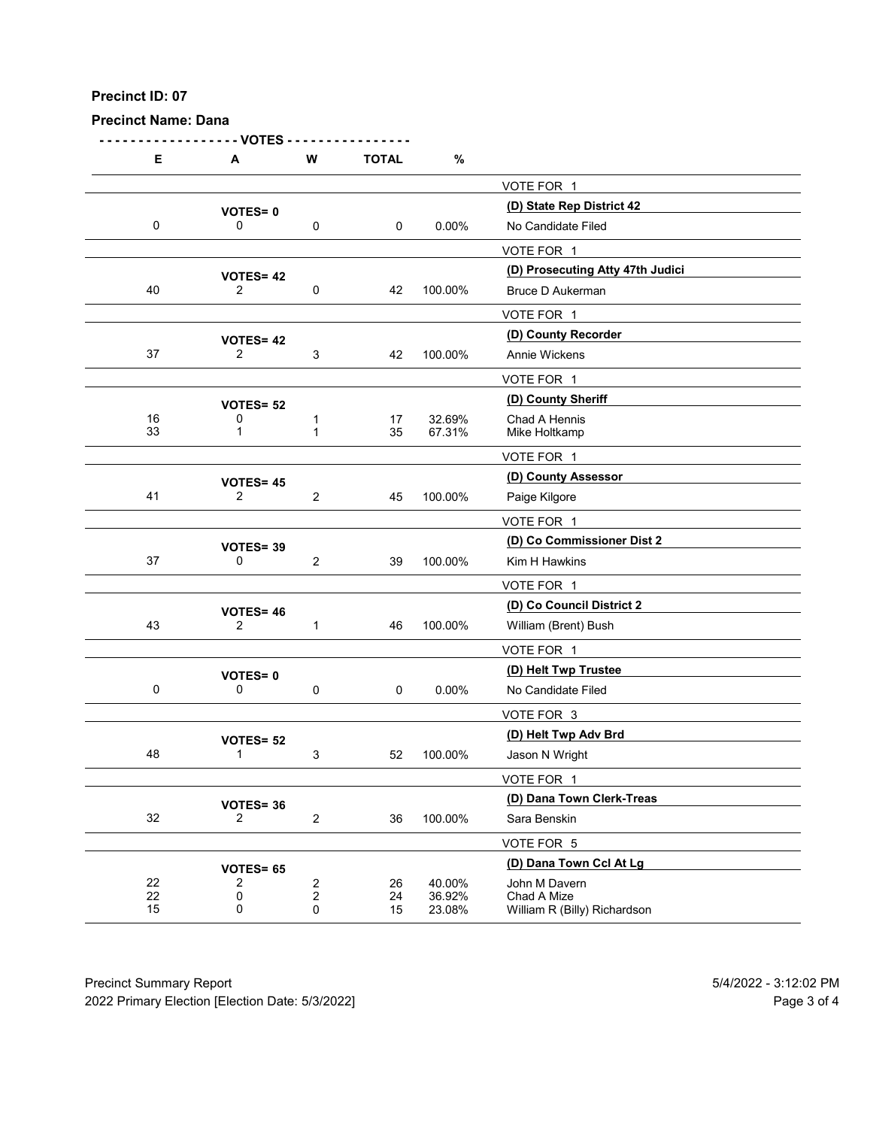### **Precinct Name: Dana**

**- - - - - - - - - - - - - - - - - - VOTES - - - - - - - - - - - - - - - - E A W TOTAL %** VOTE FOR 1 **(D) State Rep District 42 VOTES= <sup>0</sup>** 0 0 0 0 0.00% No Candidate Filed VOTE FOR 1 **(D) Prosecuting Atty 47th Judici VOTES= <sup>42</sup>** 40 2 0 42 100.00% Bruce D Aukerman VOTE FOR 1 **(D) County Recorder VOTES= <sup>42</sup>** 37 2 3 42 100.00% Annie Wickens VOTE FOR 1 **(D) County Sheriff VOTES= <sup>52</sup>** 16 0 1 1 17 32.69% Chad A Hennis<br>33 1 1 1 35 67.31% Mike Holtkamp Mike Holtkamp VOTE FOR 1 **(D) County Assessor VOTES= <sup>45</sup>** 41 2 2 45 100.00% Paige Kilgore VOTE FOR 1 **(D) Co Commissioner Dist 2 VOTES= <sup>39</sup>** 37 0 2 39 100.00% Kim H Hawkins VOTE FOR 1 **(D) Co Council District 2 VOTES= <sup>46</sup>** 43 2 1 46 100.00% William (Brent) Bush VOTE FOR 1 **VOTES= 0**<br>0 0 0 0 0 0.00% No Candidate Filed 0 0 0 0 0 0.00% No Candidate Filed VOTE FOR 3 **(D) Helt Twp Adv Brd VOTES= <sup>52</sup>** 48 1 3 52 100.00% Jason N Wright VOTE FOR 1 **(D) Dana Town Clerk-Treas VOTES= <sup>36</sup>** 32 2 2 36 100.00% Sara Benskin VOTE FOR 5 **(D) Dana Town Ccl At Lg VOTES= <sup>65</sup>** 22 2 2 2 26 40.00% John M Davern<br>22 0 2 24 36.92% Chad A Mize

22 0 2 24 36.92% Chad A Mize<br>15 0 0 15 23.08% William R (Bi

Precinct Summary Report 6-1200 PM and the state of the state of the state of the state of the SMS and the SMS and the SMS and the SMS and the SMS and the SMS and the SMS and the SMS and the SMS and the SMS and the SMS and 2022 Primary Election [Election Date: 5/3/2022] Page 3 of 4

William R (Billy) Richardson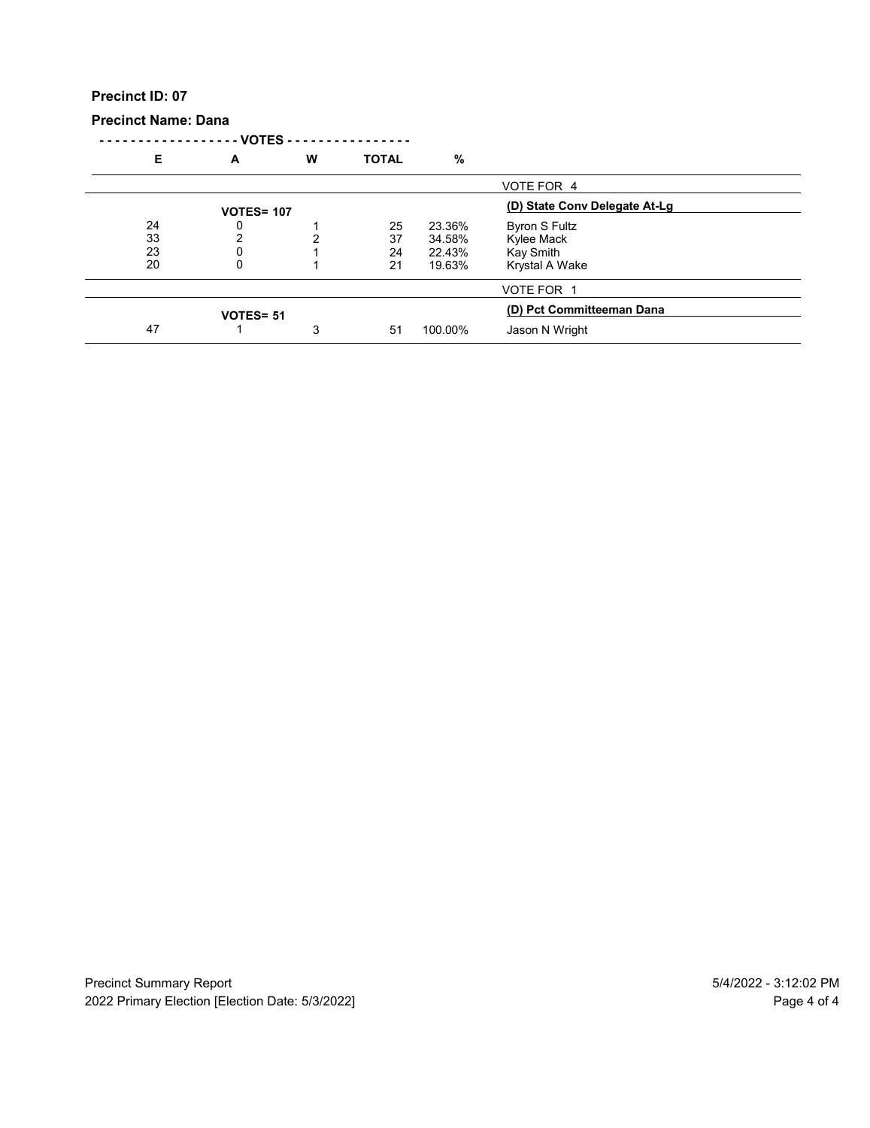### **Precinct Name: Dana**

|    |                   | - VOTES - - - - - - - - - - - - |              |         |                               |  |
|----|-------------------|---------------------------------|--------------|---------|-------------------------------|--|
| Е  | A                 | W                               | <b>TOTAL</b> | %       |                               |  |
|    |                   |                                 |              |         | VOTE FOR 4                    |  |
|    | <b>VOTES= 107</b> |                                 |              |         | (D) State Conv Delegate At-Lg |  |
| 24 |                   |                                 | 25           | 23.36%  | Byron S Fultz                 |  |
| 33 |                   |                                 | 37           | 34.58%  | Kylee Mack                    |  |
| 23 |                   |                                 | 24           | 22.43%  | Kay Smith                     |  |
| 20 |                   |                                 | 21           | 19.63%  | Krystal A Wake                |  |
|    |                   |                                 |              |         | VOTE FOR 1                    |  |
|    | <b>VOTES= 51</b>  |                                 |              |         | (D) Pct Committeeman Dana     |  |
| 47 |                   | 3                               | 51           | 100.00% | Jason N Wright                |  |
|    |                   |                                 |              |         |                               |  |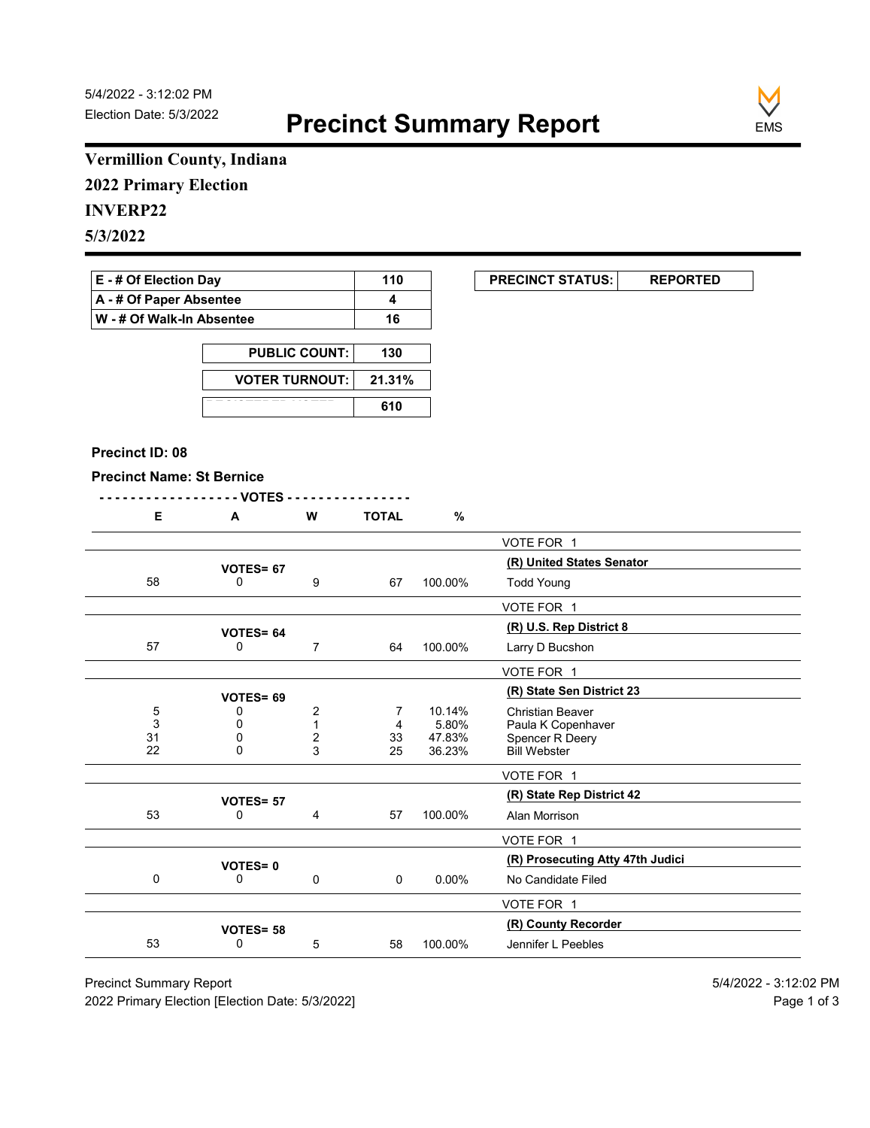

# **Vermillion County, Indiana**

**2022 Primary Election**

## **INVERP22**

**5/3/2022**

| E - # Of Election Day     | 110 |
|---------------------------|-----|
| A - # Of Paper Absentee   |     |
| W - # Of Walk-In Absentee | 16  |

| <b>PUBLIC COUNT:</b>  | 130    |
|-----------------------|--------|
| <b>VOTER TURNOUT:</b> | 21.31% |
|                       | 610    |

#### **Precinct ID: 08**

#### **Precinct Name: St Bernice**

**- - - - - - - - - - - - - - - - - - VOTES - - - - - - - - - - - - - - - -**

**E A W TOTAL %**

|                    |                  |                               |               |                                     | VOTE FOR 1                                                                              |
|--------------------|------------------|-------------------------------|---------------|-------------------------------------|-----------------------------------------------------------------------------------------|
|                    | <b>VOTES= 67</b> |                               |               |                                     | (R) United States Senator                                                               |
| 58                 | 0                | 9                             | 67            | 100.00%                             | <b>Todd Young</b>                                                                       |
|                    |                  |                               |               |                                     | VOTE FOR 1                                                                              |
|                    | <b>VOTES= 64</b> |                               |               |                                     | (R) U.S. Rep District 8                                                                 |
| 57                 | 0                | $\overline{7}$                | 64            | 100.00%                             | Larry D Bucshon                                                                         |
|                    |                  |                               |               |                                     | VOTE FOR 1                                                                              |
|                    | <b>VOTES= 69</b> |                               |               |                                     | (R) State Sen District 23                                                               |
| 5<br>3<br>31<br>22 | 0<br>0<br>0<br>0 | 2<br>$\overline{1}$<br>2<br>3 | 4<br>33<br>25 | 10.14%<br>5.80%<br>47.83%<br>36.23% | <b>Christian Beaver</b><br>Paula K Copenhaver<br>Spencer R Deery<br><b>Bill Webster</b> |
|                    |                  |                               |               |                                     | VOTE FOR 1                                                                              |
|                    | <b>VOTES= 57</b> |                               |               |                                     | (R) State Rep District 42                                                               |
| 53                 | 0                | 4                             | 57            | 100.00%                             | Alan Morrison                                                                           |
|                    |                  |                               |               |                                     | VOTE FOR 1                                                                              |
|                    | <b>VOTES=0</b>   |                               |               |                                     | (R) Prosecuting Atty 47th Judici                                                        |
| 0                  | 0                | 0                             | $\Omega$      | $0.00\%$                            | No Candidate Filed                                                                      |
|                    |                  |                               |               |                                     | VOTE FOR 1                                                                              |
|                    | <b>VOTES=58</b>  |                               |               |                                     | (R) County Recorder                                                                     |
| 53                 | 0                | 5                             | 58            | 100.00%                             | Jennifer L Peebles                                                                      |

Precinct Summary Report 61 November 2012 12:02 PM

2022 Primary Election [Election Date: 5/3/2022] **Page 1 of 3** and 2022 Primary Election Date: 5/3/2022]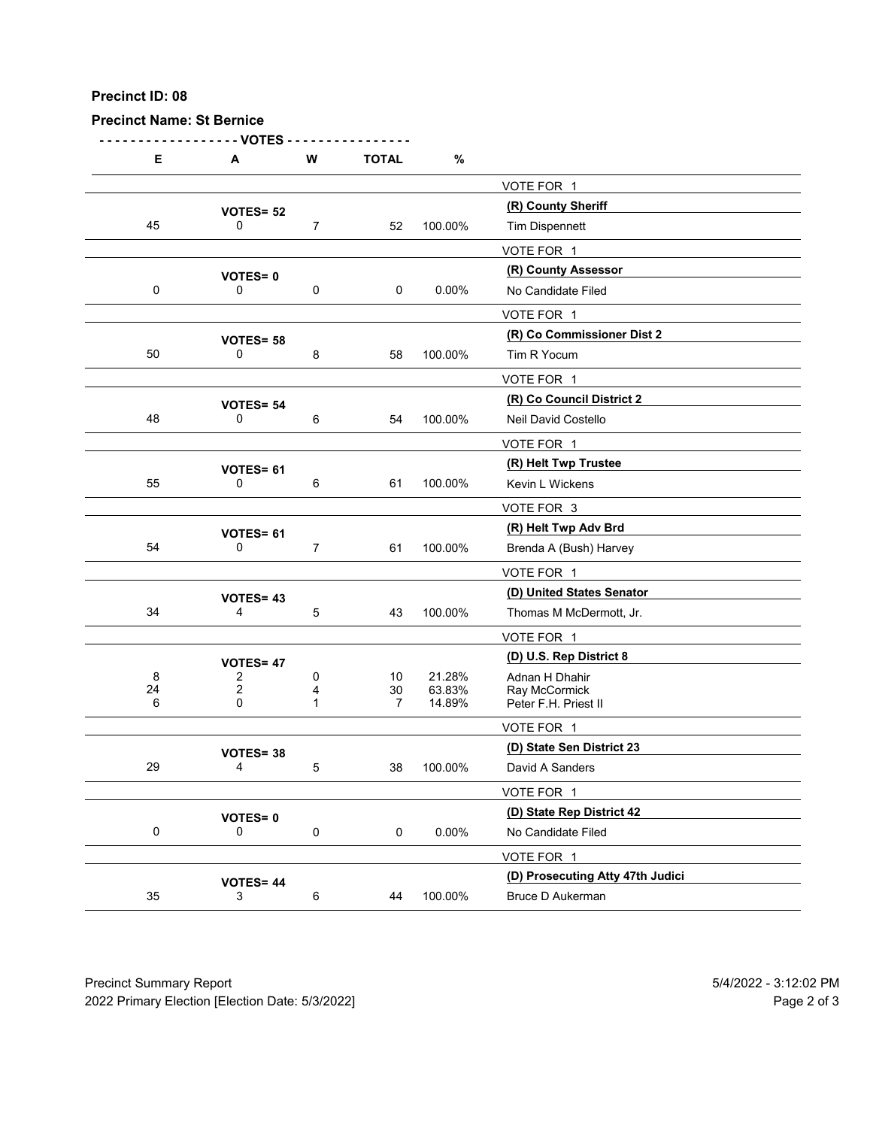### **Precinct Name: St Bernice**

**- - - - - - - - - - - - - - - - - - VOTES - - - - - - - - - - - - - - - -**

| E       | A                | W      | <b>TOTAL</b> | $\%$             |                                       |
|---------|------------------|--------|--------------|------------------|---------------------------------------|
|         |                  |        |              |                  | VOTE FOR 1                            |
|         | <b>VOTES= 52</b> |        |              |                  | (R) County Sheriff                    |
| 45      | 0                | 7      | 52           | 100.00%          | <b>Tim Dispennett</b>                 |
|         |                  |        |              |                  | VOTE FOR 1                            |
|         | <b>VOTES=0</b>   |        |              |                  | (R) County Assessor                   |
| 0       | 0                | 0      | 0            | 0.00%            | No Candidate Filed                    |
|         |                  |        |              |                  | VOTE FOR 1                            |
|         | <b>VOTES=58</b>  |        |              |                  | (R) Co Commissioner Dist 2            |
| 50      | 0                | 8      | 58           | 100.00%          | Tim R Yocum                           |
|         |                  |        |              |                  | VOTE FOR 1                            |
|         | <b>VOTES= 54</b> |        |              |                  | (R) Co Council District 2             |
| 48      | 0                | 6      | 54           | 100.00%          | Neil David Costello                   |
|         |                  |        |              |                  | VOTE FOR 1                            |
|         | <b>VOTES=61</b>  |        |              |                  | (R) Helt Twp Trustee                  |
| 55      | 0                | 6      | 61           | 100.00%          | Kevin L Wickens                       |
|         |                  |        |              |                  | VOTE FOR 3                            |
|         | <b>VOTES= 61</b> |        |              |                  | (R) Helt Twp Adv Brd                  |
| 54      | 0                | 7      | 61           | 100.00%          | Brenda A (Bush) Harvey                |
|         |                  |        |              |                  | VOTE FOR 1                            |
|         | <b>VOTES=43</b>  |        |              |                  | (D) United States Senator             |
| 34      | 4                | 5      | 43           | 100.00%          | Thomas M McDermott, Jr.               |
|         |                  |        |              |                  | VOTE FOR 1                            |
|         | <b>VOTES=47</b>  |        |              |                  | (D) U.S. Rep District 8               |
| 8       | 2                | 0      | 10           | 21.28%           | Adnan H Dhahir                        |
| 24<br>6 | 2<br>0           | 4<br>1 | 30<br>7      | 63.83%<br>14.89% | Ray McCormick<br>Peter F.H. Priest II |
|         |                  |        |              |                  | VOTE FOR 1                            |
|         | <b>VOTES=38</b>  |        |              |                  | (D) State Sen District 23             |
| 29      | 4                | 5      | 38           | 100.00%          | David A Sanders                       |
|         |                  |        |              |                  | VOTE FOR 1                            |
|         | <b>VOTES=0</b>   |        |              |                  | (D) State Rep District 42             |
| 0       | 0                | 0      | $\pmb{0}$    | 0.00%            | No Candidate Filed                    |
|         |                  |        |              |                  | VOTE FOR 1                            |
|         | <b>VOTES=44</b>  |        |              |                  | (D) Prosecuting Atty 47th Judici      |
| 35      | 3                | 6      | 44           | 100.00%          | Bruce D Aukerman                      |
|         |                  |        |              |                  |                                       |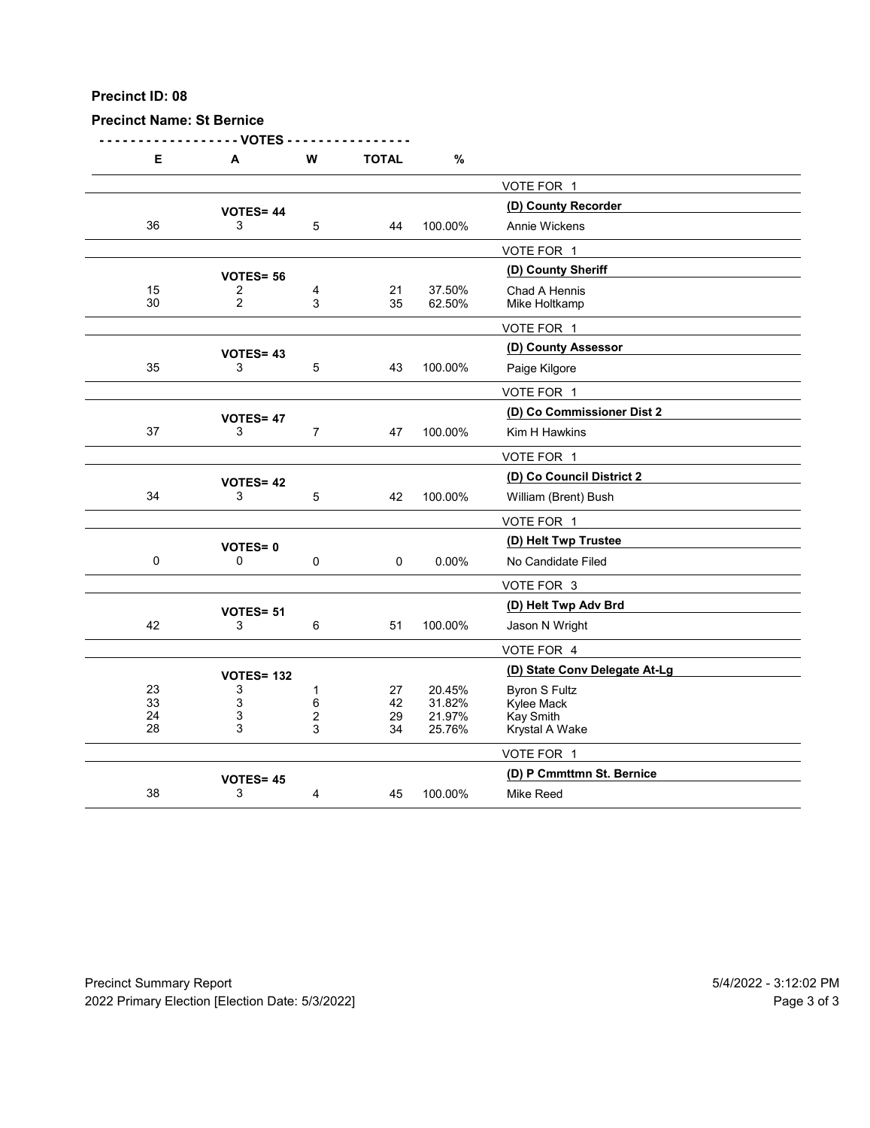### **Precinct Name: St Bernice**

**- - - - - - - - - - - - - - - - - - VOTES - - - - - - - - - - - - - - - -**

| Е        | A                 | W                   | <b>TOTAL</b> | $\%$             |                               |
|----------|-------------------|---------------------|--------------|------------------|-------------------------------|
|          |                   |                     |              |                  | VOTE FOR 1                    |
|          | <b>VOTES=44</b>   |                     |              |                  | (D) County Recorder           |
| 36       | 3                 | 5                   | 44           | 100.00%          | Annie Wickens                 |
|          |                   |                     |              |                  | VOTE FOR 1                    |
|          | <b>VOTES=56</b>   |                     |              |                  | (D) County Sheriff            |
| 15       | 2                 | 4                   | 21           | 37.50%           | Chad A Hennis                 |
| 30       | $\overline{2}$    | 3                   | 35           | 62.50%           | Mike Holtkamp                 |
|          |                   |                     |              |                  | VOTE FOR 1                    |
|          | <b>VOTES=43</b>   |                     |              |                  | (D) County Assessor           |
| 35       | 3                 | 5                   | 43           | 100.00%          | Paige Kilgore                 |
|          |                   |                     |              |                  | VOTE FOR 1                    |
|          | <b>VOTES=47</b>   |                     |              |                  | (D) Co Commissioner Dist 2    |
| 37       | 3                 | $\overline{7}$      | 47           | 100.00%          | Kim H Hawkins                 |
|          |                   |                     |              |                  | VOTE FOR 1                    |
|          | <b>VOTES=42</b>   |                     |              |                  | (D) Co Council District 2     |
| 34       | 3                 | 5                   | 42           | 100.00%          | William (Brent) Bush          |
|          |                   |                     |              |                  | VOTE FOR 1                    |
|          | <b>VOTES=0</b>    |                     |              |                  | (D) Helt Twp Trustee          |
| 0        | 0                 | 0                   | $\mathbf 0$  | 0.00%            | No Candidate Filed            |
|          |                   |                     |              |                  | VOTE FOR 3                    |
|          | <b>VOTES= 51</b>  |                     |              |                  | (D) Helt Twp Adv Brd          |
| 42       | 3                 | 6                   | 51           | 100.00%          | Jason N Wright                |
|          |                   |                     |              |                  | VOTE FOR 4                    |
|          | <b>VOTES= 132</b> |                     |              |                  | (D) State Conv Delegate At-Lg |
| 23       | 3                 | 1                   | 27           | 20.45%           | <b>Byron S Fultz</b>          |
| 33       | 3                 | 6                   | 42           | 31.82%           | Kylee Mack                    |
| 24<br>28 | 3<br>3            | $\overline{2}$<br>3 | 29<br>34     | 21.97%<br>25.76% | Kay Smith<br>Krystal A Wake   |
|          |                   |                     |              |                  |                               |
|          |                   |                     |              |                  | VOTE FOR 1                    |
|          | <b>VOTES=45</b>   |                     |              |                  | (D) P Cmmttmn St. Bernice     |
| 38       | 3                 | 4                   | 45           | 100.00%          | Mike Reed                     |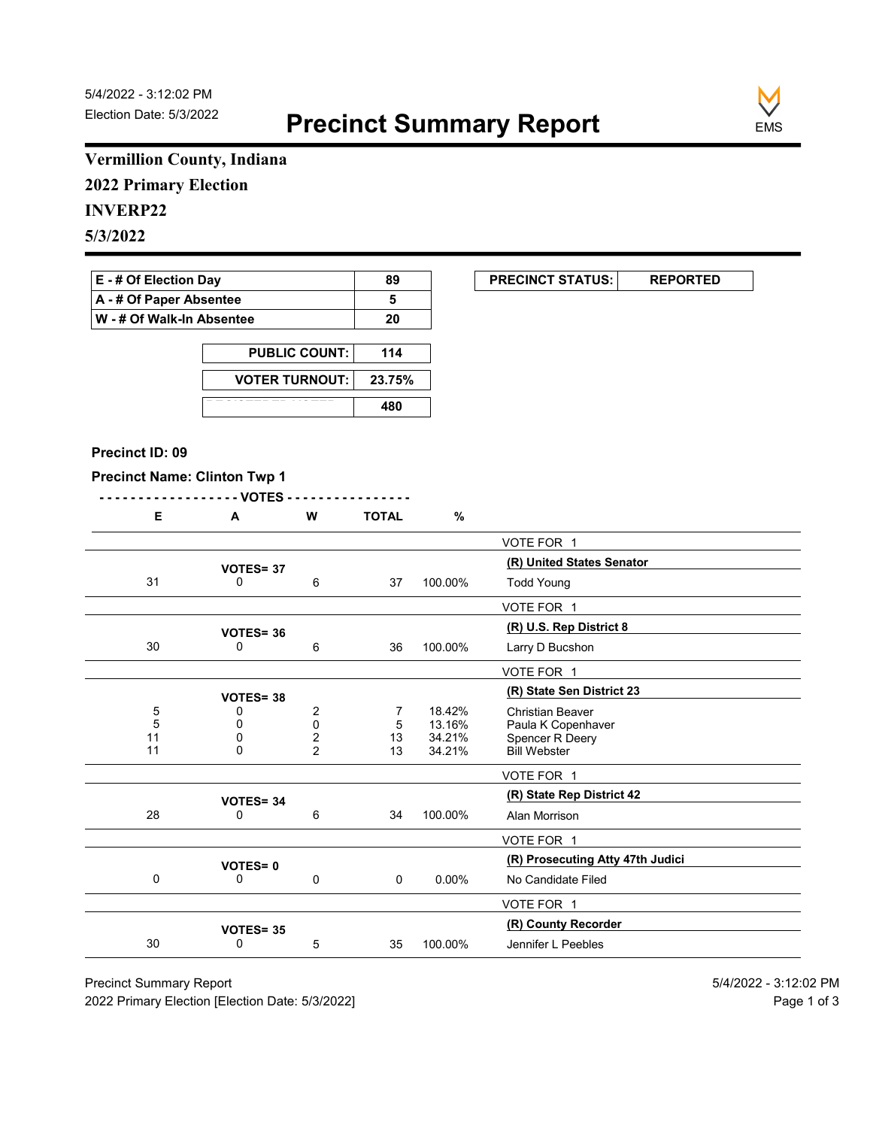

# **Vermillion County, Indiana**

**2022 Primary Election**

# **INVERP22**

**5/3/2022**

| $E - #$ Of Election Day          | 89 |
|----------------------------------|----|
| A - # Of Paper Absentee          |    |
| <b>W</b> - # Of Walk-In Absentee | 20 |

| <b>PUBLIC COUNT:</b>  | 114    |
|-----------------------|--------|
| <b>VOTER TURNOUT:</b> | 23.75% |
|                       | 480    |

### **Precinct ID: 09**

**Precinct Name: Clinton Twp 1**

**- - - - - - - - - - - - - - - - - - VOTES - - - - - - - - - - - - - - - -**

**E A W TOTAL %**

|    |                 |                |             |          | VOTE FOR 1                       |
|----|-----------------|----------------|-------------|----------|----------------------------------|
|    | <b>VOTES=37</b> |                |             |          | (R) United States Senator        |
| 31 | 0               | 6              | 37          | 100.00%  | <b>Todd Young</b>                |
|    |                 |                |             |          | VOTE FOR 1                       |
|    | <b>VOTES=36</b> |                |             |          | (R) U.S. Rep District 8          |
| 30 | 0               | 6              | 36          | 100.00%  | Larry D Bucshon                  |
|    |                 |                |             |          | VOTE FOR 1                       |
|    | <b>VOTES=38</b> |                |             |          | (R) State Sen District 23        |
| 5  | 0               | 2              |             | 18.42%   | <b>Christian Beaver</b>          |
| 5  | 0               | $\mathbf 0$    | 5           | 13.16%   | Paula K Copenhaver               |
| 11 | 0               | $\overline{c}$ | 13          | 34.21%   | Spencer R Deery                  |
| 11 | $\mathbf{0}$    | $\overline{2}$ | 13          | 34.21%   | <b>Bill Webster</b>              |
|    |                 |                |             |          | VOTE FOR 1                       |
|    | <b>VOTES=34</b> |                |             |          | (R) State Rep District 42        |
| 28 | 0               | 6              | 34          | 100.00%  | Alan Morrison                    |
|    |                 |                |             |          | VOTE FOR 1                       |
|    | <b>VOTES=0</b>  |                |             |          | (R) Prosecuting Atty 47th Judici |
| 0  | 0               | 0              | $\mathbf 0$ | $0.00\%$ | No Candidate Filed               |
|    |                 |                |             |          | VOTE FOR 1                       |
|    | <b>VOTES=35</b> |                |             |          | (R) County Recorder              |
| 30 | 0               | 5              | 35          | 100.00%  | Jennifer L Peebles               |
|    |                 |                |             |          |                                  |

Precinct Summary Report 61 November 2012 12:02 PM

2022 Primary Election [Election Date: 5/3/2022] **Page 1 of 3** and 2022 Primary Election Date: 5/3/2022]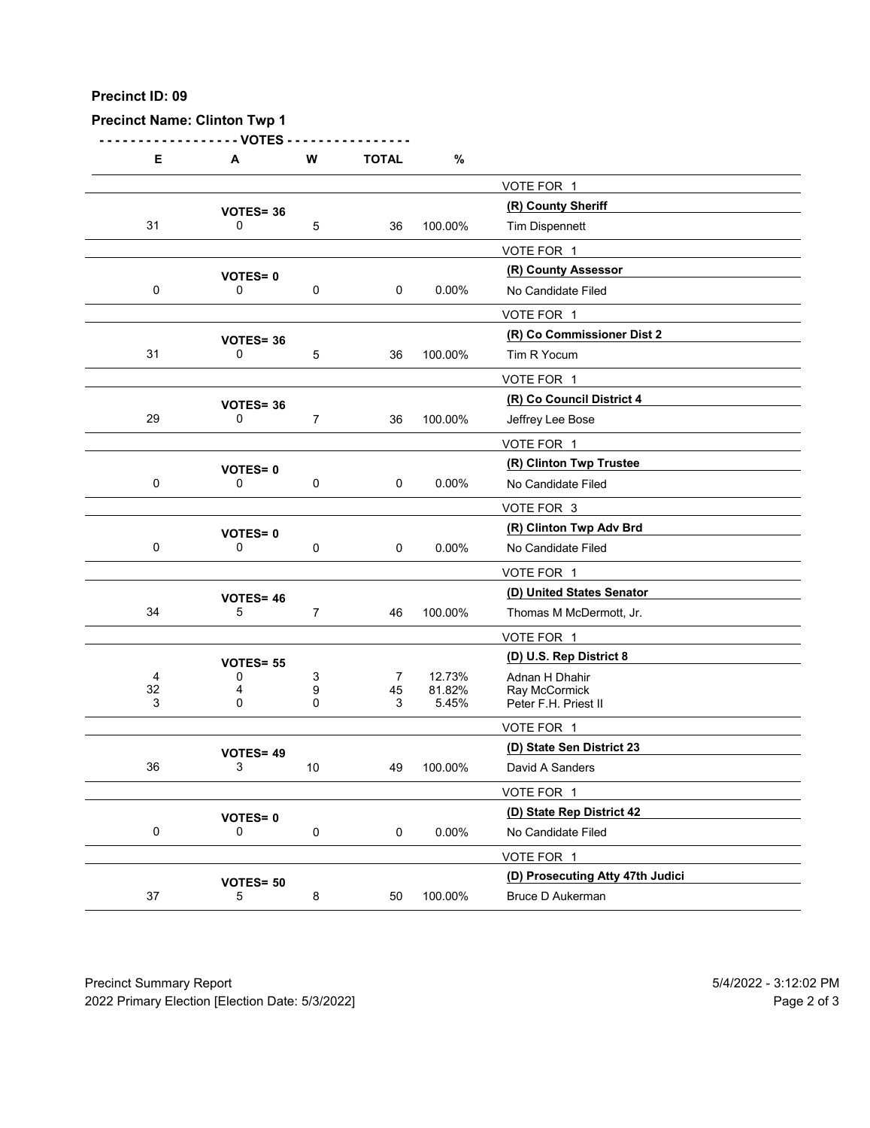## **Precinct Name: Clinton Twp 1**

**- - - - - - - - - - - - - - - - - - VOTES - - - - - - - - - - - - - - - -**

| Е       | A                    | W      | <b>TOTAL</b> | $\%$            |                                       |
|---------|----------------------|--------|--------------|-----------------|---------------------------------------|
|         |                      |        |              |                 | VOTE FOR 1                            |
|         | <b>VOTES=36</b>      |        |              |                 | (R) County Sheriff                    |
| 31      | 0                    | 5      | 36           | 100.00%         | <b>Tim Dispennett</b>                 |
|         |                      |        |              |                 | VOTE FOR 1                            |
|         | <b>VOTES=0</b>       |        |              |                 | (R) County Assessor                   |
| 0       | 0                    | 0      | 0            | 0.00%           | No Candidate Filed                    |
|         |                      |        |              |                 | VOTE FOR 1                            |
|         | <b>VOTES=36</b>      |        |              |                 | (R) Co Commissioner Dist 2            |
| 31      | 0                    | 5      | 36           | 100.00%         | Tim R Yocum                           |
|         |                      |        |              |                 | VOTE FOR 1                            |
|         | <b>VOTES=36</b>      |        |              |                 | (R) Co Council District 4             |
| 29      | 0                    | 7      | 36           | 100.00%         | Jeffrey Lee Bose                      |
|         |                      |        |              |                 | VOTE FOR 1                            |
|         | <b>VOTES=0</b>       |        |              |                 | (R) Clinton Twp Trustee               |
| 0       | 0                    | 0      | 0            | $0.00\%$        | No Candidate Filed                    |
|         |                      |        |              |                 | VOTE FOR 3                            |
|         | <b>VOTES=0</b>       |        |              |                 | (R) Clinton Twp Adv Brd               |
| 0       | 0                    | 0      | 0            | 0.00%           | No Candidate Filed                    |
|         |                      |        |              |                 | VOTE FOR 1                            |
|         | <b>VOTES=46</b>      |        |              |                 | (D) United States Senator             |
| 34      | 5                    | 7      | 46           | 100.00%         | Thomas M McDermott, Jr.               |
|         |                      |        |              |                 | VOTE FOR 1                            |
|         | <b>VOTES= 55</b>     |        |              |                 | (D) U.S. Rep District 8               |
| 4       | 0                    | 3      | 7            | 12.73%          | Adnan H Dhahir                        |
| 32<br>3 | 4<br>0               | 9<br>0 | 45<br>3      | 81.82%<br>5.45% | Ray McCormick<br>Peter F.H. Priest II |
|         |                      |        |              |                 | VOTE FOR 1                            |
|         |                      |        |              |                 | (D) State Sen District 23             |
| 36      | <b>VOTES=49</b><br>3 | 10     | 49           | 100.00%         | David A Sanders                       |
|         |                      |        |              |                 | VOTE FOR 1                            |
|         | <b>VOTES=0</b>       |        |              |                 | (D) State Rep District 42             |
| 0       | 0                    | 0      | 0            | 0.00%           | No Candidate Filed                    |
|         |                      |        |              |                 | VOTE FOR 1                            |
|         | <b>VOTES=50</b>      |        |              |                 | (D) Prosecuting Atty 47th Judici      |
| 37      | 5                    | 8      | 50           | 100.00%         | Bruce D Aukerman                      |
|         |                      |        |              |                 |                                       |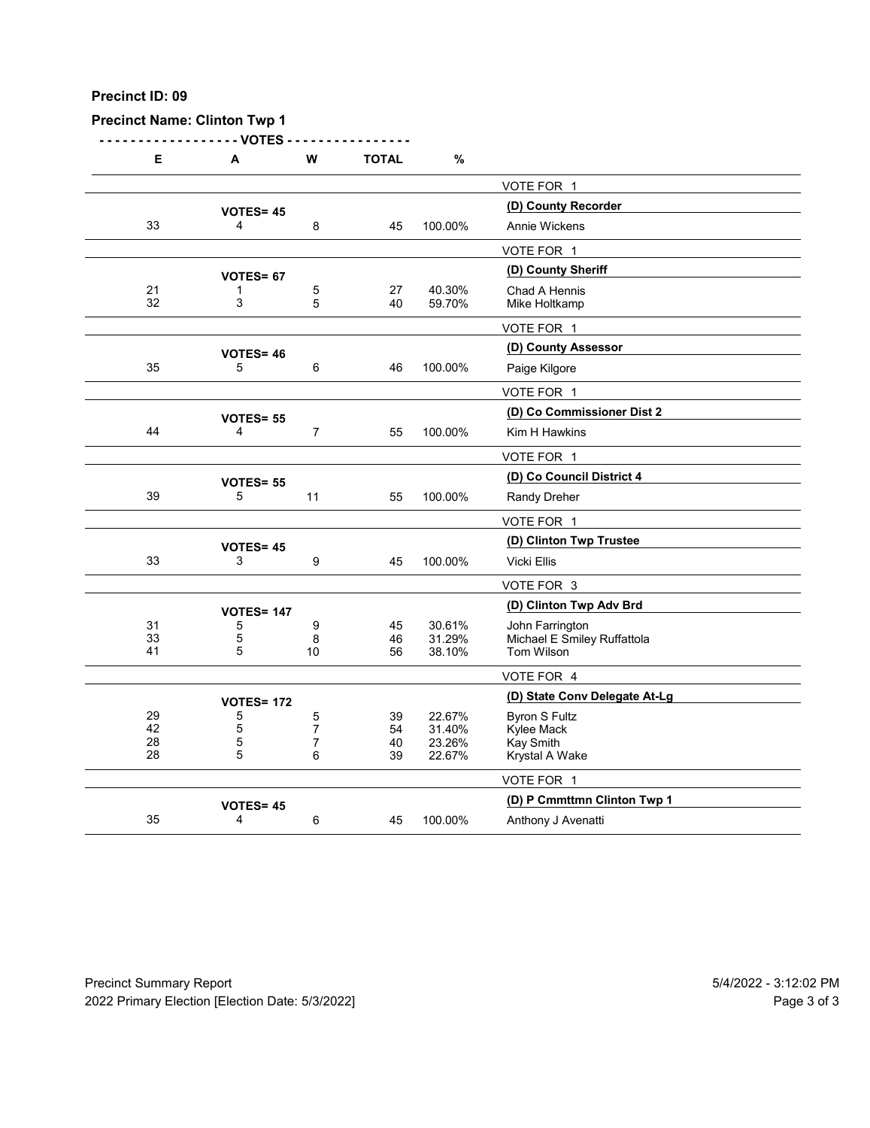## **Precinct Name: Clinton Twp 1**

**- - - - - - - - - - - - - - - - - - VOTES - - - - - - - - - - - - - - - -**

| E        | A                 | W                   | <b>TOTAL</b> | $\%$             |                               |
|----------|-------------------|---------------------|--------------|------------------|-------------------------------|
|          |                   |                     |              |                  | VOTE FOR 1                    |
|          | <b>VOTES= 45</b>  |                     |              |                  | (D) County Recorder           |
| 33       | 4                 | 8                   | 45           | 100.00%          | Annie Wickens                 |
|          |                   |                     |              |                  | VOTE FOR 1                    |
|          | <b>VOTES= 67</b>  |                     |              |                  | (D) County Sheriff            |
| 21       | 1                 | 5                   | 27           | 40.30%           | Chad A Hennis                 |
| 32       | 3                 | 5                   | 40           | 59.70%           | Mike Holtkamp                 |
|          |                   |                     |              |                  | VOTE FOR 1                    |
|          | <b>VOTES=46</b>   |                     |              |                  | (D) County Assessor           |
| 35       | 5                 | 6                   | 46           | 100.00%          | Paige Kilgore                 |
|          |                   |                     |              |                  | VOTE FOR 1                    |
|          | <b>VOTES= 55</b>  |                     |              |                  | (D) Co Commissioner Dist 2    |
| 44       | 4                 | $\overline{7}$      | 55           | 100.00%          | Kim H Hawkins                 |
|          |                   |                     |              |                  | VOTE FOR 1                    |
|          | <b>VOTES= 55</b>  |                     |              |                  | (D) Co Council District 4     |
| 39       | 5                 | 11                  | 55           | 100.00%          | Randy Dreher                  |
|          |                   |                     |              |                  | VOTE FOR 1                    |
|          | <b>VOTES=45</b>   |                     |              |                  | (D) Clinton Twp Trustee       |
| 33       | 3                 | 9                   | 45           | 100.00%          | <b>Vicki Ellis</b>            |
|          |                   |                     |              |                  | VOTE FOR 3                    |
|          | <b>VOTES= 147</b> |                     |              |                  | (D) Clinton Twp Adv Brd       |
| 31       | 5                 | 9                   | 45           | 30.61%           | John Farrington               |
| 33       | 5                 | 8                   | 46           | 31.29%           | Michael E Smiley Ruffattola   |
| 41       | 5                 | 10                  | 56           | 38.10%           | <b>Tom Wilson</b>             |
|          |                   |                     |              |                  | VOTE FOR 4                    |
|          | <b>VOTES= 172</b> |                     |              |                  | (D) State Conv Delegate At-Lg |
| 29<br>42 | 5<br>5            | 5<br>$\overline{7}$ | 39           | 22.67%           | <b>Byron S Fultz</b>          |
| 28       | 5                 | $\overline{7}$      | 54<br>40     | 31.40%<br>23.26% | Kylee Mack<br>Kay Smith       |
| 28       | 5                 | 6                   | 39           | 22.67%           | Krystal A Wake                |
|          |                   |                     |              |                  | VOTE FOR 1                    |
|          | <b>VOTES=45</b>   |                     |              |                  | (D) P Cmmttmn Clinton Twp 1   |
| 35       | 4                 | 6                   | 45           | 100.00%          | Anthony J Avenatti            |
|          |                   |                     |              |                  |                               |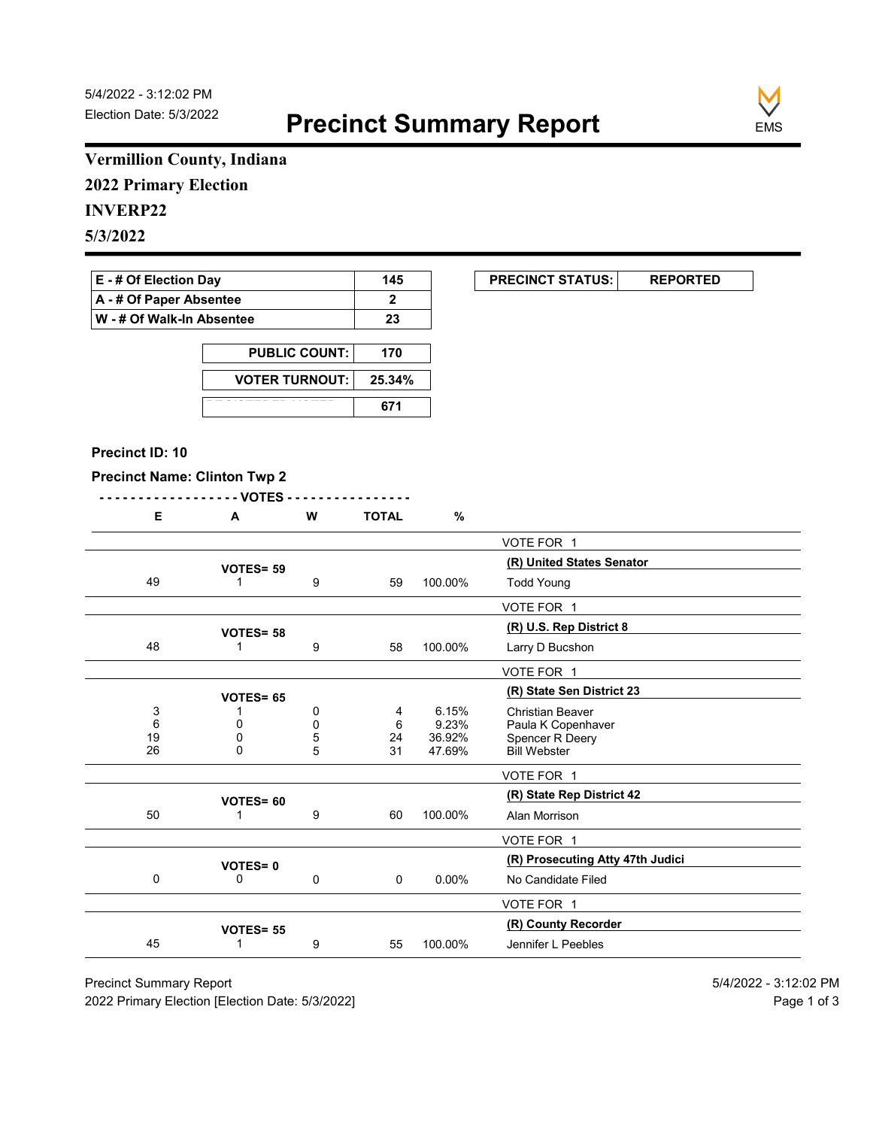

# **Vermillion County, Indiana**

**2022 Primary Election**

# **INVERP22**

**5/3/2022**

| $E - #$ Of Election Day              | 145 |
|--------------------------------------|-----|
| $\mathsf{A}$ - # Of Paper Absentee   |     |
| $\mathsf{W}$ - # Of Walk-In Absentee | 23  |

| <b>PUBLIC COUNT:</b>  | 170    |
|-----------------------|--------|
| <b>VOTER TURNOUT:</b> | 25.34% |
|                       | 671    |

### **Precinct ID: 10**

**Precinct Name: Clinton Twp 2**

**- - - - - - - - - - - - - - - - - - VOTES - - - - - - - - - - - - - - - -**

**E A W TOTAL %**

|                    |                  |                            |                    |                                    | VOTE FOR 1                                                                              |
|--------------------|------------------|----------------------------|--------------------|------------------------------------|-----------------------------------------------------------------------------------------|
|                    | <b>VOTES= 59</b> |                            |                    |                                    | (R) United States Senator                                                               |
| 49                 |                  | 9                          | 59                 | 100.00%                            | <b>Todd Young</b>                                                                       |
|                    |                  |                            |                    |                                    | VOTE FOR 1                                                                              |
|                    | <b>VOTES=58</b>  |                            |                    |                                    | (R) U.S. Rep District 8                                                                 |
| 48                 |                  | 9                          | 58                 | 100.00%                            | Larry D Bucshon                                                                         |
|                    |                  |                            |                    |                                    | VOTE FOR 1                                                                              |
|                    | <b>VOTES= 65</b> |                            |                    |                                    | (R) State Sen District 23                                                               |
| 3<br>6<br>19<br>26 | 0<br>0<br>0      | 0<br>$\mathbf 0$<br>5<br>5 | 4<br>6<br>24<br>31 | 6.15%<br>9.23%<br>36.92%<br>47.69% | <b>Christian Beaver</b><br>Paula K Copenhaver<br>Spencer R Deery<br><b>Bill Webster</b> |
|                    |                  |                            |                    |                                    | VOTE FOR 1                                                                              |
|                    | <b>VOTES=60</b>  |                            |                    |                                    | (R) State Rep District 42                                                               |
| 50                 |                  | 9                          | 60                 | 100.00%                            | Alan Morrison                                                                           |
|                    |                  |                            |                    |                                    | VOTE FOR 1                                                                              |
|                    | <b>VOTES=0</b>   |                            |                    |                                    | (R) Prosecuting Atty 47th Judici                                                        |
| 0                  | 0                | $\mathbf{0}$               | $\mathbf{0}$       | $0.00\%$                           | No Candidate Filed                                                                      |
|                    |                  |                            |                    |                                    | VOTE FOR 1                                                                              |
|                    | <b>VOTES= 55</b> |                            |                    |                                    | (R) County Recorder                                                                     |
| 45                 |                  | 9                          | 55                 | 100.00%                            | Jennifer L Peebles                                                                      |

Precinct Summary Report 61 November 2012 12:02 PM

2022 Primary Election [Election Date: 5/3/2022] **Page 1 of 3** and 2022 Primary Election Date: 5/3/2022]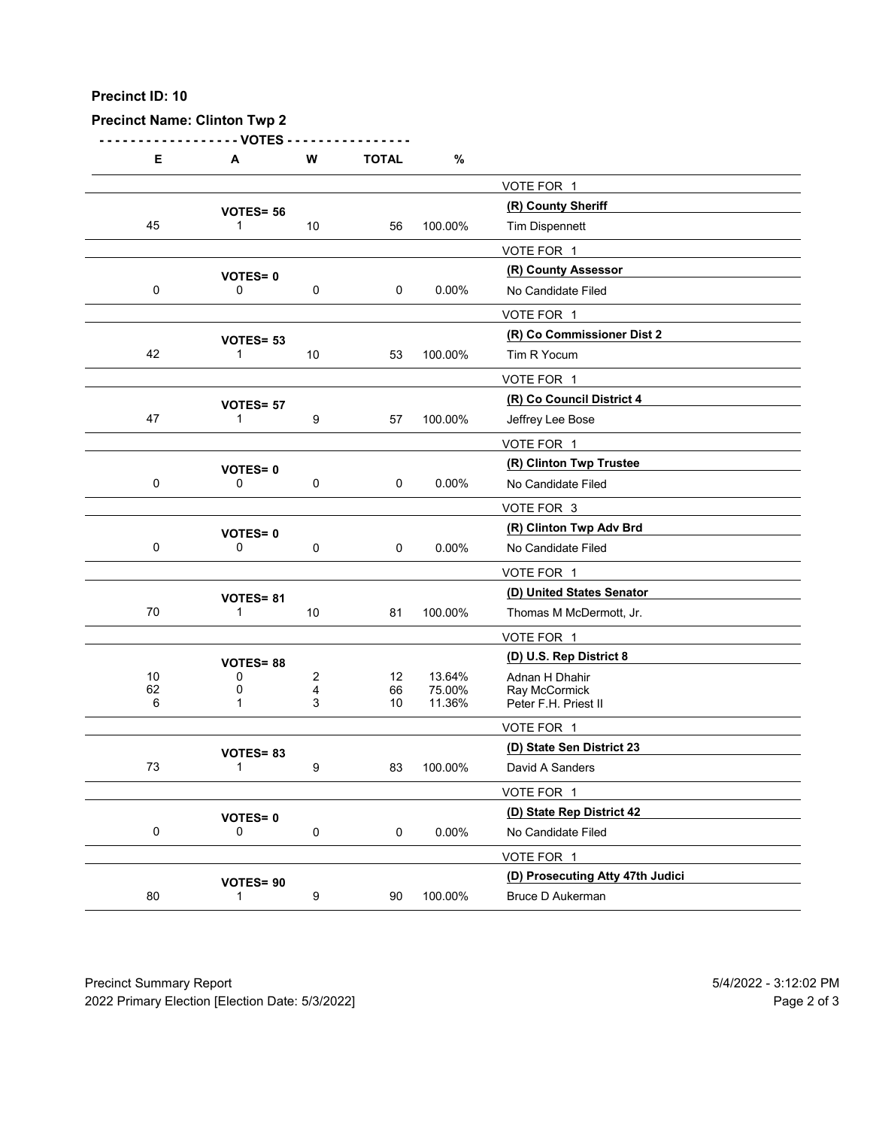## **Precinct Name: Clinton Twp 2**

**- - - - - - - - - - - - - - - - - - VOTES - - - - - - - - - - - - - - - -**

| Е         | A                | W         | <b>TOTAL</b> | %                |                                  |
|-----------|------------------|-----------|--------------|------------------|----------------------------------|
|           |                  |           |              |                  | VOTE FOR 1                       |
|           | <b>VOTES=56</b>  |           |              |                  | (R) County Sheriff               |
| 45        | 1                | 10        | 56           | 100.00%          | <b>Tim Dispennett</b>            |
|           |                  |           |              |                  | VOTE FOR 1                       |
|           | <b>VOTES=0</b>   |           |              |                  | (R) County Assessor              |
| $\pmb{0}$ | 0                | 0         | $\mathbf 0$  | 0.00%            | No Candidate Filed               |
|           |                  |           |              |                  | VOTE FOR 1                       |
|           | <b>VOTES= 53</b> |           |              |                  | (R) Co Commissioner Dist 2       |
| 42        | 1                | 10        | 53           | 100.00%          | Tim R Yocum                      |
|           |                  |           |              |                  | VOTE FOR 1                       |
|           | <b>VOTES= 57</b> |           |              |                  | (R) Co Council District 4        |
| 47        | 1                | 9         | 57           | 100.00%          | Jeffrey Lee Bose                 |
|           |                  |           |              |                  | VOTE FOR 1                       |
|           | <b>VOTES=0</b>   |           |              |                  | (R) Clinton Twp Trustee          |
| 0         | 0                | 0         | $\mathbf 0$  | 0.00%            | No Candidate Filed               |
|           |                  |           |              |                  | VOTE FOR 3                       |
|           | <b>VOTES=0</b>   |           |              |                  | (R) Clinton Twp Adv Brd          |
| 0         | 0                | 0         | $\pmb{0}$    | 0.00%            | No Candidate Filed               |
|           |                  |           |              |                  | VOTE FOR 1                       |
|           | <b>VOTES=81</b>  |           |              |                  | (D) United States Senator        |
| 70        | 1                | 10        | 81           | 100.00%          | Thomas M McDermott, Jr.          |
|           |                  |           |              |                  | VOTE FOR 1                       |
|           | <b>VOTES=88</b>  |           |              |                  | (D) U.S. Rep District 8          |
| 10<br>62  | 0<br>0           | 2<br>4    | 12<br>66     | 13.64%<br>75.00% | Adnan H Dhahir<br>Ray McCormick  |
| 6         | 1                | 3         | 10           | 11.36%           | Peter F.H. Priest II             |
|           |                  |           |              |                  | VOTE FOR 1                       |
|           | <b>VOTES=83</b>  |           |              |                  | (D) State Sen District 23        |
| 73        | 1                | 9         | 83           | 100.00%          | David A Sanders                  |
|           |                  |           |              |                  | VOTE FOR 1                       |
|           | <b>VOTES=0</b>   |           |              |                  | (D) State Rep District 42        |
| $\pmb{0}$ | 0                | $\pmb{0}$ | $\pmb{0}$    | 0.00%            | No Candidate Filed               |
|           |                  |           |              |                  | VOTE FOR 1                       |
|           | <b>VOTES=90</b>  |           |              |                  | (D) Prosecuting Atty 47th Judici |
| $80\,$    | 1                | 9         | 90           | 100.00%          | Bruce D Aukerman                 |
|           |                  |           |              |                  |                                  |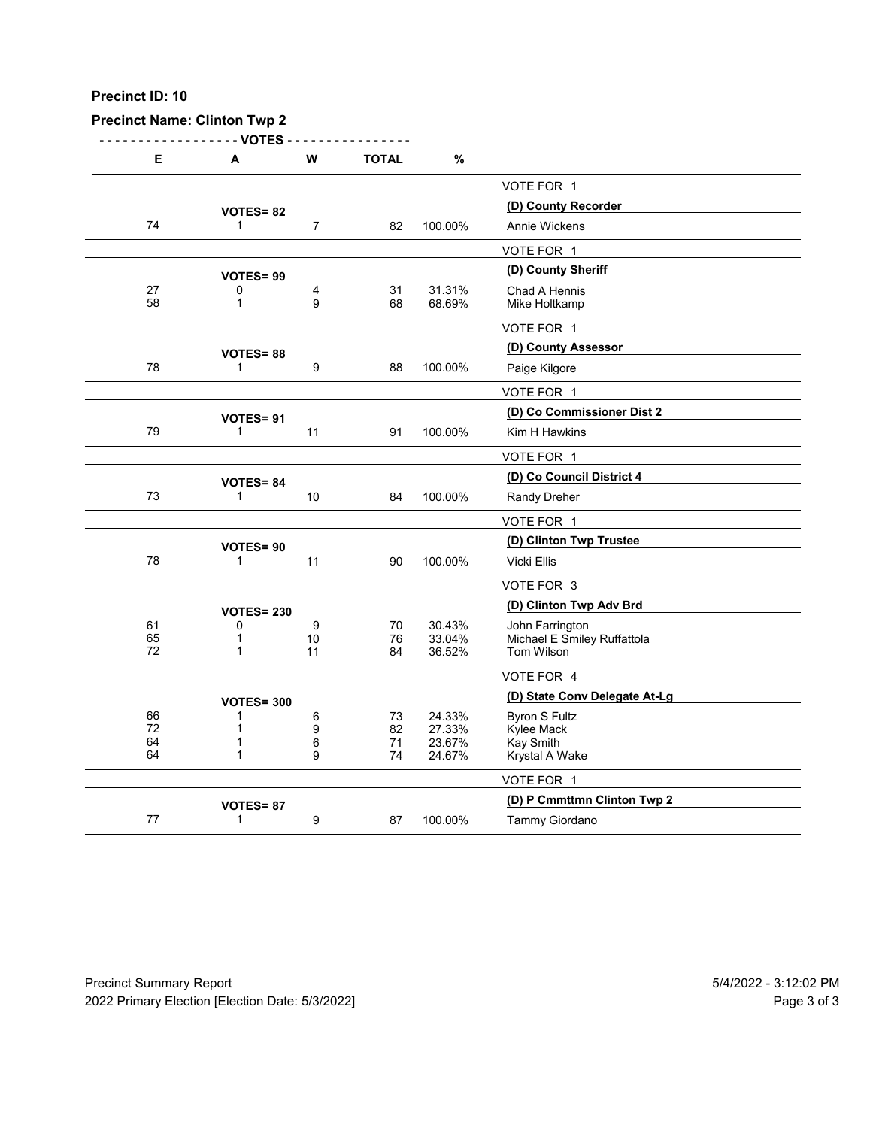## **Precinct Name: Clinton Twp 2**

**- - - - - - - - - - - - - - - - - - VOTES - - - - - - - - - - - - - - - -**

| E        | A                 | W              | <b>TOTAL</b> | %                |                                           |
|----------|-------------------|----------------|--------------|------------------|-------------------------------------------|
|          |                   |                |              |                  | VOTE FOR 1                                |
|          | <b>VOTES=82</b>   |                |              |                  | (D) County Recorder                       |
| 74       | 1                 | $\overline{7}$ | 82           | 100.00%          | Annie Wickens                             |
|          |                   |                |              |                  | VOTE FOR 1                                |
|          | <b>VOTES=99</b>   |                |              |                  | (D) County Sheriff                        |
| 27       | 0                 | 4              | 31           | 31.31%           | Chad A Hennis                             |
| 58       | 1                 | 9              | 68           | 68.69%           | Mike Holtkamp                             |
|          |                   |                |              |                  | VOTE FOR 1                                |
|          | <b>VOTES=88</b>   |                |              |                  | (D) County Assessor                       |
| 78       | 1                 | 9              | 88           | 100.00%          | Paige Kilgore                             |
|          |                   |                |              |                  | VOTE FOR 1                                |
|          | <b>VOTES=91</b>   |                |              |                  | (D) Co Commissioner Dist 2                |
| 79       | 1                 | 11             | 91           | 100.00%          | Kim H Hawkins                             |
|          |                   |                |              |                  | VOTE FOR 1                                |
|          | <b>VOTES=84</b>   |                |              |                  | (D) Co Council District 4                 |
| 73       | 1                 | 10             | 84           | 100.00%          | Randy Dreher                              |
|          |                   |                |              |                  | VOTE FOR 1                                |
|          | <b>VOTES=90</b>   |                |              |                  | (D) Clinton Twp Trustee                   |
| 78       | 1                 | 11             | 90           | 100.00%          | <b>Vicki Ellis</b>                        |
|          |                   |                |              |                  | VOTE FOR 3                                |
|          | <b>VOTES= 230</b> |                |              |                  | (D) Clinton Twp Adv Brd                   |
| 61       | 0                 | 9              | 70           | 30.43%           | John Farrington                           |
| 65<br>72 | 1<br>1            | 10<br>11       | 76<br>84     | 33.04%<br>36.52% | Michael E Smiley Ruffattola<br>Tom Wilson |
|          |                   |                |              |                  |                                           |
|          |                   |                |              |                  | VOTE FOR 4                                |
|          | <b>VOTES= 300</b> |                |              |                  | (D) State Conv Delegate At-Lg             |
| 66<br>72 | 1                 | 6<br>9         | 73<br>82     | 24.33%<br>27.33% | <b>Byron S Fultz</b><br><b>Kylee Mack</b> |
| 64       | 1                 | 6              | 71           | 23.67%           | Kay Smith                                 |
| 64       | 1                 | 9              | 74           | 24.67%           | Krystal A Wake                            |
|          |                   |                |              |                  | VOTE FOR 1                                |
|          | <b>VOTES=87</b>   |                |              |                  | (D) P Cmmttmn Clinton Twp 2               |
| 77       | 1                 | 9              | 87           | 100.00%          | Tammy Giordano                            |
|          |                   |                |              |                  |                                           |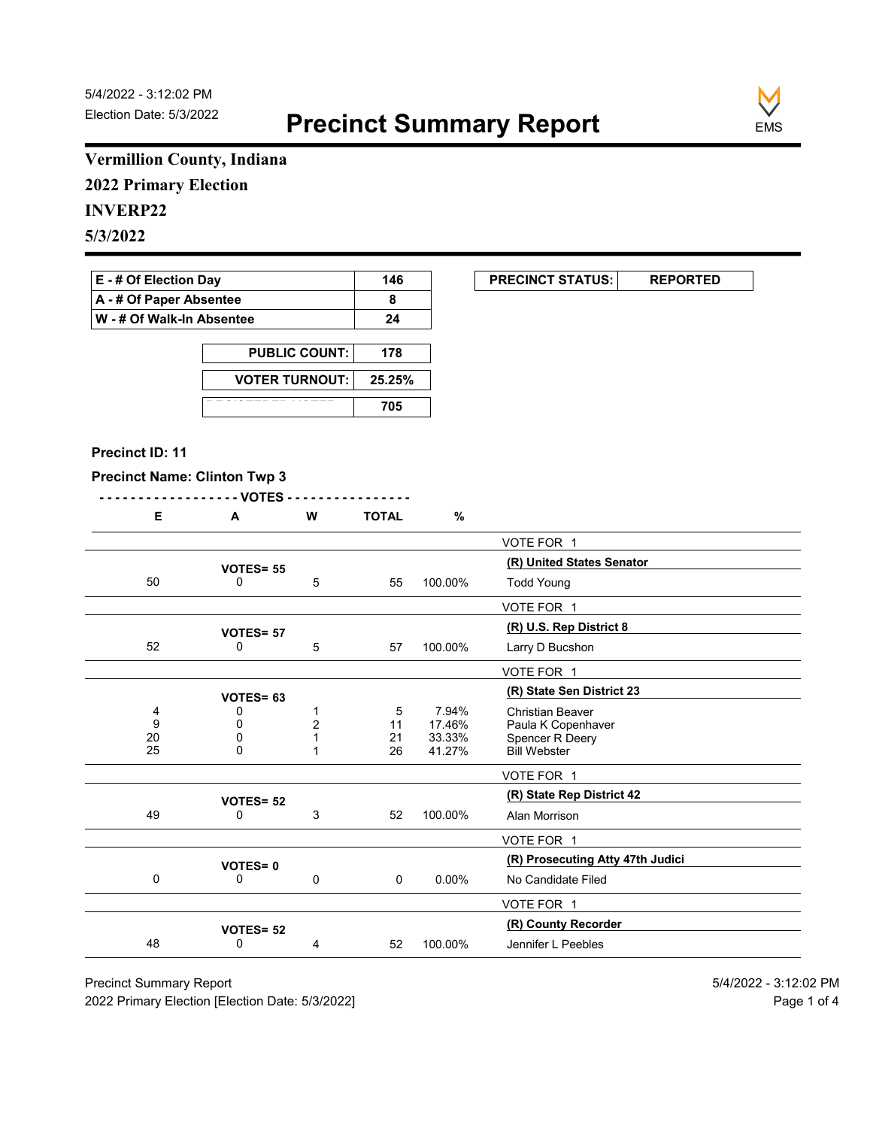

# **Vermillion County, Indiana**

**2022 Primary Election**

# **INVERP22**

**5/3/2022**

| $E - #$ Of Election Day              | 146 |
|--------------------------------------|-----|
| $\mathsf{A}$ - # Of Paper Absentee   |     |
| $\mathsf{W}$ - # Of Walk-In Absentee | 24  |

| <b>PUBLIC COUNT: I</b> | 178    |
|------------------------|--------|
| <b>VOTER TURNOUT:</b>  | 25.25% |
|                        | 705    |

### **Precinct ID: 11**

**Precinct Name: Clinton Twp 3**

**- - - - - - - - - - - - - - - - - - VOTES - - - - - - - - - - - - - - - -**

**E A W TOTAL %**

|              |                  |                |               |                           | VOTE FOR 1                                                       |
|--------------|------------------|----------------|---------------|---------------------------|------------------------------------------------------------------|
|              | <b>VOTES= 55</b> |                |               |                           | (R) United States Senator                                        |
| 50           | 0                | 5              | 55            | 100.00%                   | <b>Todd Young</b>                                                |
|              |                  |                |               |                           | VOTE FOR 1                                                       |
|              | <b>VOTES= 57</b> |                |               |                           | (R) U.S. Rep District 8                                          |
| 52           | 0                | 5              | 57            | 100.00%                   | Larry D Bucshon                                                  |
|              |                  |                |               |                           | VOTE FOR 1                                                       |
|              | <b>VOTES= 63</b> |                |               |                           | (R) State Sen District 23                                        |
| 4<br>9<br>20 | 0<br>0<br>0      | $\overline{2}$ | 5<br>11<br>21 | 7.94%<br>17.46%<br>33.33% | <b>Christian Beaver</b><br>Paula K Copenhaver<br>Spencer R Deery |
| 25           | 0                |                | 26            | 41.27%                    | <b>Bill Webster</b>                                              |
|              |                  |                |               |                           | VOTE FOR 1                                                       |
|              | <b>VOTES= 52</b> |                |               |                           | (R) State Rep District 42                                        |
| 49           | 0                | 3              | 52            | 100.00%                   | Alan Morrison                                                    |
|              |                  |                |               |                           | VOTE FOR 1                                                       |
|              | <b>VOTES=0</b>   |                |               |                           | (R) Prosecuting Atty 47th Judici                                 |
| 0            | 0                | 0              | $\mathbf 0$   | $0.00\%$                  | No Candidate Filed                                               |
|              |                  |                |               |                           | VOTE FOR 1                                                       |
|              | <b>VOTES= 52</b> |                |               |                           | (R) County Recorder                                              |
| 48           | 0                | 4              | 52            | 100.00%                   | Jennifer L Peebles                                               |
|              |                  |                |               |                           |                                                                  |

Precinct Summary Report 61 November 2012 12:02 PM

2022 Primary Election [Election Date: 5/3/2022] **Page 1 of 4** and 2022 Primary Election 1 of 4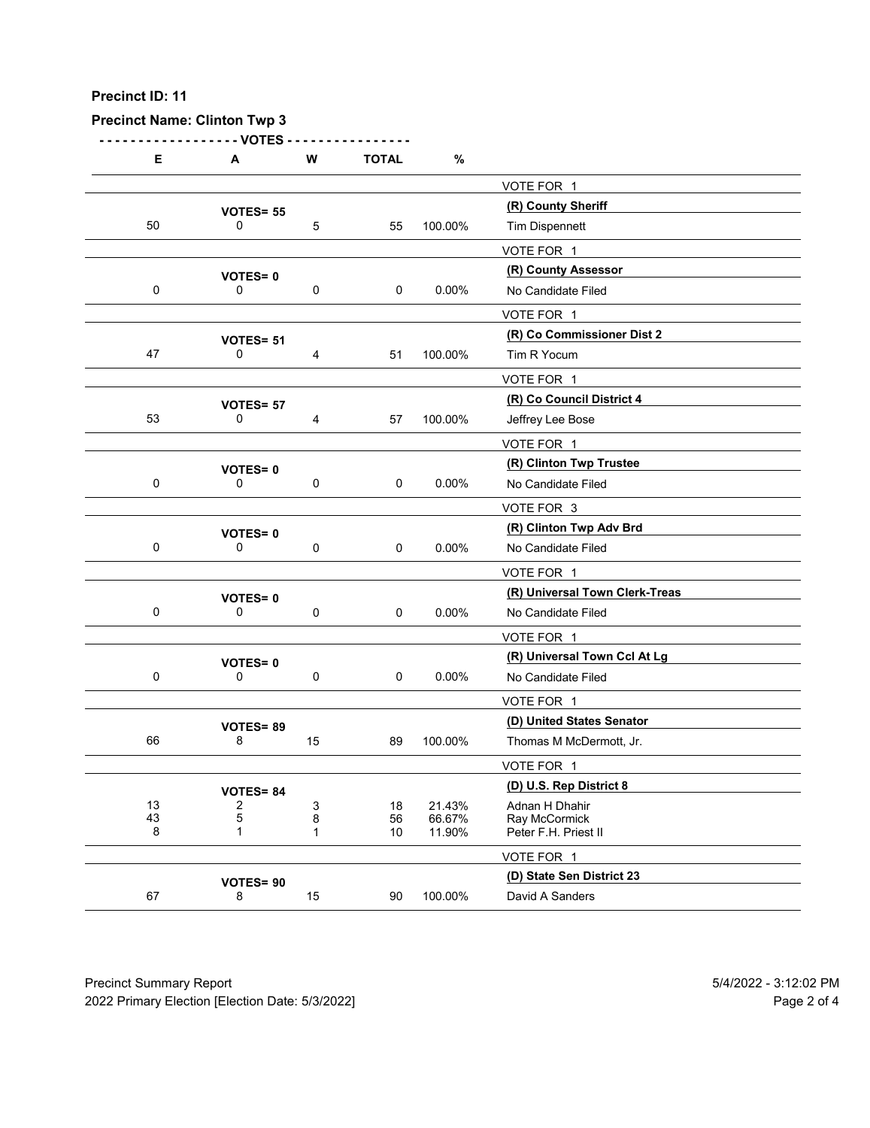## **Precinct Name: Clinton Twp 3**

**- - - - - - - - - - - - - - - - - - VOTES - - - - - - - - - - - - - - - -**

| Е           | А                | W      | <b>TOTAL</b> | $\%$             |                                       |
|-------------|------------------|--------|--------------|------------------|---------------------------------------|
|             |                  |        |              |                  | VOTE FOR 1                            |
|             | <b>VOTES= 55</b> |        |              |                  | (R) County Sheriff                    |
| 50          | 0                | 5      | 55           | 100.00%          | <b>Tim Dispennett</b>                 |
|             |                  |        |              |                  | VOTE FOR 1                            |
|             | <b>VOTES=0</b>   |        |              |                  | (R) County Assessor                   |
| $\mathbf 0$ | 0                | 0      | $\mathbf 0$  | 0.00%            | No Candidate Filed                    |
|             |                  |        |              |                  | VOTE FOR 1                            |
|             | <b>VOTES= 51</b> |        |              |                  | (R) Co Commissioner Dist 2            |
| 47          | 0                | 4      | 51           | 100.00%          | Tim R Yocum                           |
|             |                  |        |              |                  | VOTE FOR 1                            |
|             | <b>VOTES= 57</b> |        |              |                  | (R) Co Council District 4             |
| 53          | 0                | 4      | 57           | 100.00%          | Jeffrey Lee Bose                      |
|             |                  |        |              |                  | VOTE FOR 1                            |
|             | <b>VOTES=0</b>   |        |              |                  | (R) Clinton Twp Trustee               |
| 0           | 0                | 0      | $\mathbf 0$  | 0.00%            | No Candidate Filed                    |
|             |                  |        |              |                  | VOTE FOR 3                            |
|             | <b>VOTES=0</b>   |        |              |                  | (R) Clinton Twp Adv Brd               |
| 0           | 0                | 0      | $\mathbf 0$  | 0.00%            | No Candidate Filed                    |
|             |                  |        |              |                  | VOTE FOR 1                            |
|             | <b>VOTES=0</b>   |        |              |                  | (R) Universal Town Clerk-Treas        |
| $\mathbf 0$ | 0                | 0      | $\mathbf 0$  | 0.00%            | No Candidate Filed                    |
|             |                  |        |              |                  | VOTE FOR 1                            |
|             | <b>VOTES=0</b>   |        |              |                  | (R) Universal Town Ccl At Lg          |
| 0           | 0                | 0      | $\pmb{0}$    | 0.00%            | No Candidate Filed                    |
|             |                  |        |              |                  | VOTE FOR 1                            |
|             | <b>VOTES=89</b>  |        |              |                  | (D) United States Senator             |
| 66          | 8                | 15     | 89           | 100.00%          | Thomas M McDermott, Jr.               |
|             |                  |        |              |                  | VOTE FOR 1                            |
|             | <b>VOTES=84</b>  |        |              |                  | (D) U.S. Rep District 8               |
| 13          | 2<br>5           | 3      | 18           | 21.43%           | Adnan H Dhahir                        |
| 43<br>8     | 1                | 8<br>1 | 56<br>10     | 66.67%<br>11.90% | Ray McCormick<br>Peter F.H. Priest II |
|             |                  |        |              |                  | VOTE FOR 1                            |
|             | VOTES= 90        |        |              |                  | (D) State Sen District 23             |
| 67          | 8                | 15     | 90           | 100.00%          | David A Sanders                       |
|             |                  |        |              |                  |                                       |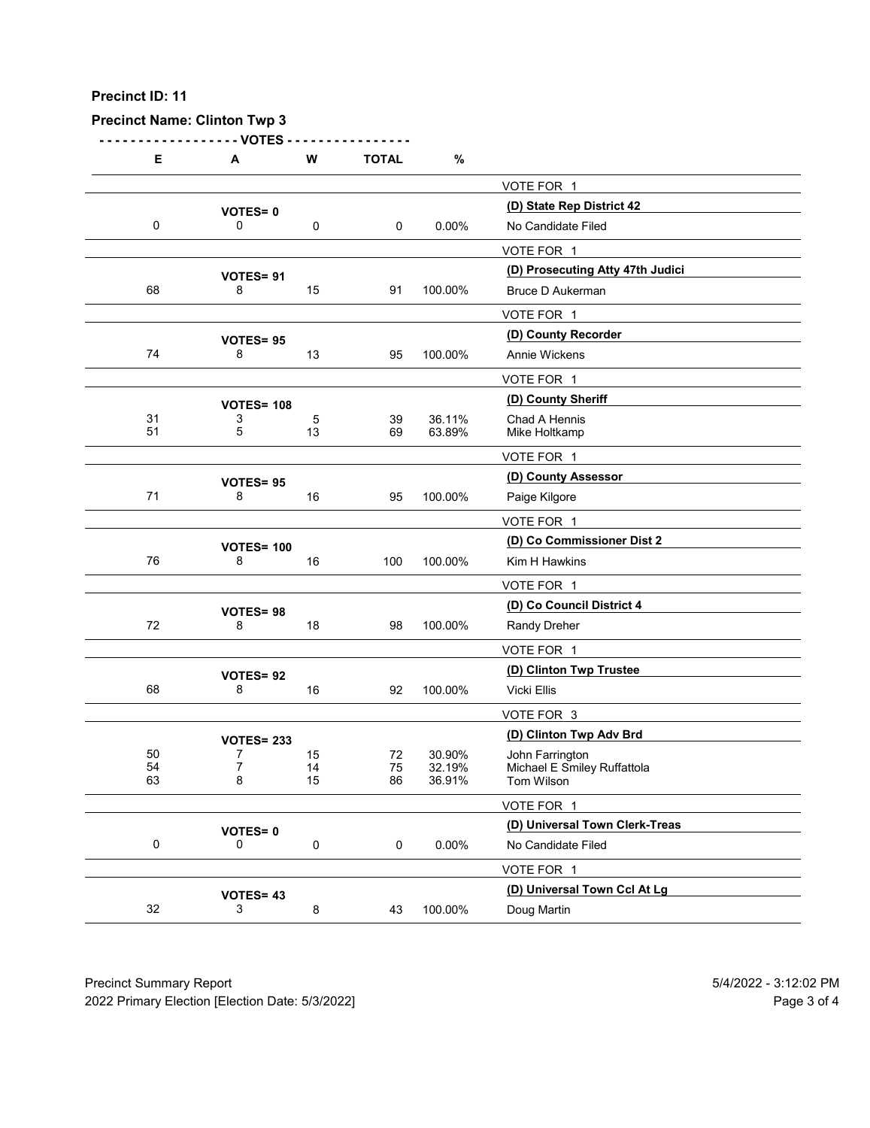### **Precinct Name: Clinton Twp 3**

**- - - - - - - - - - - - - - - - - - VOTES - - - - - - - - - - - - - - - -**

| E         | А                   | W         | <b>TOTAL</b> | $\%$             |                                                  |
|-----------|---------------------|-----------|--------------|------------------|--------------------------------------------------|
|           |                     |           |              |                  | VOTE FOR 1                                       |
|           | <b>VOTES=0</b>      |           |              |                  | (D) State Rep District 42                        |
| 0         | 0                   | 0         | $\mathbf 0$  | 0.00%            | No Candidate Filed                               |
|           |                     |           |              |                  | VOTE FOR 1                                       |
|           | <b>VOTES=91</b>     |           |              |                  | (D) Prosecuting Atty 47th Judici                 |
| 68        | 8                   | 15        | 91           | 100.00%          | <b>Bruce D Aukerman</b>                          |
|           |                     |           |              |                  | VOTE FOR 1                                       |
|           | <b>VOTES=95</b>     |           |              |                  | (D) County Recorder                              |
| 74        | 8                   | 13        | 95           | 100.00%          | Annie Wickens                                    |
|           |                     |           |              |                  | VOTE FOR 1                                       |
|           | <b>VOTES= 108</b>   |           |              |                  | (D) County Sheriff                               |
| 31<br>51  | 3<br>5              | 5<br>13   | 39<br>69     | 36.11%<br>63.89% | Chad A Hennis<br>Mike Holtkamp                   |
|           |                     |           |              |                  | VOTE FOR 1                                       |
|           | <b>VOTES=95</b>     |           |              |                  | (D) County Assessor                              |
| 71        | 8                   | 16        | 95           | 100.00%          | Paige Kilgore                                    |
|           |                     |           |              |                  | VOTE FOR 1                                       |
|           | <b>VOTES= 100</b>   |           |              |                  | (D) Co Commissioner Dist 2                       |
| 76        | 8                   | 16        | 100          | 100.00%          | Kim H Hawkins                                    |
|           |                     |           |              |                  | VOTE FOR 1                                       |
|           | <b>VOTES=98</b>     |           |              |                  | (D) Co Council District 4                        |
| 72        | 8                   | 18        | 98           | 100.00%          | Randy Dreher                                     |
|           |                     |           |              |                  | VOTE FOR 1                                       |
|           | <b>VOTES=92</b>     |           |              |                  | (D) Clinton Twp Trustee                          |
| 68        | 8                   | 16        | 92           | 100.00%          | <b>Vicki Ellis</b>                               |
|           |                     |           |              |                  | VOTE FOR 3                                       |
|           | <b>VOTES= 233</b>   |           |              |                  | (D) Clinton Twp Adv Brd                          |
| 50        | 7                   | 15        | 72           | 30.90%           | John Farrington                                  |
| 54<br>63  | 7<br>8              | 14<br>15  | 75<br>86     | 32.19%<br>36.91% | Michael E Smiley Ruffattola<br><b>Tom Wilson</b> |
|           |                     |           |              |                  | VOTE FOR 1                                       |
|           |                     |           |              |                  | (D) Universal Town Clerk-Treas                   |
| $\pmb{0}$ | <b>VOTES=0</b><br>0 | $\pmb{0}$ | $\mathbf 0$  | $0.00\%$         | No Candidate Filed                               |
|           |                     |           |              |                  | VOTE FOR 1                                       |
|           | <b>VOTES=43</b>     |           |              |                  | (D) Universal Town Ccl At Lg                     |
| 32        | 3                   | 8         | 43           | 100.00%          | Doug Martin                                      |
|           |                     |           |              |                  |                                                  |

Precinct Summary Report 61 November 2012 12:02 PM 2022 Primary Election [Election Date: 5/3/2022] **Page 3 of 4** and 2022 Primary Election [Election Date: 5/3/2022]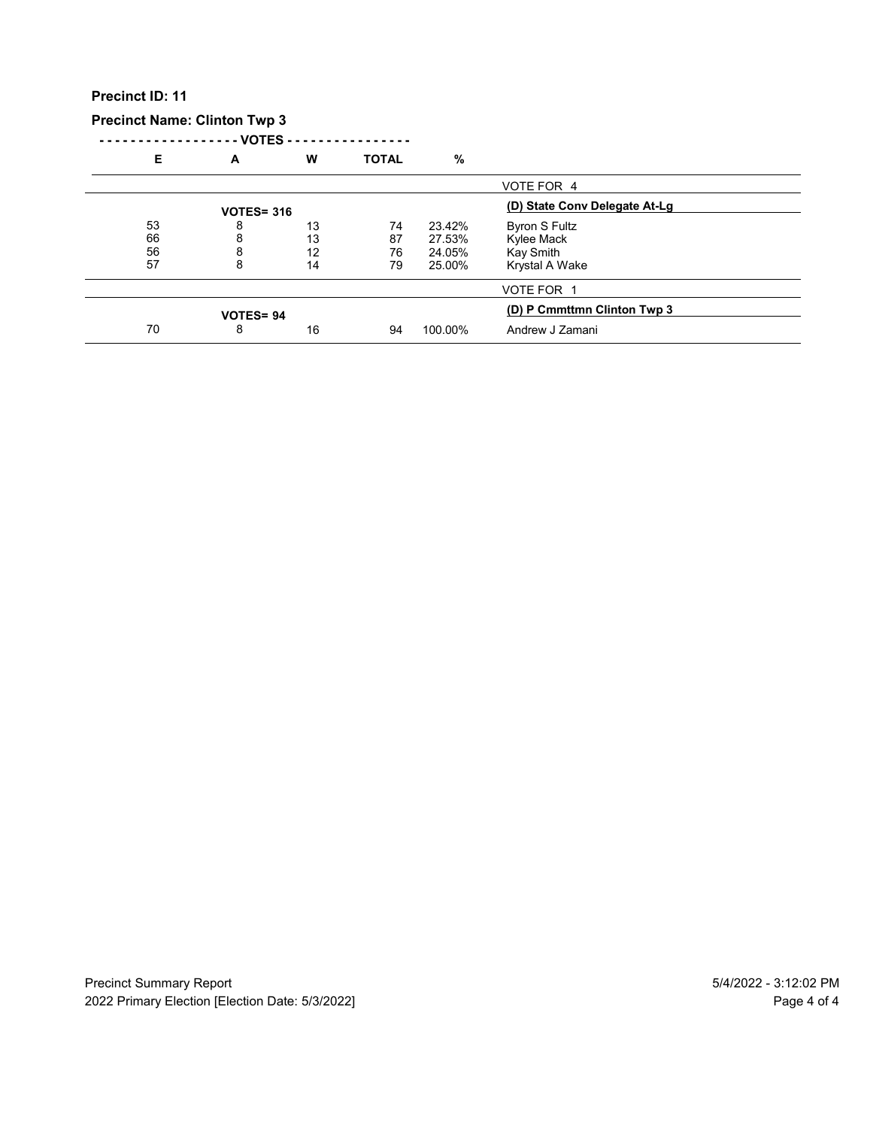## **Precinct Name: Clinton Twp 3**

**- - - - - - - - - - - - - - - - - - VOTES - - - - - - - - - - - - - - - -**

| Е  | А                 | w  | TOTAL | %       |                               |  |
|----|-------------------|----|-------|---------|-------------------------------|--|
|    |                   |    |       |         | VOTE FOR 4                    |  |
|    | <b>VOTES= 316</b> |    |       |         | (D) State Conv Delegate At-Lg |  |
| 53 | 8                 | 13 | 74    | 23.42%  | <b>Byron S Fultz</b>          |  |
| 66 | 8                 | 13 | 87    | 27.53%  | Kylee Mack                    |  |
| 56 | 8                 | 12 | 76    | 24.05%  | Kay Smith                     |  |
| 57 | 8                 | 14 | 79    | 25.00%  | Krystal A Wake                |  |
|    |                   |    |       |         | VOTE FOR 1                    |  |
|    | <b>VOTES=94</b>   |    |       |         | (D) P Cmmttmn Clinton Twp 3   |  |
| 70 | 8                 | 16 | 94    | 100.00% | Andrew J Zamani               |  |
|    |                   |    |       |         |                               |  |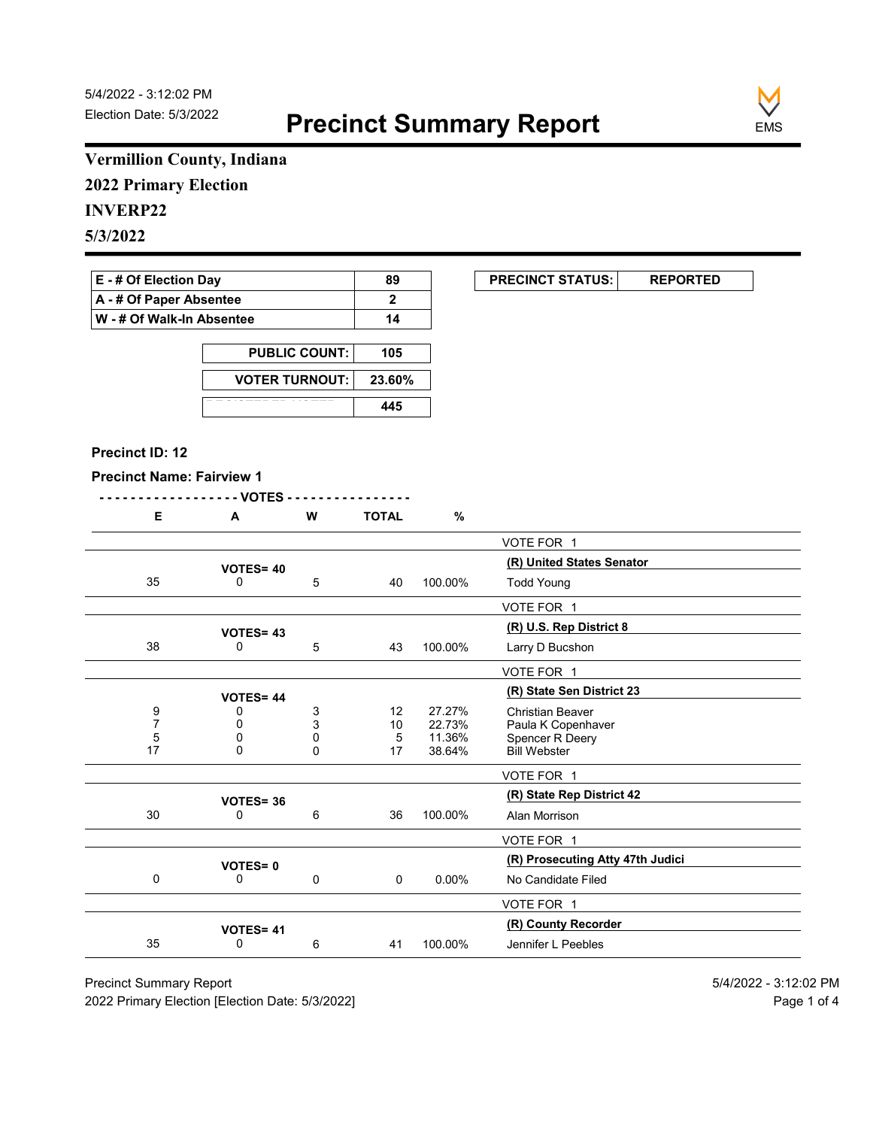

# **Vermillion County, Indiana**

**2022 Primary Election**

# **INVERP22**

**5/3/2022**

| $E - #$ Of Election Day            | 89 |
|------------------------------------|----|
| $\mathsf{A}$ - # Of Paper Absentee |    |
| <b>W</b> - # Of Walk-In Absentee   | 14 |

| <b>PUBLIC COUNT:</b>  | 105    |
|-----------------------|--------|
| <b>VOTER TURNOUT:</b> | 23.60% |
|                       | 445    |

### **Precinct ID: 12**

**Precinct Name: Fairview 1**

**- - - - - - - - - - - - - - - - - - VOTES - - - - - - - - - - - - - - - -**

**E A W TOTAL %**

|              |                  |                         |                                  |                                      | VOTE FOR 1                                                                              |
|--------------|------------------|-------------------------|----------------------------------|--------------------------------------|-----------------------------------------------------------------------------------------|
|              | <b>VOTES=40</b>  |                         |                                  |                                      | (R) United States Senator                                                               |
| 35           | 0                | 5                       | 40                               | 100.00%                              | <b>Todd Young</b>                                                                       |
|              |                  |                         |                                  |                                      | VOTE FOR 1                                                                              |
|              | <b>VOTES=43</b>  |                         |                                  |                                      | (R) U.S. Rep District 8                                                                 |
| 38           | 0                | 5                       | 43                               | 100.00%                              | Larry D Bucshon                                                                         |
|              |                  |                         |                                  |                                      | VOTE FOR 1                                                                              |
|              | <b>VOTES=44</b>  |                         |                                  |                                      | (R) State Sen District 23                                                               |
| 9<br>5<br>17 | 0<br>0<br>0<br>0 | $\frac{3}{3}$<br>0<br>0 | 12 <sup>2</sup><br>10<br>5<br>17 | 27.27%<br>22.73%<br>11.36%<br>38.64% | <b>Christian Beaver</b><br>Paula K Copenhaver<br>Spencer R Deery<br><b>Bill Webster</b> |
|              |                  |                         |                                  |                                      | VOTE FOR 1                                                                              |
|              | <b>VOTES=36</b>  |                         |                                  |                                      | (R) State Rep District 42                                                               |
| 30           | 0                | 6                       | 36                               | 100.00%                              | Alan Morrison                                                                           |
|              |                  |                         |                                  |                                      | VOTE FOR 1                                                                              |
|              | <b>VOTES=0</b>   |                         |                                  |                                      | (R) Prosecuting Atty 47th Judici                                                        |
| 0            | 0                | 0                       | $\mathbf 0$                      | $0.00\%$                             | No Candidate Filed                                                                      |
|              |                  |                         |                                  |                                      | VOTE FOR 1                                                                              |
|              | <b>VOTES=41</b>  |                         |                                  |                                      | (R) County Recorder                                                                     |
| 35           | 0                | 6                       | 41                               | 100.00%                              | Jennifer L Peebles                                                                      |

Precinct Summary Report 61 November 2012 12:02 PM

2022 Primary Election [Election Date: 5/3/2022] **Page 1 of 4** and 2022 Primary Election 1 of 4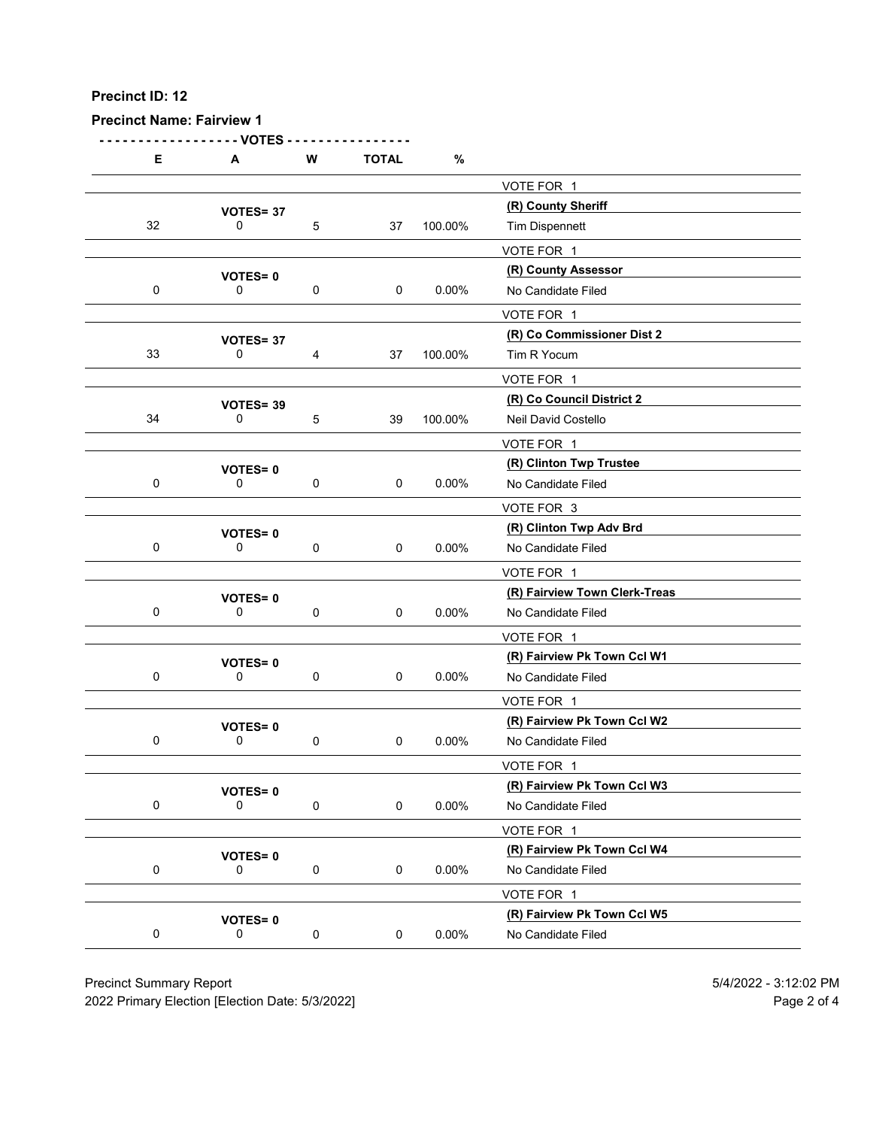**Precinct Name: Fairview 1**

**- - - - - - - - - - - - - - - - - - VOTES - - - - - - - - - - - - - - - -**

| Е         | А               | W | <b>TOTAL</b> | $\%$    |                               |
|-----------|-----------------|---|--------------|---------|-------------------------------|
|           |                 |   |              |         | VOTE FOR 1                    |
|           | <b>VOTES=37</b> |   |              |         | (R) County Sheriff            |
| 32        | 0               | 5 | 37           | 100.00% | <b>Tim Dispennett</b>         |
|           |                 |   |              |         | VOTE FOR 1                    |
|           | <b>VOTES=0</b>  |   |              |         | (R) County Assessor           |
| 0         | 0               | 0 | $\mathbf 0$  | 0.00%   | No Candidate Filed            |
|           |                 |   |              |         | VOTE FOR 1                    |
|           | <b>VOTES=37</b> |   |              |         | (R) Co Commissioner Dist 2    |
| 33        | 0               | 4 | 37           | 100.00% | Tim R Yocum                   |
|           |                 |   |              |         | VOTE FOR 1                    |
|           | <b>VOTES=39</b> |   |              |         | (R) Co Council District 2     |
| 34        | 0               | 5 | 39           | 100.00% | Neil David Costello           |
|           |                 |   |              |         | VOTE FOR 1                    |
|           | <b>VOTES=0</b>  |   |              |         | (R) Clinton Twp Trustee       |
| 0         | 0               | 0 | $\mathbf 0$  | 0.00%   | No Candidate Filed            |
|           |                 |   |              |         | VOTE FOR 3                    |
|           | <b>VOTES=0</b>  |   |              |         | (R) Clinton Twp Adv Brd       |
| 0         | 0               | 0 | $\mathbf 0$  | 0.00%   | No Candidate Filed            |
|           |                 |   |              |         | VOTE FOR 1                    |
|           | <b>VOTES=0</b>  |   |              |         | (R) Fairview Town Clerk-Treas |
| 0         | 0               | 0 | 0            | 0.00%   | No Candidate Filed            |
|           |                 |   |              |         | VOTE FOR 1                    |
|           | <b>VOTES=0</b>  |   |              |         | (R) Fairview Pk Town Ccl W1   |
| 0         | 0               | 0 | 0            | 0.00%   | No Candidate Filed            |
|           |                 |   |              |         | VOTE FOR 1                    |
|           | <b>VOTES=0</b>  |   |              |         | (R) Fairview Pk Town Ccl W2   |
| 0         | 0               | 0 | 0            | 0.00%   | No Candidate Filed            |
|           |                 |   |              |         | VOTE FOR 1                    |
|           | <b>VOTES=0</b>  |   |              |         | (R) Fairview Pk Town Ccl W3   |
| 0         | 0               | 0 | 0            | 0.00%   | No Candidate Filed            |
|           |                 |   |              |         | VOTE FOR 1                    |
|           | <b>VOTES=0</b>  |   |              |         | (R) Fairview Pk Town Ccl W4   |
| $\pmb{0}$ | 0               | 0 | 0            | 0.00%   | No Candidate Filed            |
|           |                 |   |              |         | VOTE FOR 1                    |
|           | <b>VOTES=0</b>  |   |              |         | (R) Fairview Pk Town Ccl W5   |
| $\pmb{0}$ | 0               | 0 | 0            | 0.00%   | No Candidate Filed            |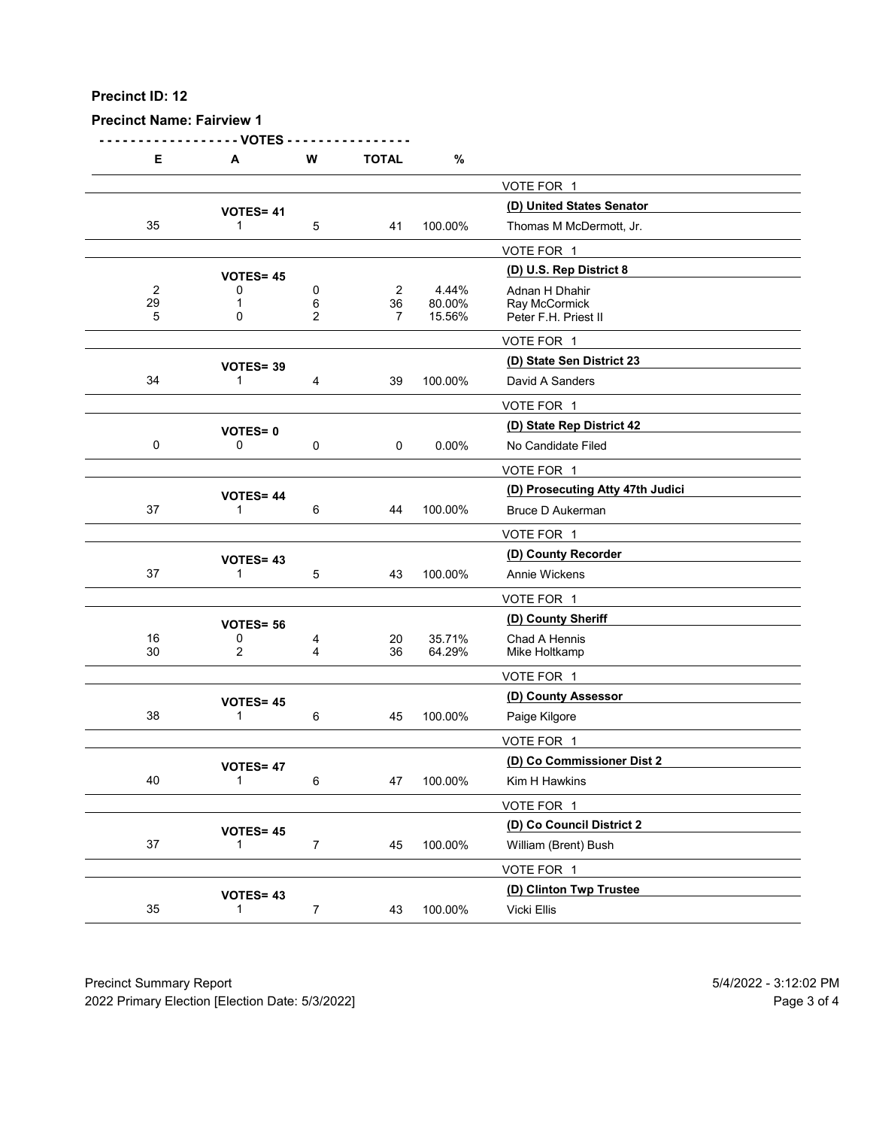**Precinct Name: Fairview 1**

**- - - - - - - - - - - - - - - - - - VOTES - - - - - - - - - - - - - - - -**

| Е              | A                   | W              | <b>TOTAL</b> | $\%$             |                                       |
|----------------|---------------------|----------------|--------------|------------------|---------------------------------------|
|                |                     |                |              |                  | VOTE FOR 1                            |
|                | <b>VOTES=41</b>     |                |              |                  | (D) United States Senator             |
| 35             | 1                   | 5              | 41           | 100.00%          | Thomas M McDermott, Jr.               |
|                |                     |                |              |                  | VOTE FOR 1                            |
|                | <b>VOTES=45</b>     |                |              |                  | (D) U.S. Rep District 8               |
| $\overline{2}$ | 0                   | 0              | 2            | 4.44%            | Adnan H Dhahir                        |
| 29<br>5        | 1<br>0              | 6<br>2         | 36<br>7      | 80.00%<br>15.56% | Ray McCormick<br>Peter F.H. Priest II |
|                |                     |                |              |                  | VOTE FOR 1                            |
|                |                     |                |              |                  | (D) State Sen District 23             |
| 34             | VOTES=39<br>1       | 4              | 39           | 100.00%          | David A Sanders                       |
|                |                     |                |              |                  | VOTE FOR 1                            |
|                | <b>VOTES=0</b>      |                |              |                  | (D) State Rep District 42             |
| 0              | 0                   | 0              | 0            | 0.00%            | No Candidate Filed                    |
|                |                     |                |              |                  | VOTE FOR 1                            |
|                | <b>VOTES=44</b>     |                |              |                  | (D) Prosecuting Atty 47th Judici      |
| 37             | 1                   | 6              | 44           | 100.00%          | Bruce D Aukerman                      |
|                |                     |                |              |                  | VOTE FOR 1                            |
|                | <b>VOTES=43</b>     |                |              |                  | (D) County Recorder                   |
| 37             | 1                   | 5              | 43           | 100.00%          | Annie Wickens                         |
|                |                     |                |              |                  | VOTE FOR 1                            |
|                | <b>VOTES=56</b>     |                |              |                  | (D) County Sheriff                    |
| 16             | 0<br>$\overline{2}$ | 4              | 20           | 35.71%           | Chad A Hennis                         |
| 30             |                     | 4              | 36           | 64.29%           | Mike Holtkamp                         |
|                |                     |                |              |                  | VOTE FOR 1                            |
|                | <b>VOTES=45</b>     |                |              |                  | (D) County Assessor                   |
| 38             | 1                   | 6              | 45           | 100.00%          | Paige Kilgore                         |
|                |                     |                |              |                  | VOTE FOR 1                            |
|                | <b>VOTES=47</b>     |                |              |                  | (D) Co Commissioner Dist 2            |
| 40             | 1                   | 6              | 47           | 100.00%          | Kim H Hawkins                         |
|                |                     |                |              |                  | VOTE FOR 1                            |
|                | <b>VOTES=45</b>     |                |              |                  | (D) Co Council District 2             |
| 37             | 1                   | $\overline{7}$ | 45           | 100.00%          | William (Brent) Bush                  |
|                |                     |                |              |                  | VOTE FOR 1                            |
|                | <b>VOTES=43</b>     |                |              |                  | (D) Clinton Twp Trustee               |
| $35\,$         | 1                   | $\overline{7}$ | 43           | 100.00%          | <b>Vicki Ellis</b>                    |

Precinct Summary Report 61 November 2012 12:02 PM 2022 Primary Election [Election Date: 5/3/2022] **Page 3 of 4** and 2022 Primary Election [Election Date: 5/3/2022]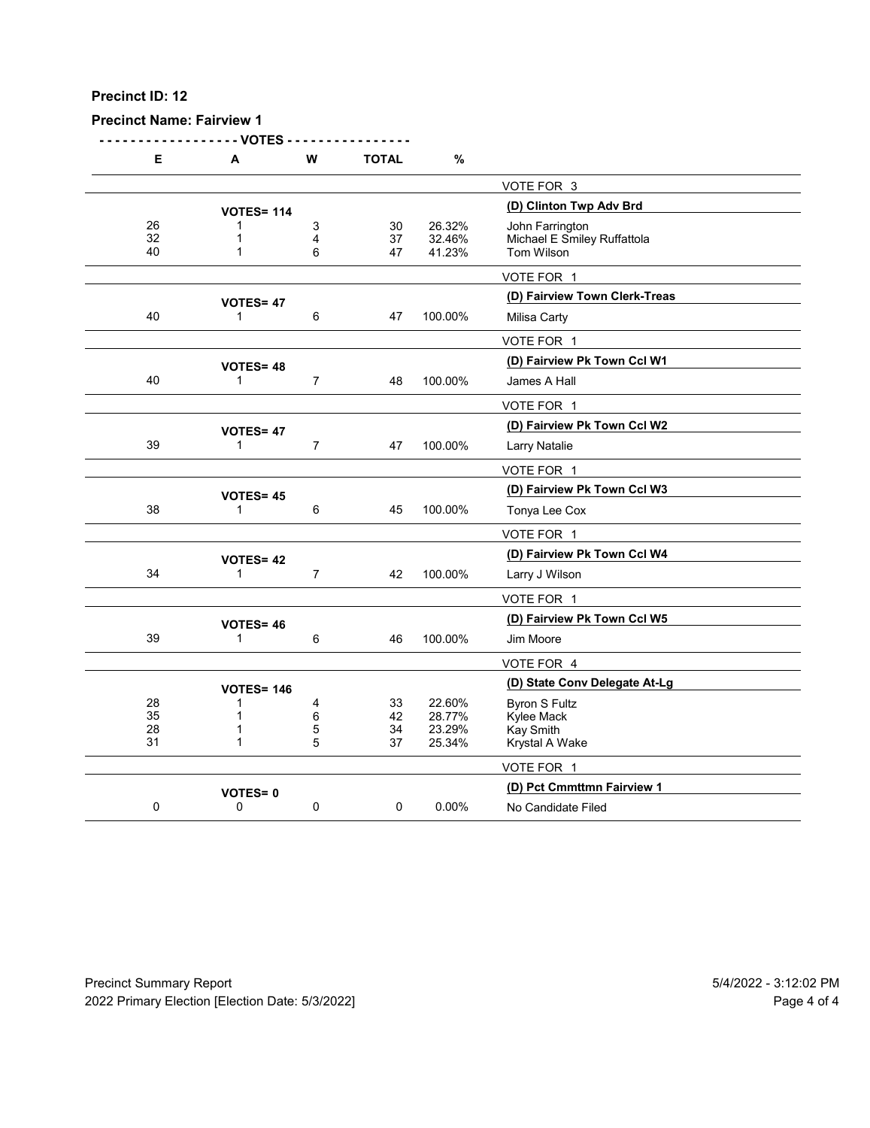**Precinct Name: Fairview 1**

**- - - - - - - - - - - - - - - - - - VOTES - - - - - - - - - - - - - - - -**

| Е        | A                 | W              | <b>TOTAL</b> | %       |                               |
|----------|-------------------|----------------|--------------|---------|-------------------------------|
|          |                   |                |              |         | VOTE FOR 3                    |
|          | <b>VOTES= 114</b> |                |              |         | (D) Clinton Twp Adv Brd       |
| 26       | 1                 | 3              | 30           | 26.32%  | John Farrington               |
| 32       | 1                 | 4              | 37           | 32.46%  | Michael E Smiley Ruffattola   |
| 40       | 1                 | 6              | 47           | 41.23%  | Tom Wilson                    |
|          |                   |                |              |         | VOTE FOR 1                    |
|          | <b>VOTES=47</b>   |                |              |         | (D) Fairview Town Clerk-Treas |
| 40       | 1                 | 6              | 47           | 100.00% | Milisa Carty                  |
|          |                   |                |              |         | VOTE FOR 1                    |
|          | <b>VOTES=48</b>   |                |              |         | (D) Fairview Pk Town Ccl W1   |
| 40       | 1                 | $\overline{7}$ | 48           | 100.00% | James A Hall                  |
|          |                   |                |              |         | VOTE FOR 1                    |
|          | <b>VOTES=47</b>   |                |              |         | (D) Fairview Pk Town Ccl W2   |
| 39       | $\mathbf{1}$      | $\overline{7}$ | 47           | 100.00% | <b>Larry Natalie</b>          |
|          |                   |                |              |         | VOTE FOR 1                    |
|          | <b>VOTES=45</b>   |                |              |         | (D) Fairview Pk Town Ccl W3   |
| 38       | 1                 | 6              | 45           | 100.00% | Tonya Lee Cox                 |
|          |                   |                |              |         | VOTE FOR 1                    |
|          | <b>VOTES=42</b>   |                |              |         | (D) Fairview Pk Town Ccl W4   |
| 34       | 1                 | $\overline{7}$ | 42           | 100.00% | Larry J Wilson                |
|          |                   |                |              |         | VOTE FOR 1                    |
|          | <b>VOTES=46</b>   |                |              |         | (D) Fairview Pk Town Ccl W5   |
| 39       | 1                 | 6              | 46           | 100.00% | Jim Moore                     |
|          |                   |                |              |         | VOTE FOR 4                    |
|          | <b>VOTES= 146</b> |                |              |         | (D) State Conv Delegate At-Lg |
| 28       |                   | 4              | 33           | 22.60%  | <b>Byron S Fultz</b>          |
| 35       | 1                 | 6              | 42           | 28.77%  | Kylee Mack                    |
| 28<br>31 | 1<br>1            | 5              | 34           | 23.29%  | Kay Smith                     |
|          |                   | 5              | 37           | 25.34%  | Krystal A Wake                |
|          |                   |                |              |         | VOTE FOR 1                    |
|          | <b>VOTES=0</b>    |                |              |         | (D) Pct Cmmttmn Fairview 1    |
| 0        | 0                 | 0              | 0            | 0.00%   | No Candidate Filed            |
|          |                   |                |              |         |                               |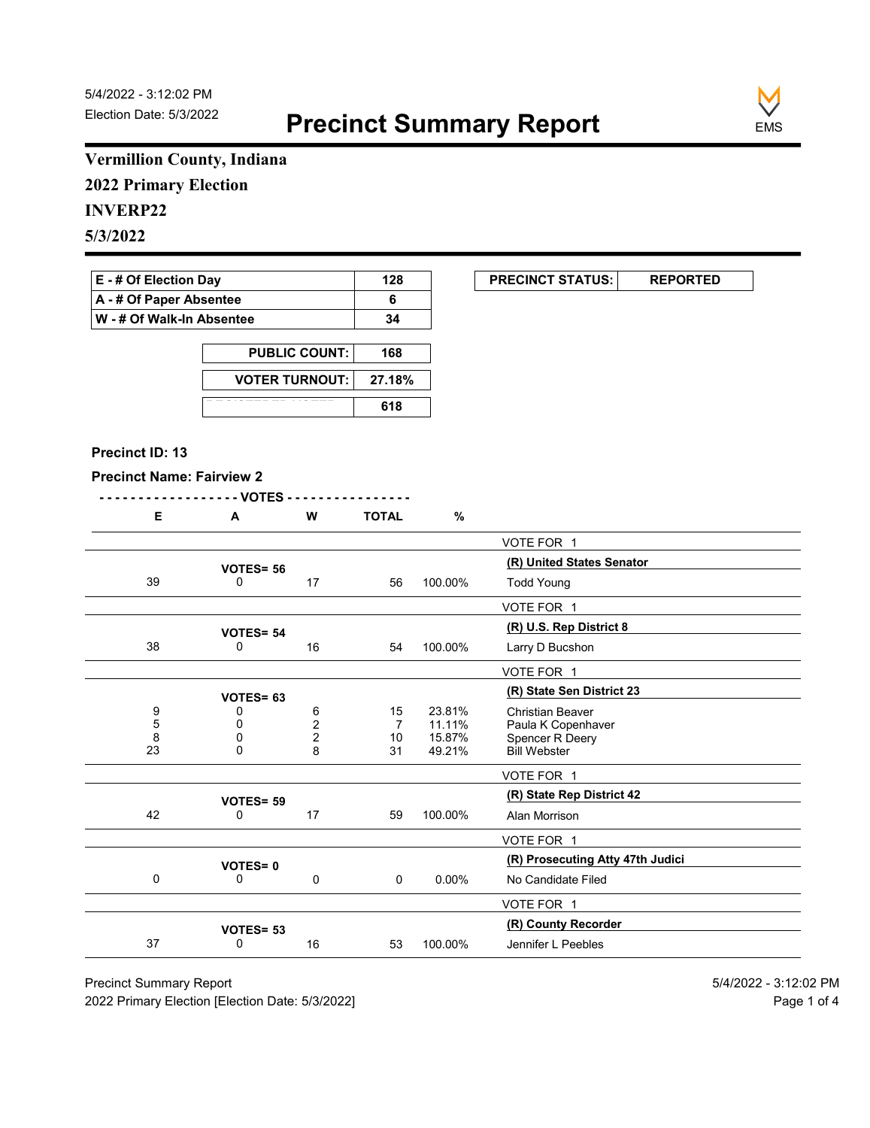

# **Vermillion County, Indiana**

**2022 Primary Election**

## **INVERP22**

**5/3/2022**

| <b>E</b> - # Of Election Day     | 128 |
|----------------------------------|-----|
| A - # Of Paper Absentee          |     |
| <b>W</b> - # Of Walk-In Absentee | 34  |

| <b>PUBLIC COUNT:</b>  | 168    |
|-----------------------|--------|
| <b>VOTER TURNOUT:</b> | 27.18% |
|                       | 618    |

### **Precinct ID: 13**

**Precinct Name: Fairview 2**

**- - - - - - - - - - - - - - - - - - VOTES - - - - - - - - - - - - - - - -**

**E A W TOTAL %**

|                  |                                                                                                                   |                     |                                      | VOTE FOR 1                                                                              |
|------------------|-------------------------------------------------------------------------------------------------------------------|---------------------|--------------------------------------|-----------------------------------------------------------------------------------------|
|                  |                                                                                                                   |                     |                                      | (R) United States Senator                                                               |
| 0                | 17                                                                                                                | 56                  | 100.00%                              | <b>Todd Young</b>                                                                       |
|                  |                                                                                                                   |                     |                                      | VOTE FOR 1                                                                              |
|                  |                                                                                                                   |                     |                                      | (R) U.S. Rep District 8                                                                 |
| 0                | 16                                                                                                                | 54                  | 100.00%                              | Larry D Bucshon                                                                         |
|                  |                                                                                                                   |                     |                                      | VOTE FOR 1                                                                              |
|                  |                                                                                                                   |                     |                                      | (R) State Sen District 23                                                               |
| 0<br>0<br>0<br>0 | 6<br>$\frac{2}{2}$<br>8                                                                                           | 15<br>7<br>10<br>31 | 23.81%<br>11.11%<br>15.87%<br>49.21% | <b>Christian Beaver</b><br>Paula K Copenhaver<br>Spencer R Deery<br><b>Bill Webster</b> |
|                  |                                                                                                                   |                     |                                      | VOTE FOR 1                                                                              |
|                  |                                                                                                                   |                     |                                      | (R) State Rep District 42                                                               |
| 0                | 17                                                                                                                | 59                  | 100.00%                              | Alan Morrison                                                                           |
|                  |                                                                                                                   |                     |                                      | VOTE FOR 1                                                                              |
|                  |                                                                                                                   |                     |                                      | (R) Prosecuting Atty 47th Judici                                                        |
| 0                | 0                                                                                                                 | $\Omega$            | $0.00\%$                             | No Candidate Filed                                                                      |
|                  |                                                                                                                   |                     |                                      | VOTE FOR 1                                                                              |
|                  |                                                                                                                   |                     |                                      | (R) County Recorder                                                                     |
| 0                | 16                                                                                                                | 53                  | 100.00%                              | Jennifer L Peebles                                                                      |
|                  | <b>VOTES=56</b><br><b>VOTES= 54</b><br><b>VOTES= 63</b><br><b>VOTES= 59</b><br><b>VOTES=0</b><br><b>VOTES= 53</b> |                     |                                      |                                                                                         |

Precinct Summary Report 61 November 2012 12:02 PM

2022 Primary Election [Election Date: 5/3/2022] **Page 1 of 4** and 2022 Primary Election 1 of 4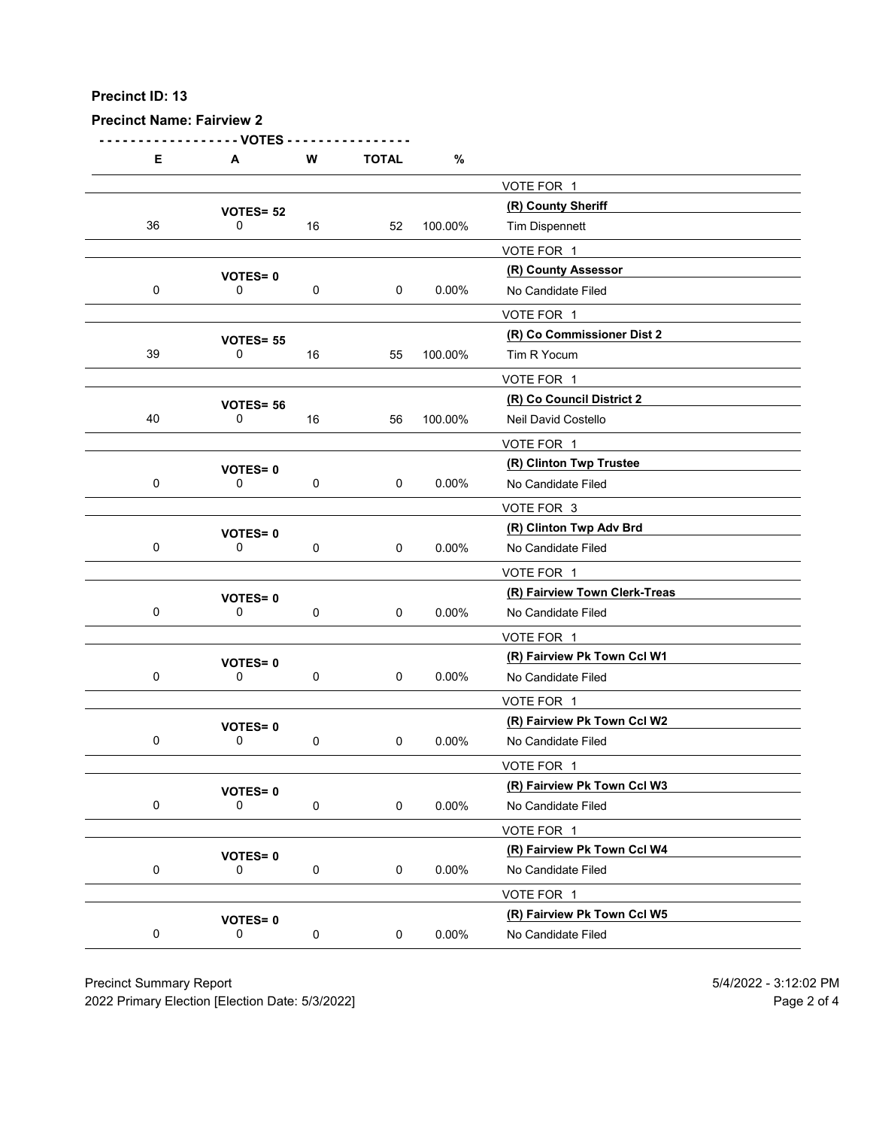**Precinct Name: Fairview 2**

**- - - - - - - - - - - - - - - - - - VOTES - - - - - - - - - - - - - - - -**

| Е         | A                | W  | <b>TOTAL</b> | %       |                               |
|-----------|------------------|----|--------------|---------|-------------------------------|
|           |                  |    |              |         | VOTE FOR 1                    |
|           | <b>VOTES= 52</b> |    |              |         | (R) County Sheriff            |
| 36        | 0                | 16 | 52           | 100.00% | <b>Tim Dispennett</b>         |
|           |                  |    |              |         | VOTE FOR 1                    |
|           | <b>VOTES=0</b>   |    |              |         | (R) County Assessor           |
| 0         | 0                | 0  | 0            | 0.00%   | No Candidate Filed            |
|           |                  |    |              |         | VOTE FOR 1                    |
|           | <b>VOTES= 55</b> |    |              |         | (R) Co Commissioner Dist 2    |
| 39        | 0                | 16 | 55           | 100.00% | Tim R Yocum                   |
|           |                  |    |              |         | VOTE FOR 1                    |
|           | <b>VOTES= 56</b> |    |              |         | (R) Co Council District 2     |
| 40        | 0                | 16 | 56           | 100.00% | Neil David Costello           |
|           |                  |    |              |         | VOTE FOR 1                    |
|           | <b>VOTES=0</b>   |    |              |         | (R) Clinton Twp Trustee       |
| 0         | 0                | 0  | $\mathbf 0$  | 0.00%   | No Candidate Filed            |
|           |                  |    |              |         | VOTE FOR 3                    |
|           | <b>VOTES=0</b>   |    |              |         | (R) Clinton Twp Adv Brd       |
| 0         | 0                | 0  | 0            | 0.00%   | No Candidate Filed            |
|           |                  |    |              |         | VOTE FOR 1                    |
|           | <b>VOTES=0</b>   |    |              |         | (R) Fairview Town Clerk-Treas |
| $\pmb{0}$ | 0                | 0  | $\mathbf 0$  | 0.00%   | No Candidate Filed            |
|           |                  |    |              |         | VOTE FOR 1                    |
|           | <b>VOTES=0</b>   |    |              |         | (R) Fairview Pk Town Ccl W1   |
| 0         | 0                | 0  | 0            | 0.00%   | No Candidate Filed            |
|           |                  |    |              |         | VOTE FOR 1                    |
|           | <b>VOTES=0</b>   |    |              |         | (R) Fairview Pk Town Ccl W2   |
| 0         | 0                | 0  | $\mathbf 0$  | 0.00%   | No Candidate Filed            |
|           |                  |    |              |         | VOTE FOR 1                    |
|           | <b>VOTES=0</b>   |    |              |         | (R) Fairview Pk Town Ccl W3   |
| 0         | 0                | 0  | $\mathbf 0$  | 0.00%   | No Candidate Filed            |
|           |                  |    |              |         | VOTE FOR 1                    |
|           | <b>VOTES=0</b>   |    |              |         | (R) Fairview Pk Town Ccl W4   |
| $\pmb{0}$ | 0                | 0  | 0            | 0.00%   | No Candidate Filed            |
|           |                  |    |              |         | VOTE FOR 1                    |
|           | <b>VOTES=0</b>   |    |              |         | (R) Fairview Pk Town Ccl W5   |
| 0         | 0                | 0  | 0            | 0.00%   | No Candidate Filed            |
|           |                  |    |              |         |                               |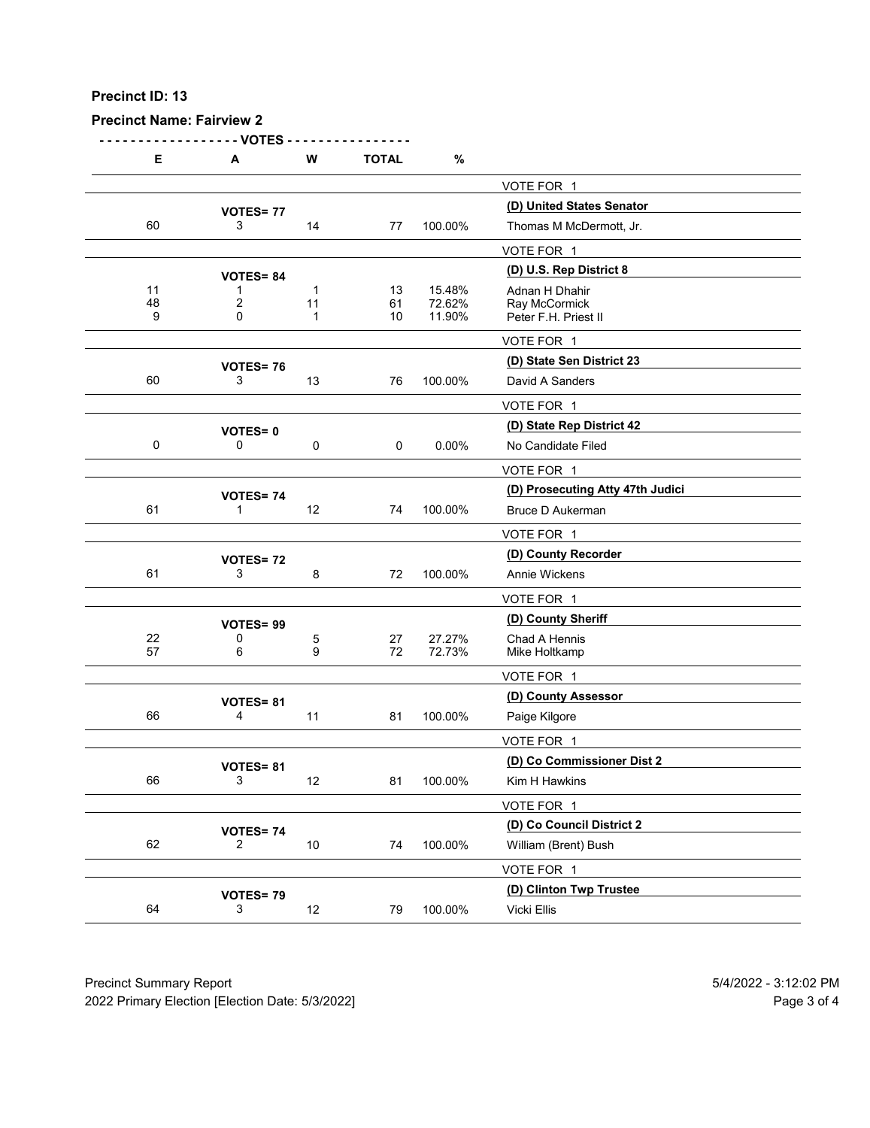**Precinct Name: Fairview 2**

**- - - - - - - - - - - - - - - - - - VOTES - - - - - - - - - - - - - - - -**

| Е       | Α                    | W       | <b>TOTAL</b> | $\%$             |                                       |
|---------|----------------------|---------|--------------|------------------|---------------------------------------|
|         |                      |         |              |                  | VOTE FOR 1                            |
|         | <b>VOTES=77</b>      |         |              |                  | (D) United States Senator             |
| 60      | 3                    | 14      | 77           | 100.00%          | Thomas M McDermott, Jr.               |
|         |                      |         |              |                  | VOTE FOR 1                            |
|         | <b>VOTES=84</b>      |         |              |                  | (D) U.S. Rep District 8               |
| 11      | 1                    | 1       | 13           | 15.48%           | Adnan H Dhahir                        |
| 48<br>9 | 2<br>0               | 11<br>1 | 61<br>10     | 72.62%<br>11.90% | Ray McCormick<br>Peter F.H. Priest II |
|         |                      |         |              |                  | VOTE FOR 1                            |
|         |                      |         |              |                  | (D) State Sen District 23             |
| 60      | <b>VOTES=76</b><br>3 | 13      | 76           | 100.00%          | David A Sanders                       |
|         |                      |         |              |                  | VOTE FOR 1                            |
|         |                      |         |              |                  | (D) State Rep District 42             |
| 0       | <b>VOTES=0</b><br>0  | 0       | 0            | 0.00%            | No Candidate Filed                    |
|         |                      |         |              |                  | VOTE FOR 1                            |
|         | <b>VOTES=74</b>      |         |              |                  | (D) Prosecuting Atty 47th Judici      |
| 61      | 1                    | 12      | 74           | 100.00%          | Bruce D Aukerman                      |
|         |                      |         |              |                  | VOTE FOR 1                            |
|         | <b>VOTES=72</b>      |         |              |                  | (D) County Recorder                   |
| 61      | 3                    | 8       | 72           | 100.00%          | Annie Wickens                         |
|         |                      |         |              |                  | VOTE FOR 1                            |
|         | <b>VOTES=99</b>      |         |              |                  | (D) County Sheriff                    |
| 22      | 0                    | 5       | 27           | 27.27%           | Chad A Hennis                         |
| 57      | 6                    | 9       | 72           | 72.73%           | Mike Holtkamp                         |
|         |                      |         |              |                  | VOTE FOR 1                            |
|         | <b>VOTES=81</b>      |         |              |                  | (D) County Assessor                   |
| 66      | 4                    | 11      | 81           | 100.00%          | Paige Kilgore                         |
|         |                      |         |              |                  | VOTE FOR 1                            |
|         | <b>VOTES=81</b>      |         |              |                  | (D) Co Commissioner Dist 2            |
| 66      | 3                    | 12      | 81           | 100.00%          | Kim H Hawkins                         |
|         |                      |         |              |                  | VOTE FOR 1                            |
|         | <b>VOTES=74</b>      |         |              |                  | (D) Co Council District 2             |
| 62      | 2                    | 10      | 74           | 100.00%          | William (Brent) Bush                  |
|         |                      |         |              |                  | VOTE FOR 1                            |
|         | VOTES=79             |         |              |                  | (D) Clinton Twp Trustee               |
| 64      | 3                    | 12      | 79           | 100.00%          | Vicki Ellis                           |
|         |                      |         |              |                  |                                       |

Precinct Summary Report 61 November 2012 12:02 PM 2022 Primary Election [Election Date: 5/3/2022] **Page 3 of 4** and 2022 Primary Election [Election Date: 5/3/2022]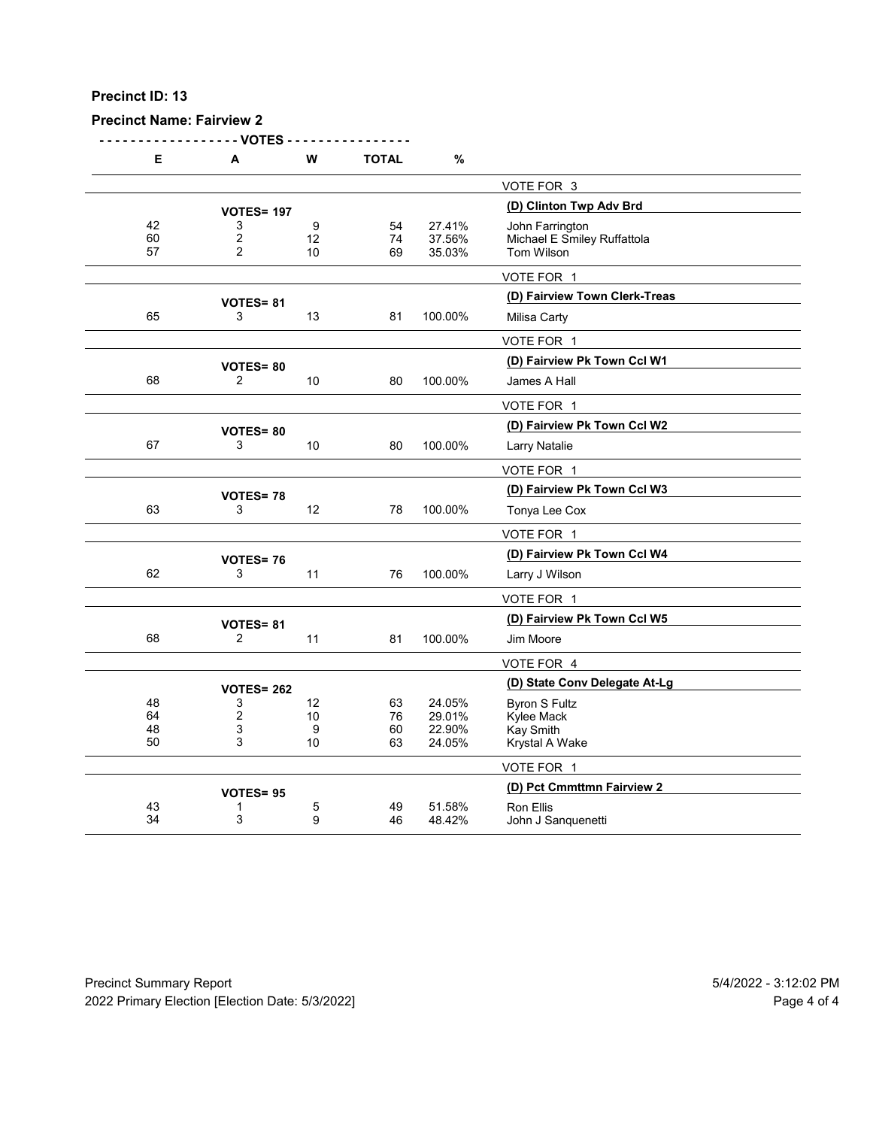### **Precinct Name: Fairview 2**

**- - - - - - - - - - - - - - - - - - VOTES - - - - - - - - - - - - - - - -**

| Е  | A                 | W  | <b>TOTAL</b> | %       |                               |
|----|-------------------|----|--------------|---------|-------------------------------|
|    |                   |    |              |         | VOTE FOR 3                    |
|    | <b>VOTES= 197</b> |    |              |         | (D) Clinton Twp Adv Brd       |
| 42 | 3                 | 9  | 54           | 27.41%  | John Farrington               |
| 60 | $\overline{c}$    | 12 | 74           | 37.56%  | Michael E Smiley Ruffattola   |
| 57 | $\overline{2}$    | 10 | 69           | 35.03%  | Tom Wilson                    |
|    |                   |    |              |         | VOTE FOR 1                    |
|    | <b>VOTES=81</b>   |    |              |         | (D) Fairview Town Clerk-Treas |
| 65 | 3                 | 13 | 81           | 100.00% | <b>Milisa Carty</b>           |
|    |                   |    |              |         | VOTE FOR 1                    |
|    | <b>VOTES=80</b>   |    |              |         | (D) Fairview Pk Town Ccl W1   |
| 68 | $\overline{2}$    | 10 | 80           | 100.00% | James A Hall                  |
|    |                   |    |              |         | VOTE FOR 1                    |
|    | <b>VOTES=80</b>   |    |              |         | (D) Fairview Pk Town Ccl W2   |
| 67 | 3                 | 10 | 80           | 100.00% | <b>Larry Natalie</b>          |
|    |                   |    |              |         | VOTE FOR 1                    |
|    | <b>VOTES=78</b>   |    |              |         | (D) Fairview Pk Town Ccl W3   |
| 63 | 3                 | 12 | 78           | 100.00% | Tonya Lee Cox                 |
|    |                   |    |              |         | VOTE FOR 1                    |
|    | <b>VOTES=76</b>   |    |              |         | (D) Fairview Pk Town Ccl W4   |
| 62 | 3                 | 11 | 76           | 100.00% | Larry J Wilson                |
|    |                   |    |              |         | VOTE FOR 1                    |
|    | <b>VOTES=81</b>   |    |              |         | (D) Fairview Pk Town Ccl W5   |
| 68 | $\overline{2}$    | 11 | 81           | 100.00% | Jim Moore                     |
|    |                   |    |              |         | VOTE FOR 4                    |
|    | <b>VOTES= 262</b> |    |              |         | (D) State Conv Delegate At-Lg |
| 48 | 3                 | 12 | 63           | 24.05%  | <b>Byron S Fultz</b>          |
| 64 | $\overline{2}$    | 10 | 76           | 29.01%  | Kylee Mack                    |
| 48 | 3                 | 9  | 60           | 22.90%  | Kay Smith                     |
| 50 | 3                 | 10 | 63           | 24.05%  | Krystal A Wake                |
|    |                   |    |              |         | VOTE FOR 1                    |
|    | <b>VOTES=95</b>   |    |              |         | (D) Pct Cmmttmn Fairview 2    |
| 43 | 1                 | 5  | 49           | 51.58%  | <b>Ron Ellis</b>              |
| 34 | 3                 | 9  | 46           | 48.42%  | John J Sanquenetti            |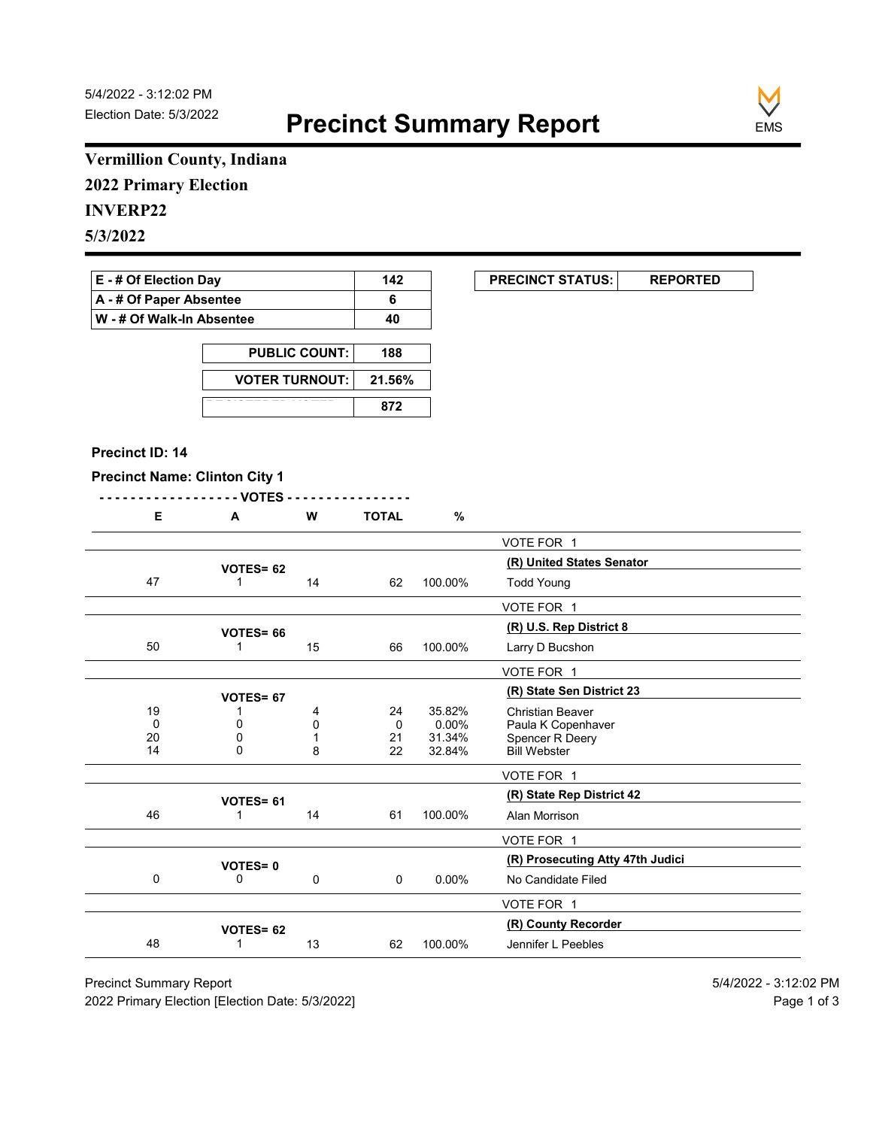

# **Vermillion County, Indiana**

**2022 Primary Election**

# **INVERP22**

**5/3/2022**

| $E - #$ Of Election Day            | 142 |
|------------------------------------|-----|
| $\mathsf{A}$ - # Of Paper Absentee |     |
| <b>W</b> - # Of Walk-In Absentee   | 40  |

| <b>PUBLIC COUNT:</b>  | 188    |
|-----------------------|--------|
| <b>VOTER TURNOUT:</b> | 21.56% |
|                       | 872    |

### **Precinct ID: 14**

**Precinct Name: Clinton City 1**

**- - - - - - - - - - - - - - - - - - VOTES - - - - - - - - - - - - - - - -**

| n |  |  | W | <b>TOTAL</b> | 7٥ |
|---|--|--|---|--------------|----|
|---|--|--|---|--------------|----|

|                     |                        |             |                            |                                        | VOTE FOR 1                                                                              |
|---------------------|------------------------|-------------|----------------------------|----------------------------------------|-----------------------------------------------------------------------------------------|
|                     | <b>VOTES= 62</b>       |             |                            |                                        | (R) United States Senator                                                               |
| 47                  |                        | 14          | 62                         | 100.00%                                | <b>Todd Young</b>                                                                       |
|                     |                        |             |                            |                                        | VOTE FOR 1                                                                              |
|                     | <b>VOTES=66</b>        |             |                            |                                        | (R) U.S. Rep District 8                                                                 |
| 50                  |                        | 15          | 66                         | 100.00%                                | Larry D Bucshon                                                                         |
|                     |                        |             |                            |                                        | VOTE FOR 1                                                                              |
|                     | <b>VOTES= 67</b>       |             |                            |                                        | (R) State Sen District 23                                                               |
| 19<br>0<br>20<br>14 | 0<br>0<br>$\mathbf{0}$ | 4<br>0<br>8 | 24<br>$\Omega$<br>21<br>22 | 35.82%<br>$0.00\%$<br>31.34%<br>32.84% | <b>Christian Beaver</b><br>Paula K Copenhaver<br>Spencer R Deery<br><b>Bill Webster</b> |
|                     |                        |             |                            |                                        | VOTE FOR 1                                                                              |
|                     | <b>VOTES=61</b>        |             |                            |                                        | (R) State Rep District 42                                                               |
| 46                  | 1                      | 14          | 61                         | 100.00%                                | Alan Morrison                                                                           |
|                     |                        |             |                            |                                        | VOTE FOR 1                                                                              |
|                     | <b>VOTES=0</b>         |             |                            |                                        | (R) Prosecuting Atty 47th Judici                                                        |
| $\mathbf{0}$        | 0                      | $\mathbf 0$ | $\mathbf{0}$               | $0.00\%$                               | No Candidate Filed                                                                      |
|                     |                        |             |                            |                                        | VOTE FOR 1                                                                              |
|                     | <b>VOTES= 62</b>       |             |                            |                                        | (R) County Recorder                                                                     |
| 48                  |                        | 13          | 62                         | 100.00%                                | Jennifer L Peebles                                                                      |

Precinct Summary Report 61 November 2012 12:02 PM

2022 Primary Election [Election Date: 5/3/2022] **Page 1 of 3** and 2022 Primary Election Date: 5/3/2022]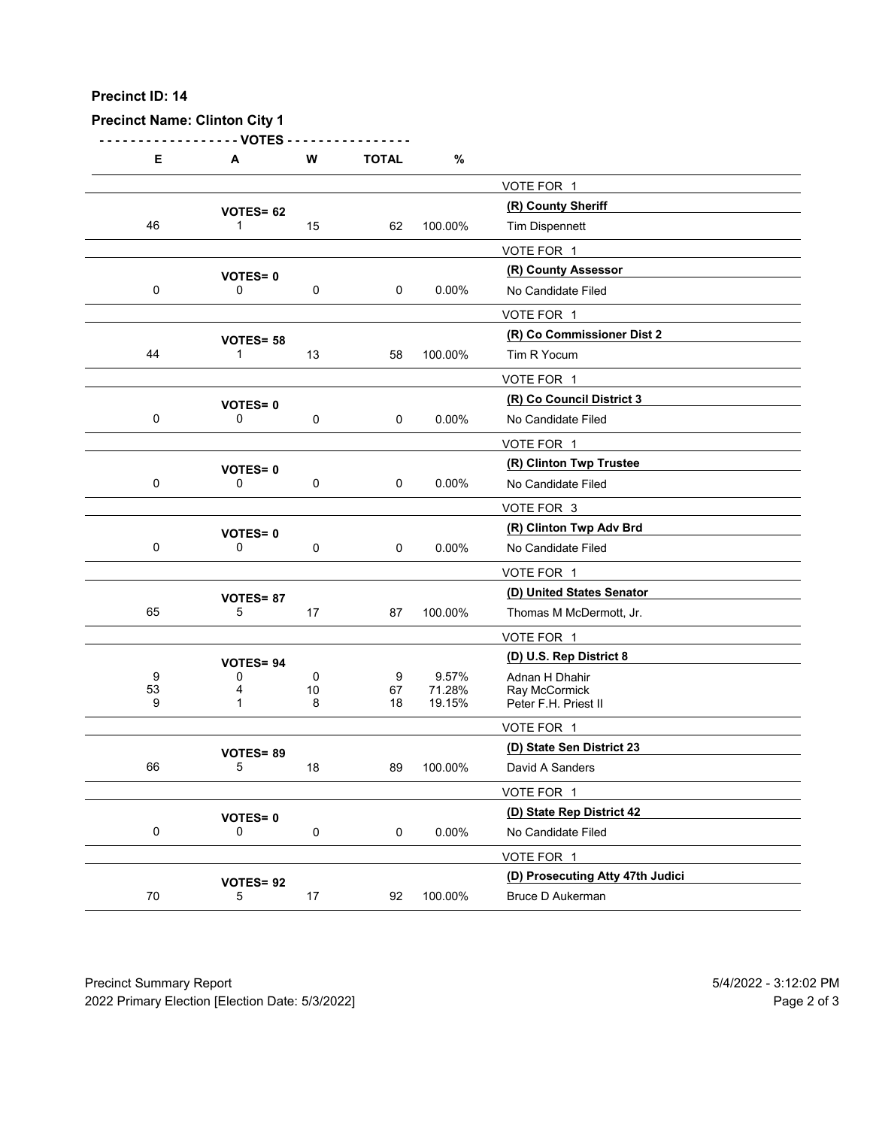**Precinct Name: Clinton City 1**

**- - - - - - - - - - - - - - - - - - VOTES - - - - - - - - - - - - - - - -**

| Е         | A                | W         | <b>TOTAL</b> | %                |                                       |
|-----------|------------------|-----------|--------------|------------------|---------------------------------------|
|           |                  |           |              |                  | VOTE FOR 1                            |
|           | <b>VOTES= 62</b> |           |              |                  | (R) County Sheriff                    |
| 46        | 1                | 15        | 62           | 100.00%          | <b>Tim Dispennett</b>                 |
|           |                  |           |              |                  | VOTE FOR 1                            |
|           | <b>VOTES=0</b>   |           |              |                  | (R) County Assessor                   |
| 0         | 0                | 0         | 0            | 0.00%            | No Candidate Filed                    |
|           |                  |           |              |                  | VOTE FOR 1                            |
|           | <b>VOTES=58</b>  |           |              |                  | (R) Co Commissioner Dist 2            |
| 44        | 1                | 13        | 58           | 100.00%          | Tim R Yocum                           |
|           |                  |           |              |                  | VOTE FOR 1                            |
|           | <b>VOTES=0</b>   |           |              |                  | (R) Co Council District 3             |
| 0         | 0                | 0         | 0            | 0.00%            | No Candidate Filed                    |
|           |                  |           |              |                  | VOTE FOR 1                            |
|           | <b>VOTES=0</b>   |           |              |                  | (R) Clinton Twp Trustee               |
| 0         | 0                | 0         | 0            | 0.00%            | No Candidate Filed                    |
|           |                  |           |              |                  | VOTE FOR 3                            |
|           | <b>VOTES=0</b>   |           |              |                  | (R) Clinton Twp Adv Brd               |
| 0         | 0                | 0         | 0            | 0.00%            | No Candidate Filed                    |
|           |                  |           |              |                  | VOTE FOR 1                            |
|           | <b>VOTES=87</b>  |           |              |                  | (D) United States Senator             |
| 65        | 5                | 17        | 87           | 100.00%          | Thomas M McDermott, Jr.               |
|           |                  |           |              |                  | VOTE FOR 1                            |
|           | <b>VOTES=94</b>  |           |              |                  | (D) U.S. Rep District 8               |
| 9         | 0                | 0         | 9            | 9.57%            | Adnan H Dhahir                        |
| 53<br>9   | 4<br>1           | 10<br>8   | 67<br>18     | 71.28%<br>19.15% | Ray McCormick<br>Peter F.H. Priest II |
|           |                  |           |              |                  | VOTE FOR 1                            |
|           | <b>VOTES=89</b>  |           |              |                  | (D) State Sen District 23             |
| 66        | 5                | 18        | 89           | 100.00%          | David A Sanders                       |
|           |                  |           |              |                  | VOTE FOR 1                            |
|           | <b>VOTES=0</b>   |           |              |                  | (D) State Rep District 42             |
| $\pmb{0}$ | 0                | $\pmb{0}$ | $\pmb{0}$    | 0.00%            | No Candidate Filed                    |
|           |                  |           |              |                  | VOTE FOR 1                            |
|           | <b>VOTES=92</b>  |           |              |                  | (D) Prosecuting Atty 47th Judici      |
| $70\,$    | 5                | 17        | 92           | 100.00%          | Bruce D Aukerman                      |
|           |                  |           |              |                  |                                       |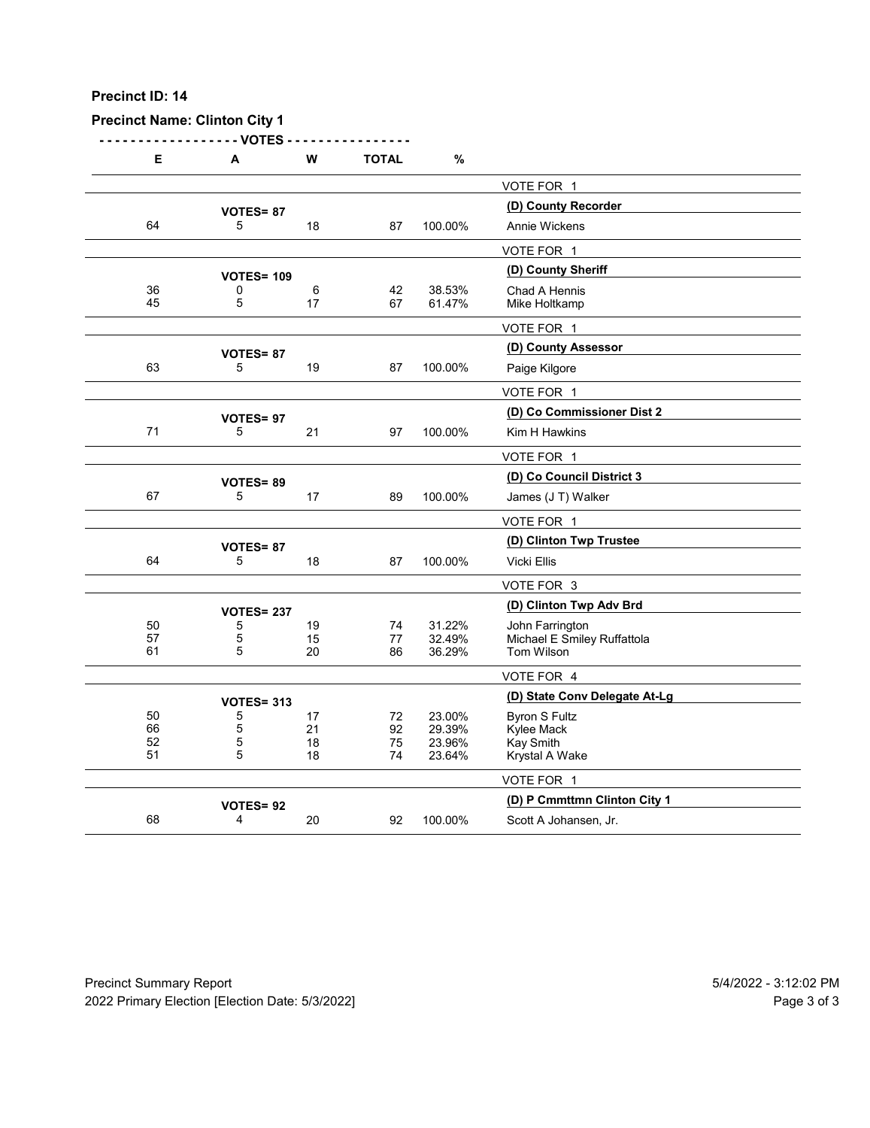## **Precinct Name: Clinton City 1**

**- - - - - - - - - - - - - - - - - - VOTES - - - - - - - - - - - - - - - -**

| Е        | A                 | w        | <b>TOTAL</b> | %                |                               |
|----------|-------------------|----------|--------------|------------------|-------------------------------|
|          |                   |          |              |                  | VOTE FOR 1                    |
|          | <b>VOTES=87</b>   |          |              |                  | (D) County Recorder           |
| 64       | 5                 | 18       | 87           | 100.00%          | Annie Wickens                 |
|          |                   |          |              |                  | VOTE FOR 1                    |
|          | <b>VOTES= 109</b> |          |              |                  | (D) County Sheriff            |
| 36       | 0                 | 6        | 42           | 38.53%           | Chad A Hennis                 |
| 45       | 5                 | 17       | 67           | 61.47%           | Mike Holtkamp                 |
|          |                   |          |              |                  | VOTE FOR 1                    |
|          | <b>VOTES=87</b>   |          |              |                  | (D) County Assessor           |
| 63       | 5                 | 19       | 87           | 100.00%          | Paige Kilgore                 |
|          |                   |          |              |                  | VOTE FOR 1                    |
|          | <b>VOTES=97</b>   |          |              |                  | (D) Co Commissioner Dist 2    |
| 71       | 5                 | 21       | 97           | 100.00%          | Kim H Hawkins                 |
|          |                   |          |              |                  | VOTE FOR 1                    |
|          | <b>VOTES=89</b>   |          |              |                  | (D) Co Council District 3     |
| 67       | 5                 | 17       | 89           | 100.00%          | James (J T) Walker            |
|          |                   |          |              |                  | VOTE FOR 1                    |
|          | <b>VOTES=87</b>   |          |              |                  | (D) Clinton Twp Trustee       |
| 64       | 5                 | 18       | 87           | 100.00%          | <b>Vicki Ellis</b>            |
|          |                   |          |              |                  | VOTE FOR 3                    |
|          | <b>VOTES= 237</b> |          |              |                  | (D) Clinton Twp Adv Brd       |
| 50       | 5                 | 19       | 74           | 31.22%           | John Farrington               |
| 57       | 5                 | 15       | 77           | 32.49%           | Michael E Smiley Ruffattola   |
| 61       | 5                 | 20       | 86           | 36.29%           | <b>Tom Wilson</b>             |
|          |                   |          |              |                  | VOTE FOR 4                    |
|          | <b>VOTES= 313</b> |          |              |                  | (D) State Conv Delegate At-Lg |
| 50       | 5                 | 17       | 72           | 23.00%           | <b>Byron S Fultz</b>          |
| 66<br>52 | 5<br>5            | 21       | 92           | 29.39%           | Kylee Mack                    |
| 51       | 5                 | 18<br>18 | 75<br>74     | 23.96%<br>23.64% | Kay Smith<br>Krystal A Wake   |
|          |                   |          |              |                  | VOTE FOR 1                    |
|          |                   |          |              |                  | (D) P Cmmttmn Clinton City 1  |
|          | <b>VOTES=92</b>   |          |              |                  |                               |
| 68       | 4                 | 20       | 92           | 100.00%          | Scott A Johansen, Jr.         |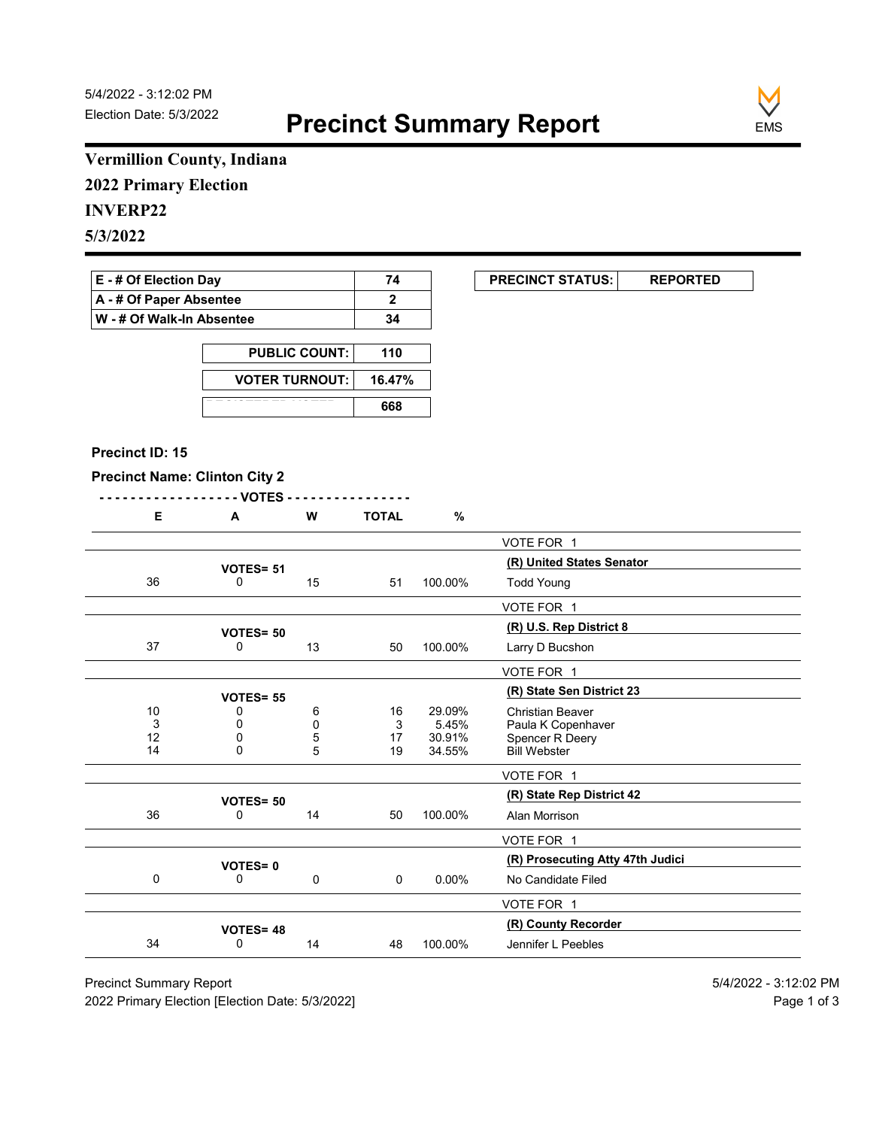

# **Vermillion County, Indiana**

**2022 Primary Election**

# **INVERP22**

**5/3/2022**

| $E - #$ Of Election Day            | 74 |
|------------------------------------|----|
| $\mathsf{A}$ - # Of Paper Absentee |    |
| <b>W</b> - # Of Walk-In Absentee   | 34 |

| <b>PUBLIC COUNT:</b>  | 110    |
|-----------------------|--------|
| <b>VOTER TURNOUT:</b> | 16.47% |
|                       | 668    |

### **Precinct ID: 15**

**Precinct Name: Clinton City 2**

**- - - - - - - - - - - - - - - - - - VOTES - - - - - - - - - - - - - - - -**

**E A W TOTAL %**

|                             |                                                                                                                 |                     |                                     | VOTE FOR 1                                                                              |
|-----------------------------|-----------------------------------------------------------------------------------------------------------------|---------------------|-------------------------------------|-----------------------------------------------------------------------------------------|
|                             |                                                                                                                 |                     |                                     | (R) United States Senator                                                               |
| 0                           | 15                                                                                                              | 51                  | 100.00%                             | <b>Todd Young</b>                                                                       |
|                             |                                                                                                                 |                     |                                     | VOTE FOR 1                                                                              |
|                             |                                                                                                                 |                     |                                     | (R) U.S. Rep District 8                                                                 |
| 0                           | 13                                                                                                              | 50                  | 100.00%                             | Larry D Bucshon                                                                         |
|                             |                                                                                                                 |                     |                                     | VOTE FOR 1                                                                              |
|                             |                                                                                                                 |                     |                                     | (R) State Sen District 23                                                               |
| 0<br>0<br>0<br>$\mathbf{0}$ | 6<br>0<br>5<br>5                                                                                                | 16<br>3<br>17<br>19 | 29.09%<br>5.45%<br>30.91%<br>34.55% | <b>Christian Beaver</b><br>Paula K Copenhaver<br>Spencer R Deery<br><b>Bill Webster</b> |
|                             |                                                                                                                 |                     |                                     | VOTE FOR 1                                                                              |
|                             |                                                                                                                 |                     |                                     | (R) State Rep District 42                                                               |
| 0                           | 14                                                                                                              | 50                  | 100.00%                             | Alan Morrison                                                                           |
|                             |                                                                                                                 |                     |                                     | VOTE FOR 1                                                                              |
|                             |                                                                                                                 |                     |                                     | (R) Prosecuting Atty 47th Judici                                                        |
| 0                           | 0                                                                                                               | $\mathbf{0}$        | $0.00\%$                            | No Candidate Filed                                                                      |
|                             |                                                                                                                 |                     |                                     | VOTE FOR 1                                                                              |
|                             |                                                                                                                 |                     |                                     | (R) County Recorder                                                                     |
| 0                           | 14                                                                                                              | 48                  | 100.00%                             | Jennifer L Peebles                                                                      |
|                             | <b>VOTES= 51</b><br><b>VOTES=50</b><br><b>VOTES= 55</b><br><b>VOTES=50</b><br><b>VOTES=0</b><br><b>VOTES=48</b> |                     |                                     |                                                                                         |

Precinct Summary Report 61 November 2012 12:02 PM

2022 Primary Election [Election Date: 5/3/2022] **Page 1 of 3** and 2022 Primary Election Date: 5/3/2022]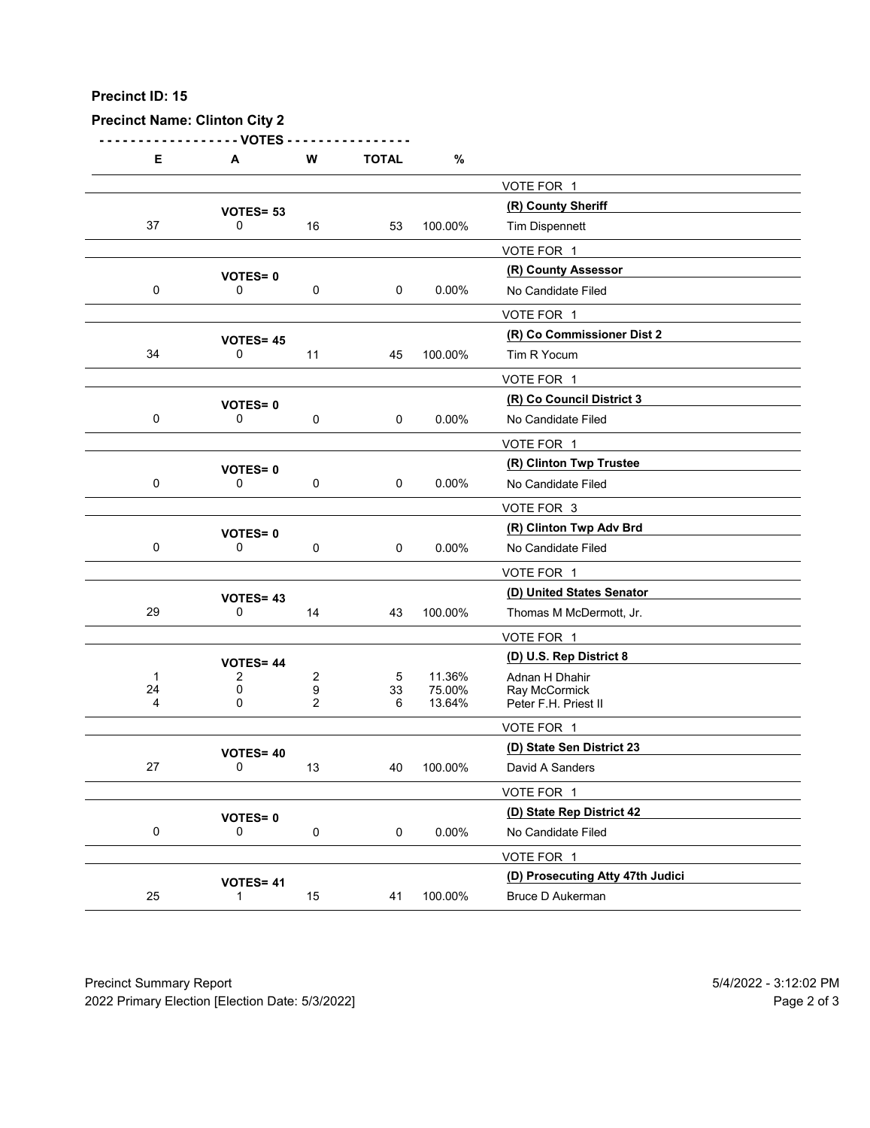## **Precinct Name: Clinton City 2**

**- - - - - - - - - - - - - - - - - - VOTES - - - - - - - - - - - - - - - -**

| Е         | A               | W                   | <b>TOTAL</b> | %                |                                       |
|-----------|-----------------|---------------------|--------------|------------------|---------------------------------------|
|           |                 |                     |              |                  | VOTE FOR 1                            |
|           | VOTES= 53       |                     |              |                  | (R) County Sheriff                    |
| 37        | 0               | 16                  | 53           | 100.00%          | <b>Tim Dispennett</b>                 |
|           |                 |                     |              |                  | VOTE FOR 1                            |
|           | <b>VOTES=0</b>  |                     |              |                  | (R) County Assessor                   |
| 0         | 0               | 0                   | 0            | 0.00%            | No Candidate Filed                    |
|           |                 |                     |              |                  | VOTE FOR 1                            |
|           | <b>VOTES=45</b> |                     |              |                  | (R) Co Commissioner Dist 2            |
| 34        | 0               | 11                  | 45           | 100.00%          | Tim R Yocum                           |
|           |                 |                     |              |                  | VOTE FOR 1                            |
|           | <b>VOTES=0</b>  |                     |              |                  | (R) Co Council District 3             |
| 0         | 0               | 0                   | 0            | 0.00%            | No Candidate Filed                    |
|           |                 |                     |              |                  | VOTE FOR 1                            |
|           | <b>VOTES=0</b>  |                     |              |                  | (R) Clinton Twp Trustee               |
| 0         | 0               | 0                   | 0            | 0.00%            | No Candidate Filed                    |
|           |                 |                     |              |                  | VOTE FOR 3                            |
|           | <b>VOTES=0</b>  |                     |              |                  | (R) Clinton Twp Adv Brd               |
| 0         | 0               | 0                   | 0            | 0.00%            | No Candidate Filed                    |
|           |                 |                     |              |                  | VOTE FOR 1                            |
|           | <b>VOTES=43</b> |                     |              |                  | (D) United States Senator             |
| 29        | 0               | 14                  | 43           | 100.00%          | Thomas M McDermott, Jr.               |
|           |                 |                     |              |                  | VOTE FOR 1                            |
|           | <b>VOTES=44</b> |                     |              |                  | (D) U.S. Rep District 8               |
| 1         | 2               | 2                   | 5            | 11.36%           | Adnan H Dhahir                        |
| 24<br>4   | 0<br>0          | 9<br>$\overline{2}$ | 33<br>6      | 75.00%<br>13.64% | Ray McCormick<br>Peter F.H. Priest II |
|           |                 |                     |              |                  | VOTE FOR 1                            |
|           | <b>VOTES=40</b> |                     |              |                  | (D) State Sen District 23             |
| 27        | 0               | 13                  | 40           | 100.00%          | David A Sanders                       |
|           |                 |                     |              |                  | VOTE FOR 1                            |
|           | <b>VOTES=0</b>  |                     |              |                  | (D) State Rep District 42             |
| $\pmb{0}$ | 0               | $\pmb{0}$           | 0            | 0.00%            | No Candidate Filed                    |
|           |                 |                     |              |                  | VOTE FOR 1                            |
|           | <b>VOTES=41</b> |                     |              |                  | (D) Prosecuting Atty 47th Judici      |
| 25        | 1               | 15                  | 41           | 100.00%          | Bruce D Aukerman                      |
|           |                 |                     |              |                  |                                       |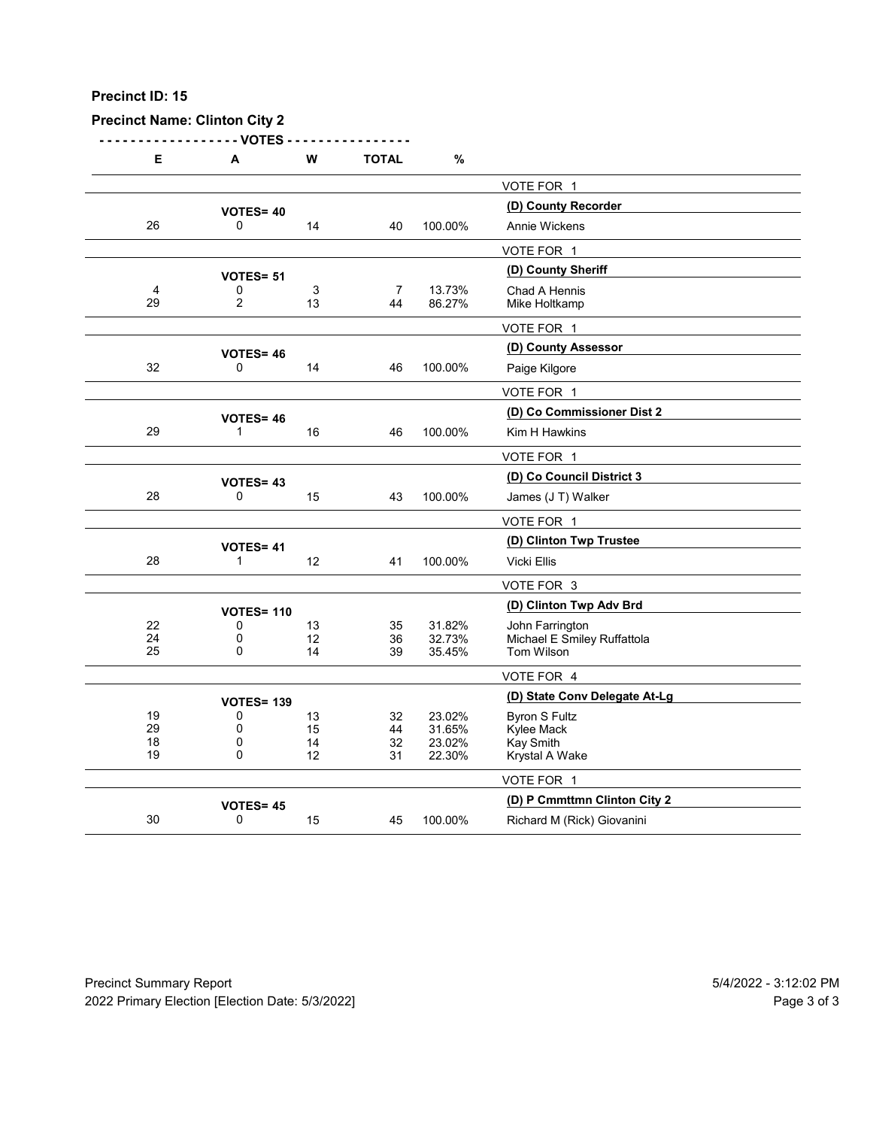## **Precinct Name: Clinton City 2**

**- - - - - - - - - - - - - - - - - - VOTES - - - - - - - - - - - - - - - -**

| Е        | A                 | W        | <b>TOTAL</b> | $\%$             |                                |
|----------|-------------------|----------|--------------|------------------|--------------------------------|
|          |                   |          |              |                  | VOTE FOR 1                     |
|          | <b>VOTES= 40</b>  |          |              |                  | (D) County Recorder            |
| 26       | 0                 | 14       | 40           | 100.00%          | Annie Wickens                  |
|          |                   |          |              |                  | VOTE FOR 1                     |
|          | <b>VOTES= 51</b>  |          |              |                  | (D) County Sheriff             |
| 4        | 0                 | 3        | 7            | 13.73%           | Chad A Hennis                  |
| 29       | $\overline{2}$    | 13       | 44           | 86.27%           | Mike Holtkamp                  |
|          |                   |          |              |                  | VOTE FOR 1                     |
|          | <b>VOTES=46</b>   |          |              |                  | (D) County Assessor            |
| 32       | 0                 | 14       | 46           | 100.00%          | Paige Kilgore                  |
|          |                   |          |              |                  | VOTE FOR 1                     |
|          | <b>VOTES=46</b>   |          |              |                  | (D) Co Commissioner Dist 2     |
| 29       | 1                 | 16       | 46           | 100.00%          | Kim H Hawkins                  |
|          |                   |          |              |                  | VOTE FOR 1                     |
|          | <b>VOTES=43</b>   |          |              |                  | (D) Co Council District 3      |
| 28       | 0                 | 15       | 43           | 100.00%          | James (J T) Walker             |
|          |                   |          |              |                  | VOTE FOR 1                     |
|          | <b>VOTES=41</b>   |          |              |                  | (D) Clinton Twp Trustee        |
| 28       | 1                 | 12       | 41           | 100.00%          | Vicki Ellis                    |
|          |                   |          |              |                  | VOTE FOR 3                     |
|          | <b>VOTES= 110</b> |          |              |                  | (D) Clinton Twp Adv Brd        |
| 22       | 0                 | 13       | 35           | 31.82%           | John Farrington                |
| 24<br>25 | 0                 | 12       | 36           | 32.73%           | Michael E Smiley Ruffattola    |
|          | 0                 | 14       | 39           | 35.45%           | <b>Tom Wilson</b>              |
|          |                   |          |              |                  | VOTE FOR 4                     |
|          | <b>VOTES= 139</b> |          |              |                  | (D) State Conv Delegate At-Lg  |
| 19       | 0                 | 13       | 32           | 23.02%           | <b>Byron S Fultz</b>           |
| 29<br>18 | 0<br>0            | 15<br>14 | 44<br>32     | 31.65%<br>23.02% | <b>Kylee Mack</b><br>Kay Smith |
| 19       | 0                 | 12       | 31           | 22.30%           | Krystal A Wake                 |
|          |                   |          |              |                  | VOTE FOR 1                     |
|          | <b>VOTES=45</b>   |          |              |                  | (D) P Cmmttmn Clinton City 2   |
| 30       | 0                 | 15       | 45           | 100.00%          | Richard M (Rick) Giovanini     |
|          |                   |          |              |                  |                                |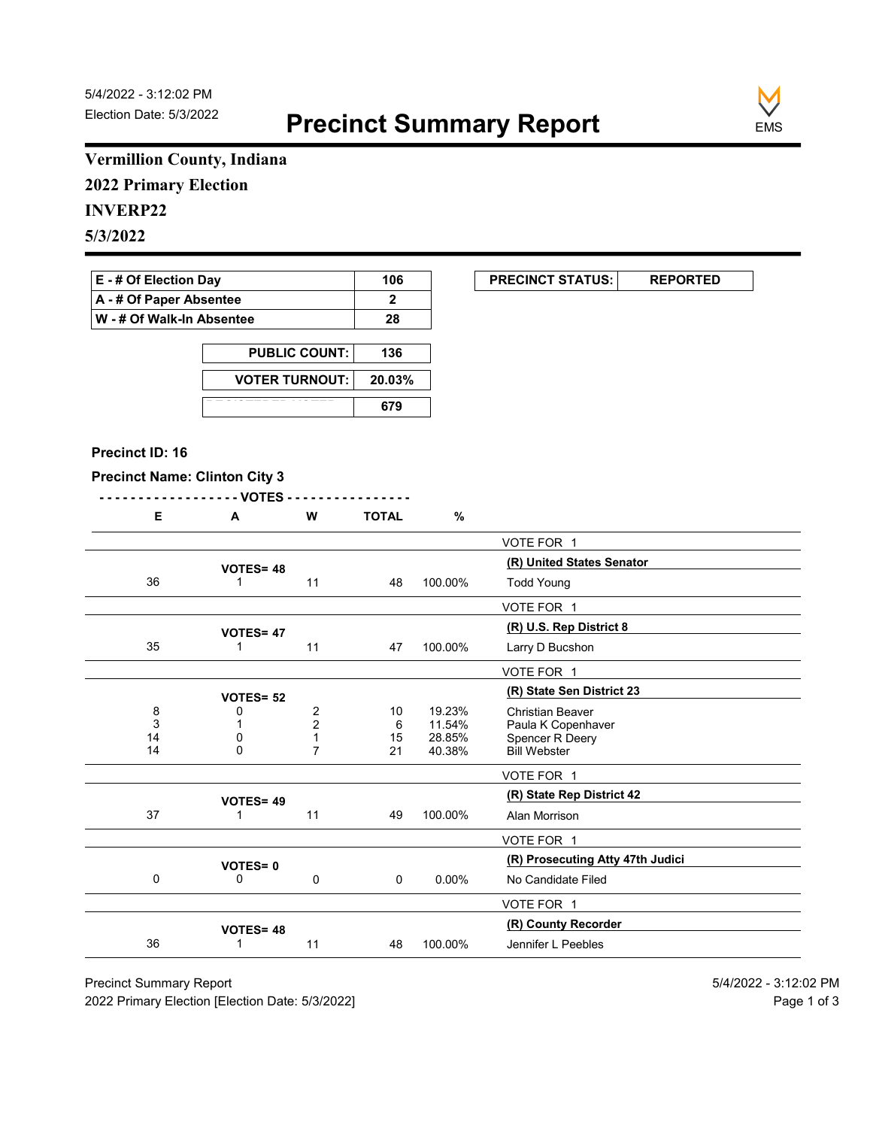

# **Vermillion County, Indiana**

**2022 Primary Election**

# **INVERP22**

**5/3/2022**

| $E - #$ Of Election Day            | 106 |
|------------------------------------|-----|
| $\mathsf{A}$ - # Of Paper Absentee |     |
| ∣ W - # Of Walk-In Absentee        | 28  |

| <b>PUBLIC COUNT:</b>  | 136    |
|-----------------------|--------|
| <b>VOTER TURNOUT:</b> | 20.03% |
|                       | 679    |

### **Precinct ID: 16**

**Precinct Name: Clinton City 3**

**- - - - - - - - - - - - - - - - - - VOTES - - - - - - - - - - - - - - - -**

**E A W TOTAL %**

|    |                  |                |                 |          | VOTE FOR 1                       |
|----|------------------|----------------|-----------------|----------|----------------------------------|
|    | <b>VOTES=48</b>  |                |                 |          | (R) United States Senator        |
| 36 | 1                | 11             | 48              | 100.00%  | <b>Todd Young</b>                |
|    |                  |                |                 |          | VOTE FOR 1                       |
|    | <b>VOTES=47</b>  |                |                 |          | (R) U.S. Rep District 8          |
| 35 | 1                | 11             | 47              | 100.00%  | Larry D Bucshon                  |
|    |                  |                |                 |          | VOTE FOR 1                       |
|    | <b>VOTES= 52</b> |                |                 |          | (R) State Sen District 23        |
| 8  | 0                | 2              | 10 <sup>°</sup> | 19.23%   | <b>Christian Beaver</b>          |
| 3  |                  | $\overline{2}$ | 6               | 11.54%   | Paula K Copenhaver               |
| 14 | 0                |                | 15              | 28.85%   | Spencer R Deery                  |
| 14 | 0                | 7              | 21              | 40.38%   | <b>Bill Webster</b>              |
|    |                  |                |                 |          | VOTE FOR 1                       |
|    | <b>VOTES=49</b>  |                |                 |          | (R) State Rep District 42        |
| 37 | 1                | 11             | 49              | 100.00%  | Alan Morrison                    |
|    |                  |                |                 |          | VOTE FOR 1                       |
|    | <b>VOTES=0</b>   |                |                 |          | (R) Prosecuting Atty 47th Judici |
| 0  | 0                | 0              | $\Omega$        | $0.00\%$ | No Candidate Filed               |
|    |                  |                |                 |          | VOTE FOR 1                       |
|    | <b>VOTES=48</b>  |                |                 |          | (R) County Recorder              |
| 36 |                  | 11             | 48              | 100.00%  | Jennifer L Peebles               |

Precinct Summary Report 61 November 2012 12:02 PM

2022 Primary Election [Election Date: 5/3/2022] **Page 1 of 3** and 2022 Primary Election Date: 5/3/2022]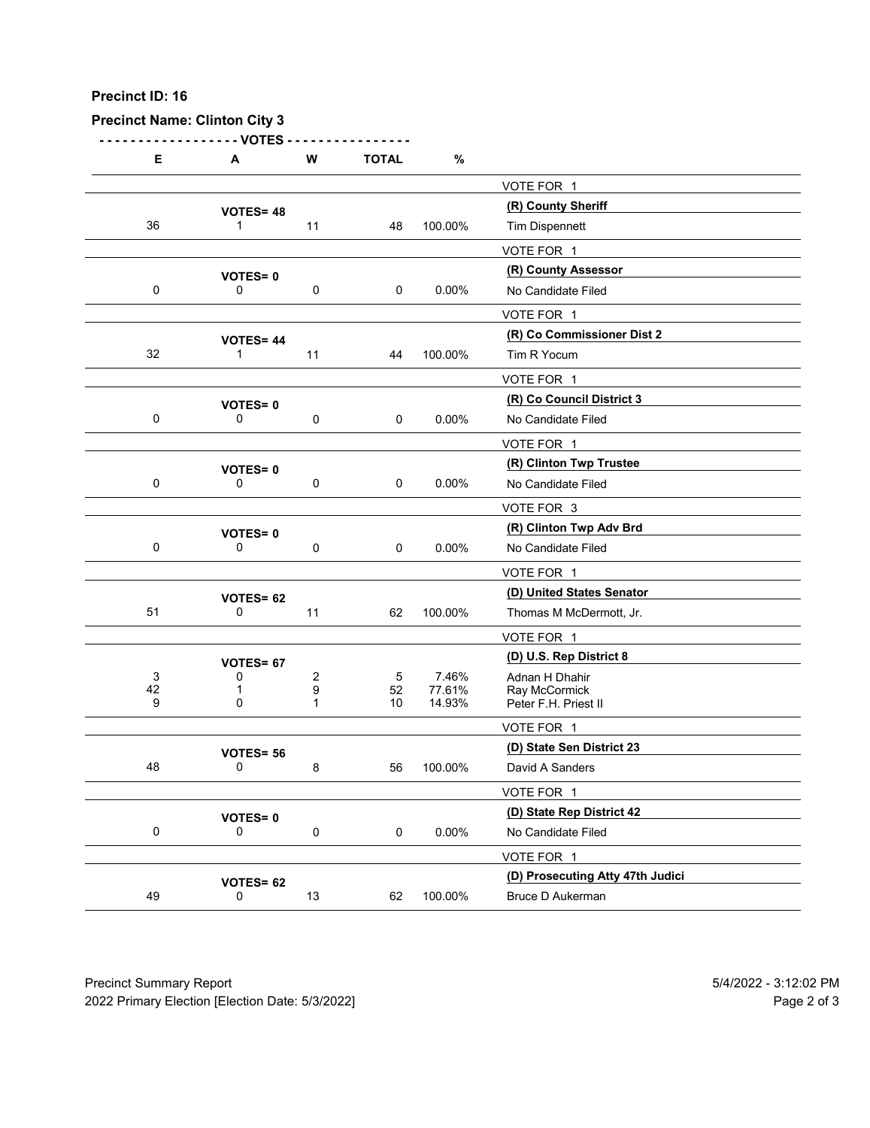## **Precinct Name: Clinton City 3**

**- - - - - - - - - - - - - - - - - - VOTES - - - - - - - - - - - - - - - -**

| Е       | Α                | W      | <b>TOTAL</b> | $\%$             |                                       |
|---------|------------------|--------|--------------|------------------|---------------------------------------|
|         |                  |        |              |                  | VOTE FOR 1                            |
|         | <b>VOTES=48</b>  |        |              |                  | (R) County Sheriff                    |
| 36      | 1                | 11     | 48           | 100.00%          | <b>Tim Dispennett</b>                 |
|         |                  |        |              |                  | VOTE FOR 1                            |
|         | <b>VOTES=0</b>   |        |              |                  | (R) County Assessor                   |
| 0       | 0                | 0      | 0            | 0.00%            | No Candidate Filed                    |
|         |                  |        |              |                  | VOTE FOR 1                            |
|         | <b>VOTES=44</b>  |        |              |                  | (R) Co Commissioner Dist 2            |
| 32      | 1                | 11     | 44           | 100.00%          | Tim R Yocum                           |
|         |                  |        |              |                  | VOTE FOR 1                            |
|         | <b>VOTES=0</b>   |        |              |                  | (R) Co Council District 3             |
| 0       | 0                | 0      | 0            | 0.00%            | No Candidate Filed                    |
|         |                  |        |              |                  | VOTE FOR 1                            |
|         | <b>VOTES=0</b>   |        |              |                  | (R) Clinton Twp Trustee               |
| 0       | 0                | 0      | 0            | $0.00\%$         | No Candidate Filed                    |
|         |                  |        |              |                  | VOTE FOR 3                            |
|         | <b>VOTES=0</b>   |        |              |                  | (R) Clinton Twp Adv Brd               |
| 0       | 0                | 0      | 0            | 0.00%            | No Candidate Filed                    |
|         |                  |        |              |                  | VOTE FOR 1                            |
|         | <b>VOTES= 62</b> |        |              |                  | (D) United States Senator             |
| 51      | 0                | 11     | 62           | 100.00%          | Thomas M McDermott, Jr.               |
|         |                  |        |              |                  | VOTE FOR 1                            |
|         | <b>VOTES= 67</b> |        |              |                  | (D) U.S. Rep District 8               |
| 3       | 0                | 2      | 5            | 7.46%            | Adnan H Dhahir                        |
| 42<br>9 | 1<br>0           | 9<br>1 | 52<br>10     | 77.61%<br>14.93% | Ray McCormick<br>Peter F.H. Priest II |
|         |                  |        |              |                  | VOTE FOR 1                            |
|         | <b>VOTES= 56</b> |        |              |                  | (D) State Sen District 23             |
| 48      | 0                | 8      | 56           | 100.00%          | David A Sanders                       |
|         |                  |        |              |                  | VOTE FOR 1                            |
|         | <b>VOTES=0</b>   |        |              |                  | (D) State Rep District 42             |
| 0       | 0                | 0      | 0            | 0.00%            | No Candidate Filed                    |
|         |                  |        |              |                  | VOTE FOR 1                            |
|         | <b>VOTES= 62</b> |        |              |                  | (D) Prosecuting Atty 47th Judici      |
| 49      | 0                | 13     | 62           | 100.00%          | Bruce D Aukerman                      |
|         |                  |        |              |                  |                                       |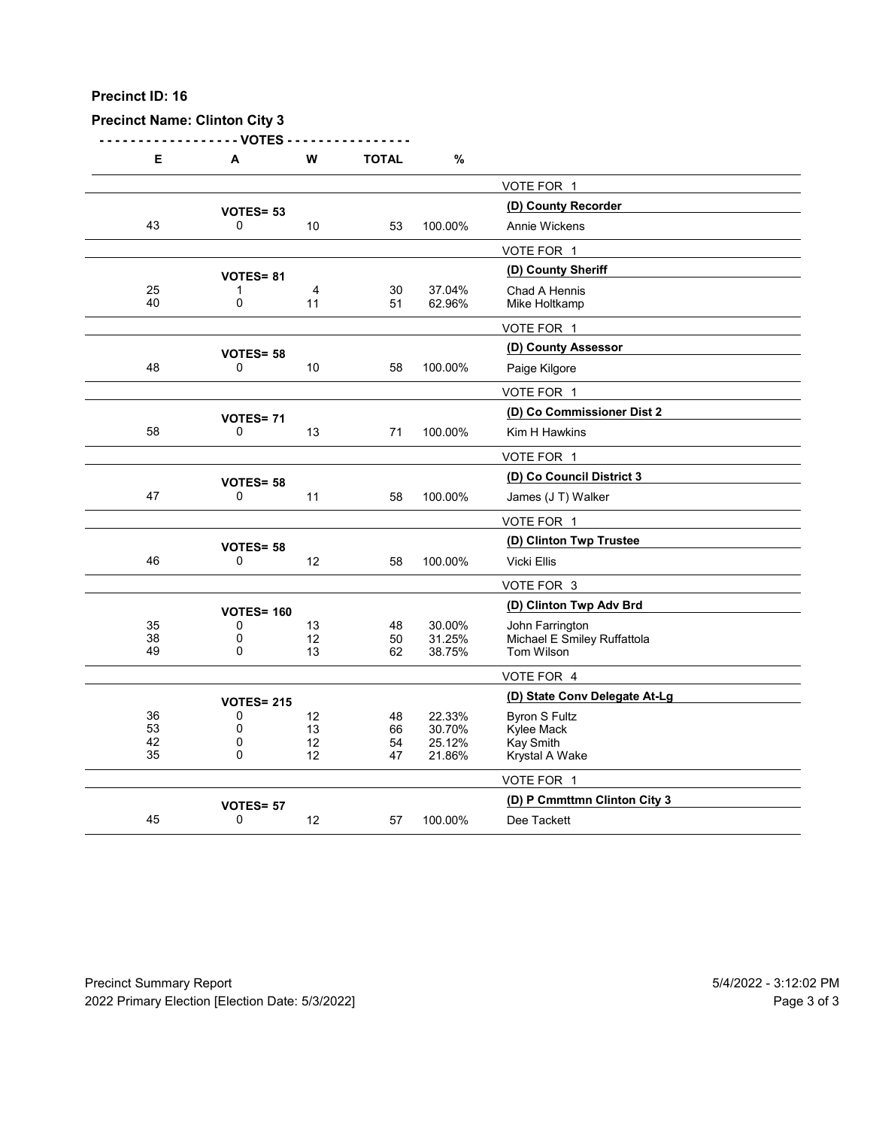## **Precinct Name: Clinton City 3**

**- - - - - - - - - - - - - - - - - - VOTES - - - - - - - - - - - - - - - -**

| E        | A                 | W        | <b>TOTAL</b> | %                |                               |
|----------|-------------------|----------|--------------|------------------|-------------------------------|
|          |                   |          |              |                  | VOTE FOR 1                    |
|          | <b>VOTES= 53</b>  |          |              |                  | (D) County Recorder           |
| 43       | 0                 | 10       | 53           | 100.00%          | Annie Wickens                 |
|          |                   |          |              |                  | VOTE FOR 1                    |
|          | <b>VOTES=81</b>   |          |              |                  | (D) County Sheriff            |
| 25       | 1                 | 4        | 30           | 37.04%           | Chad A Hennis                 |
| 40       | $\mathbf{0}$      | 11       | 51           | 62.96%           | Mike Holtkamp                 |
|          |                   |          |              |                  | VOTE FOR 1                    |
|          | <b>VOTES=58</b>   |          |              |                  | (D) County Assessor           |
| 48       | 0                 | 10       | 58           | 100.00%          | Paige Kilgore                 |
|          |                   |          |              |                  | VOTE FOR 1                    |
|          | <b>VOTES=71</b>   |          |              |                  | (D) Co Commissioner Dist 2    |
| 58       | 0                 | 13       | 71           | 100.00%          | Kim H Hawkins                 |
|          |                   |          |              |                  | VOTE FOR 1                    |
|          | <b>VOTES=58</b>   |          |              |                  | (D) Co Council District 3     |
| 47       | 0                 | 11       | 58           | 100.00%          | James (J T) Walker            |
|          |                   |          |              |                  | VOTE FOR 1                    |
|          | <b>VOTES=58</b>   |          |              |                  | (D) Clinton Twp Trustee       |
| 46       | 0                 | 12       | 58           | 100.00%          | Vicki Ellis                   |
|          |                   |          |              |                  | VOTE FOR 3                    |
|          | <b>VOTES= 160</b> |          |              |                  | (D) Clinton Twp Adv Brd       |
| 35       | 0                 | 13       | 48           | 30.00%           | John Farrington               |
| 38       | 0                 | 12       | 50           | 31.25%           | Michael E Smiley Ruffattola   |
| 49       | $\mathbf{0}$      | 13       | 62           | 38.75%           | <b>Tom Wilson</b>             |
|          |                   |          |              |                  | VOTE FOR 4                    |
|          | <b>VOTES= 215</b> |          |              |                  | (D) State Conv Delegate At-Lg |
| 36       | 0                 | 12       | 48           | 22.33%           | <b>Byron S Fultz</b>          |
| 53       | 0                 | 13       | 66           | 30.70%           | <b>Kylee Mack</b>             |
| 42<br>35 | 0<br>0            | 12<br>12 | 54<br>47     | 25.12%<br>21.86% | Kay Smith<br>Krystal A Wake   |
|          |                   |          |              |                  |                               |
|          |                   |          |              |                  | VOTE FOR 1                    |
|          | <b>VOTES= 57</b>  |          |              |                  | (D) P Cmmttmn Clinton City 3  |
| 45       | $\mathbf{0}$      | 12       | 57           | 100.00%          | Dee Tackett                   |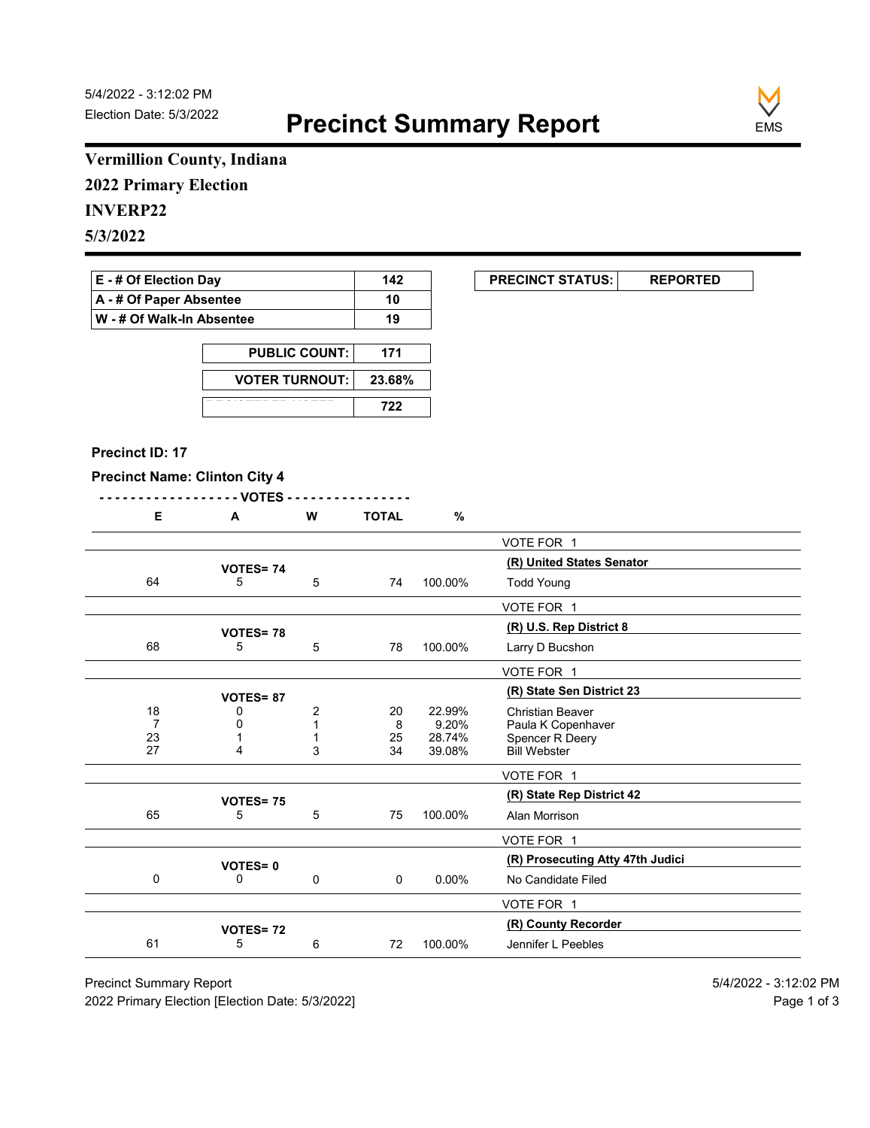

# **Vermillion County, Indiana**

**2022 Primary Election**

# **INVERP22**

**5/3/2022**

| $E - #$ Of Election Day              | 142 |
|--------------------------------------|-----|
| $\mathsf{A}$ - # Of Paper Absentee   | 10  |
| $\mathsf{W}$ - # Of Walk-In Absentee | 19  |

| <b>PUBLIC COUNT:</b>  | 171    |
|-----------------------|--------|
| <b>VOTER TURNOUT:</b> | 23.68% |
|                       | 722    |

### **Precinct ID: 17**

**Precinct Name: Clinton City 4**

**- - - - - - - - - - - - - - - - - - VOTES - - - - - - - - - - - - - - - -**

**E A W TOTAL %**

|                |                 |   |             |          | VOTE FOR 1                       |
|----------------|-----------------|---|-------------|----------|----------------------------------|
|                | <b>VOTES=74</b> |   |             |          | (R) United States Senator        |
| 64             | 5               | 5 | 74          | 100.00%  | <b>Todd Young</b>                |
|                |                 |   |             |          | VOTE FOR 1                       |
|                | <b>VOTES=78</b> |   |             |          | (R) U.S. Rep District 8          |
| 68             | 5               | 5 | 78          | 100.00%  | Larry D Bucshon                  |
|                |                 |   |             |          | VOTE FOR 1                       |
|                | <b>VOTES=87</b> |   |             |          | (R) State Sen District 23        |
| 18             | 0               | 2 | 20          | 22.99%   | <b>Christian Beaver</b>          |
| $\overline{7}$ | 0               | 1 | 8           | 9.20%    | Paula K Copenhaver               |
| 23             |                 |   | 25          | 28.74%   | Spencer R Deery                  |
| 27             | 4               | 3 | 34          | 39.08%   | <b>Bill Webster</b>              |
|                |                 |   |             |          | VOTE FOR 1                       |
|                | <b>VOTES=75</b> |   |             |          | (R) State Rep District 42        |
| 65             | 5               | 5 | 75          | 100.00%  | Alan Morrison                    |
|                |                 |   |             |          | VOTE FOR 1                       |
|                | <b>VOTES=0</b>  |   |             |          | (R) Prosecuting Atty 47th Judici |
| 0              | 0               | 0 | $\mathbf 0$ | $0.00\%$ | No Candidate Filed               |
|                |                 |   |             |          | VOTE FOR 1                       |
|                | <b>VOTES=72</b> |   |             |          | (R) County Recorder              |
| 61             | 5               | 6 | 72          | 100.00%  | Jennifer L Peebles               |

Precinct Summary Report 61 November 2012 12:02 PM

2022 Primary Election [Election Date: 5/3/2022] **Page 1 of 3** and 2022 Primary Election Date: 5/3/2022]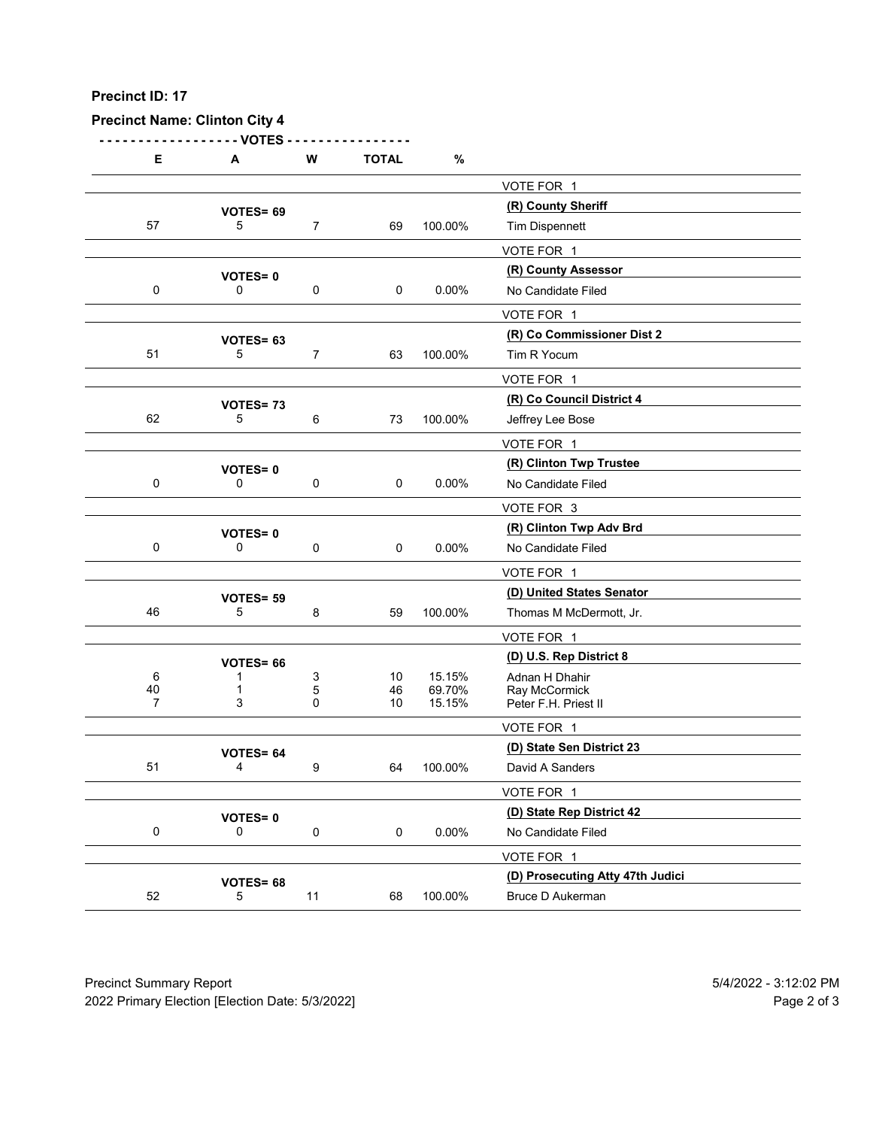## **Precinct Name: Clinton City 4**

**- - - - - - - - - - - - - - - - - - VOTES - - - - - - - - - - - - - - - -**

| E                    | A                | W      | <b>TOTAL</b> | $\%$             |                                       |
|----------------------|------------------|--------|--------------|------------------|---------------------------------------|
|                      |                  |        |              |                  | VOTE FOR 1                            |
|                      | <b>VOTES=69</b>  |        |              |                  | (R) County Sheriff                    |
| 57                   | 5                | 7      | 69           | 100.00%          | <b>Tim Dispennett</b>                 |
|                      |                  |        |              |                  | VOTE FOR 1                            |
|                      | <b>VOTES=0</b>   |        |              |                  | (R) County Assessor                   |
| 0                    | 0                | 0      | $\mathbf 0$  | 0.00%            | No Candidate Filed                    |
|                      |                  |        |              |                  | VOTE FOR 1                            |
|                      | <b>VOTES=63</b>  |        |              |                  | (R) Co Commissioner Dist 2            |
| 51                   | 5                | 7      | 63           | 100.00%          | Tim R Yocum                           |
|                      |                  |        |              |                  | VOTE FOR 1                            |
|                      | <b>VOTES=73</b>  |        |              |                  | (R) Co Council District 4             |
| 62                   | 5                | 6      | 73           | 100.00%          | Jeffrey Lee Bose                      |
|                      |                  |        |              |                  | VOTE FOR 1                            |
|                      | <b>VOTES=0</b>   |        |              |                  | (R) Clinton Twp Trustee               |
| 0                    | 0                | 0      | $\mathbf 0$  | 0.00%            | No Candidate Filed                    |
|                      |                  |        |              |                  | VOTE FOR 3                            |
|                      | <b>VOTES=0</b>   |        |              |                  | (R) Clinton Twp Adv Brd               |
| 0                    | 0                | 0      | $\mathbf 0$  | 0.00%            | No Candidate Filed                    |
|                      |                  |        |              |                  | VOTE FOR 1                            |
|                      | <b>VOTES=59</b>  |        |              |                  | (D) United States Senator             |
| 46                   | 5                | 8      | 59           | 100.00%          | Thomas M McDermott, Jr.               |
|                      |                  |        |              |                  | VOTE FOR 1                            |
|                      | <b>VOTES= 66</b> |        |              |                  | (D) U.S. Rep District 8               |
| 6                    | 1                | 3      | 10           | 15.15%           | Adnan H Dhahir                        |
| 40<br>$\overline{7}$ | 1<br>3           | 5<br>0 | 46<br>10     | 69.70%<br>15.15% | Ray McCormick<br>Peter F.H. Priest II |
|                      |                  |        |              |                  | VOTE FOR 1                            |
|                      | <b>VOTES= 64</b> |        |              |                  | (D) State Sen District 23             |
| 51                   | 4                | 9      | 64           | 100.00%          | David A Sanders                       |
|                      |                  |        |              |                  | VOTE FOR 1                            |
|                      | <b>VOTES=0</b>   |        |              |                  | (D) State Rep District 42             |
| $\pmb{0}$            | 0                | 0      | $\pmb{0}$    | 0.00%            | No Candidate Filed                    |
|                      |                  |        |              |                  | VOTE FOR 1                            |
|                      | <b>VOTES=68</b>  |        |              |                  | (D) Prosecuting Atty 47th Judici      |
| 52                   | 5                | 11     | 68           | 100.00%          | Bruce D Aukerman                      |
|                      |                  |        |              |                  |                                       |